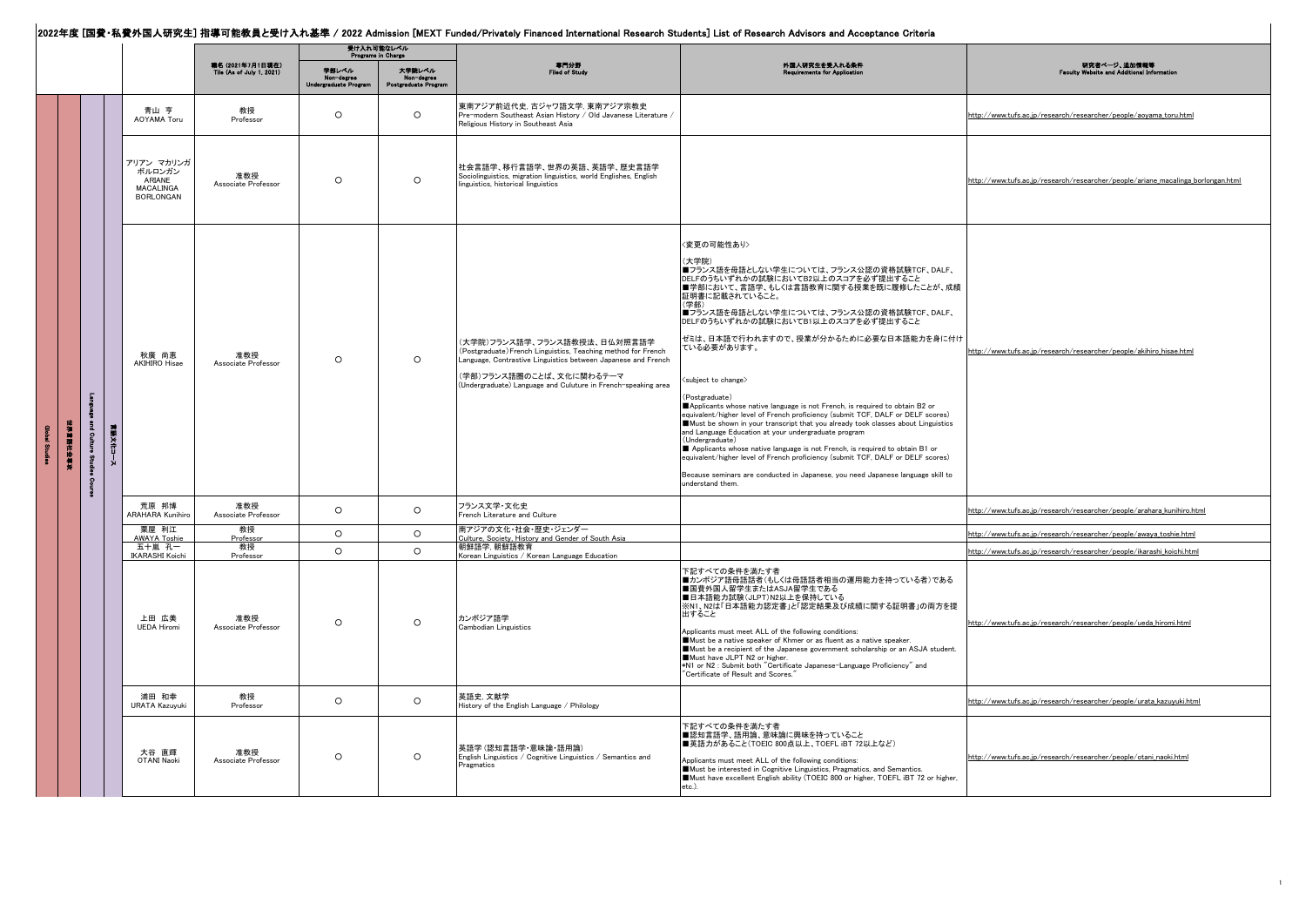## │<br>2022年度 [国費・私費外国人研究生] 指導可能教員と受け入れ基準 / 2022 Admission [MEXT Funded/Privately Financed International Research Students] List of Research Advisors and Acceptance Criteria

|                                |           |                                                                 |                                                      | 受け入れ可能なレベル<br>Programs in Charge    |                                              |                                                                                                                                                                                                                                                             |                                                                                                                                                                                                                                                                                                                                                                                                                                                                                                                                                                                                                                                                                                                                                                                                                                                                                                                                                                                                        |                                                                                  |
|--------------------------------|-----------|-----------------------------------------------------------------|------------------------------------------------------|-------------------------------------|----------------------------------------------|-------------------------------------------------------------------------------------------------------------------------------------------------------------------------------------------------------------------------------------------------------------|--------------------------------------------------------------------------------------------------------------------------------------------------------------------------------------------------------------------------------------------------------------------------------------------------------------------------------------------------------------------------------------------------------------------------------------------------------------------------------------------------------------------------------------------------------------------------------------------------------------------------------------------------------------------------------------------------------------------------------------------------------------------------------------------------------------------------------------------------------------------------------------------------------------------------------------------------------------------------------------------------------|----------------------------------------------------------------------------------|
|                                |           |                                                                 | 職名 (2021年7月1日現在)<br><b>Tile (As of July 1, 2021)</b> | 学部レベル<br><b>Undergraduate Progr</b> | 大学院レベル<br>Non-degree<br>Postgraduate Progran | 専門分野<br>Filed of Stur                                                                                                                                                                                                                                       | 外国人研究生を受入れる条件<br>auirements for App                                                                                                                                                                                                                                                                                                                                                                                                                                                                                                                                                                                                                                                                                                                                                                                                                                                                                                                                                                    | 研究者ページ、追加情報等<br>site and Additi                                                  |
|                                |           | 青山 亨<br>AOYAMA Toru                                             | 教授<br>Professor                                      | $\circ$                             | $\circ$                                      | 東南アジア前近代史, 古ジャワ語文学, 東南アジア宗教史<br>Pre-modern Southeast Asian History / Old Javanese Literature /<br>Religious History in Southeast Asia                                                                                                                       |                                                                                                                                                                                                                                                                                                                                                                                                                                                                                                                                                                                                                                                                                                                                                                                                                                                                                                                                                                                                        | http://www.tufs.ac.jp/research/researcher/people/aoyama_toru.html                |
|                                |           | アリアン マカリンガ<br>ボルロンガン<br>ARIANE<br>MACALINGA<br><b>BORLONGAN</b> | 准教授<br>Associate Professor                           | $\circ$                             | $\circ$                                      | 社会言語学、移行言語学、世界の英語、英語学、歴史言語学<br>Sociolinguistics, migration linguistics, world Englishes, English<br>linguistics, historical linguistics                                                                                                                     |                                                                                                                                                                                                                                                                                                                                                                                                                                                                                                                                                                                                                                                                                                                                                                                                                                                                                                                                                                                                        | http://www.tufs.ac.jp/research/researcher/people/ariane_macalinga_borlongan.html |
| E.<br>東海国岸沙骨炎<br>and Cult<br>J | 言語文化<br>Å | 秋廣 尚恵<br><b>AKIHIRO Hisae</b>                                   | 准教授<br>Associate Professor                           | $\circ$                             | $\circ$                                      | (大学院)フランス語学、フランス語教授法、日仏対照言語学<br>(Postgraduate) French Linguistics, Teaching method for French<br>Language, Contrastive Linguistics between Japanese and French<br>(学部)フランス語圏のことば、文化に関わるテーマ<br>(Undergraduate) Language and Culuture in French-speaking area | <変更の可能性あり><br>(大学院)<br>■フランス語を母語としない学生については、フランス公認の資格試験TCF、DALF、<br>DELFのうちいずれかの試験においてB2以上のスコアを必ず提出すること<br>■学部において、言語学、もしくは言語教育に関する授業を既に履修したことが、成績<br>証明書に記載されていること。<br>(学部)<br>■フランス語を母語としない学生については、フランス公認の資格試験TCF、DALF、<br>DELFのうちいずれかの試験においてB1以上のスコアを必ず提出すること<br>ゼミは、日本語で行われますので、授業が分かるために必要な日本語能力を身に付け<br>ている必要があります。<br><subject change="" to=""><br/>(Postgraduate)<br/>Applicants whose native language is not French, is required to obtain B2 or<br/>equivalent/higher level of French proficiency (submit TCF, DALF or DELF scores)<br/>Must be shown in your transcript that you already took classes about Linguistics<br/>and Language Education at your undergraduate program<br/>(Undergraduate)<br/>Applicants whose native language is not French, is required to obtain B1 or<br/>equivalent/higher level of French proficiency (submit TCF, DALF or DELF scores)<br/>Because seminars are conducted in Japanese, you need Japanese language skill to<br/>understand them.</subject> | http://www.tufs.ac.jp/research/researcher/people/akihiro_hisae.html              |
|                                |           | 荒原 邦博<br><b>ARAHARA Kunihiro</b>                                | 准教授<br>Associate Professor                           | $\circ$                             | $\circ$                                      | フランス文学・文化史<br>French Literature and Culture                                                                                                                                                                                                                 |                                                                                                                                                                                                                                                                                                                                                                                                                                                                                                                                                                                                                                                                                                                                                                                                                                                                                                                                                                                                        | http://www.tufs.ac.jp/research/researcher/people/arahara_kunihiro.html           |
|                                |           | 粟屋 利江<br><b>AWAYA Toshie</b>                                    | 教授<br>Professor                                      | $\circ$                             | $\circ$                                      | 南アジアの文化・社会・歴史・ジェンダー<br>Culture, Society, History and Gender of South Asia                                                                                                                                                                                   |                                                                                                                                                                                                                                                                                                                                                                                                                                                                                                                                                                                                                                                                                                                                                                                                                                                                                                                                                                                                        | http://www.tufs.ac.jp/research/researcher/people/awaya_toshie.html               |
|                                |           | 五十嵐 孔一<br><b>IKARASHI Koichi</b>                                | 教授<br>Professor                                      | $\circ$                             | $\circ$                                      | 朝鮮語学, 朝鮮語教育<br>Korean Linguistics / Korean Language Education                                                                                                                                                                                               |                                                                                                                                                                                                                                                                                                                                                                                                                                                                                                                                                                                                                                                                                                                                                                                                                                                                                                                                                                                                        | http://www.tufs.ac.jp/research/researcher/people/ikarashi_koichi.html            |
|                                |           | 上田 広美<br><b>UEDA Hiromi</b>                                     | 准教授<br>Associate Professor                           | $\circ$                             | $\circ$                                      | カンボジア語学<br>Cambodian Linguistics                                                                                                                                                                                                                            | 下記すべての条件を満たす者<br>■カンボジア語母語話者(もしくは母語話者相当の運用能力を持っている者)である<br>■国費外国人留学生またはASJA留学生である<br>■日本語能力試験(JLPT)N2以上を保持している<br>※N1、N2は「日本語能力認定書」と「認定結果及び成績に関する証明書」の両方を提<br>出すること<br>Applicants must meet ALL of the following conditions:<br>Must be a native speaker of Khmer or as fluent as a native speaker.<br>Must be a recipient of the Japanese government scholarship or an ASJA student.<br>Must have JLPT N2 or higher.<br>*N1 or N2 : Submit both "Certificate Japanese-Language Proficiency" and<br>"Certificate of Result and Scores."                                                                                                                                                                                                                                                                                                                                                                                                                                                                | http://www.tufs.ac.jp/research/researcher/people/ueda_hiromi.html                |
|                                |           | 浦田 和幸<br><b>URATA Kazuvuki</b>                                  | 教授<br>Professor                                      | $\circ$                             | $\circ$                                      | 英語史 文献学<br>History of the English Language / Philology                                                                                                                                                                                                      |                                                                                                                                                                                                                                                                                                                                                                                                                                                                                                                                                                                                                                                                                                                                                                                                                                                                                                                                                                                                        | http://www.tufs.ac.jp/research/researcher/people/urata_kazuyuki.html             |
|                                |           | 大谷 直輝<br><b>OTANI Naoki</b>                                     | 准教授<br>Associate Professor                           | $\circ$                             | $\circ$                                      | 英語学 (認知言語学・意味論・語用論)<br>English Linguistics / Cognitive Linguistics / Semantics and<br>Pragmatics                                                                                                                                                            | 下記すべての条件を満たす者<br>■認知言語学、語用論、意味論に興味を持っていること<br>■英語力があること(TOEIC 800点以上、TOEFL iBT 72以上など)<br>Applicants must meet ALL of the following conditions:<br>Must be interested in Cognitive Linguistics, Pragmatics, and Semantics.<br>Must have excellent English ability (TOEIC 800 or higher, TOEFL iBT 72 or higher,<br>etc.).                                                                                                                                                                                                                                                                                                                                                                                                                                                                                                                                                                                                                                                                              | http://www.tufs.ac.jp/research/researcher/people/otani_naoki.html                |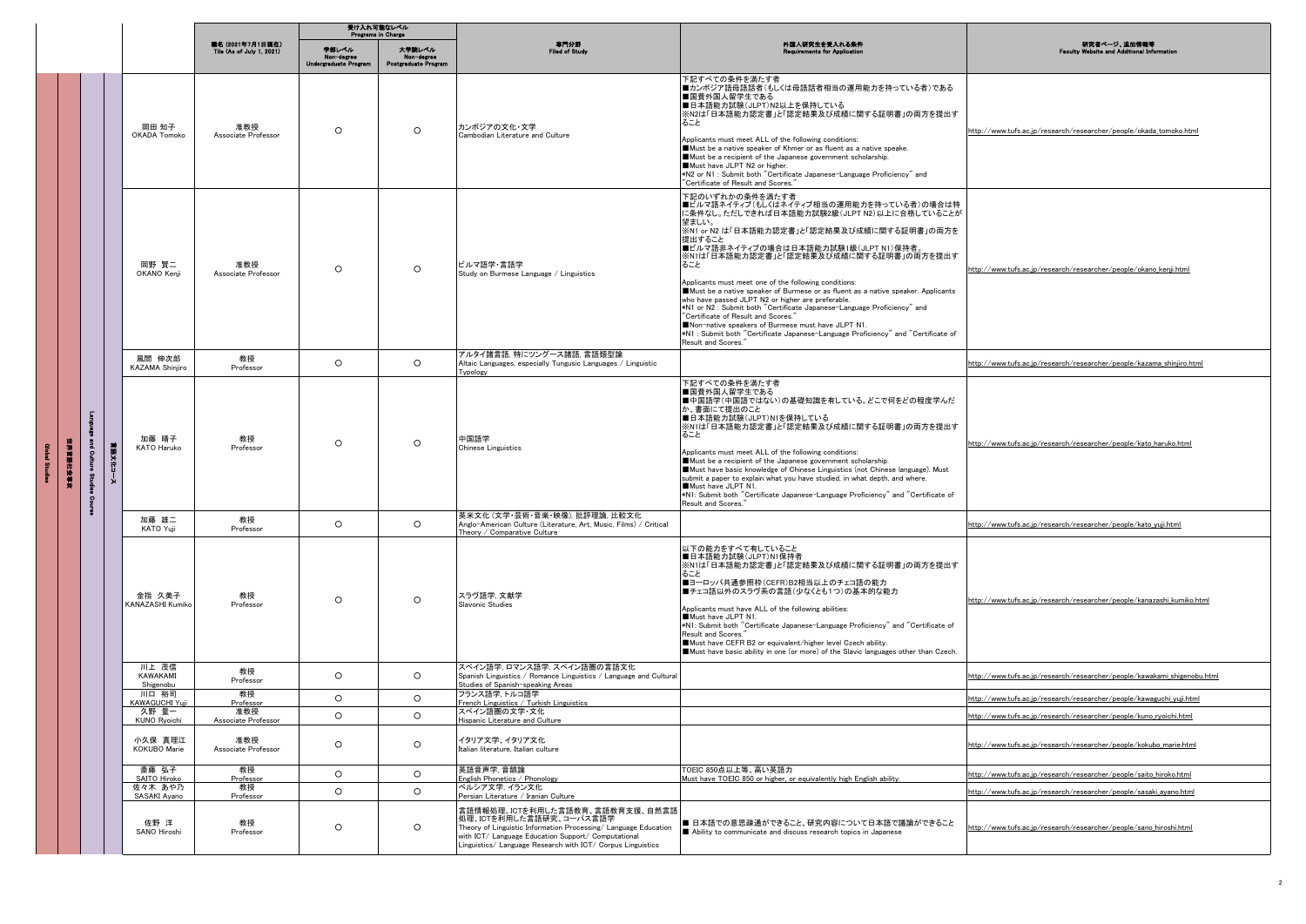|          |              |                                      |                                                      | 受け入れ可能なレベル<br>Programs in Charge             |                                              |                                                                                                                                                                                                                                                     |                                                                                                                                                                                                                                                                                                                                                                                                                                                                                                                                                                                                                                                                                                                                                               |                                                                          |
|----------|--------------|--------------------------------------|------------------------------------------------------|----------------------------------------------|----------------------------------------------|-----------------------------------------------------------------------------------------------------------------------------------------------------------------------------------------------------------------------------------------------------|---------------------------------------------------------------------------------------------------------------------------------------------------------------------------------------------------------------------------------------------------------------------------------------------------------------------------------------------------------------------------------------------------------------------------------------------------------------------------------------------------------------------------------------------------------------------------------------------------------------------------------------------------------------------------------------------------------------------------------------------------------------|--------------------------------------------------------------------------|
|          |              |                                      | 職名 (2021年7月1日現在)<br><b>Tile (As of July 1, 2021)</b> | 学部レベル<br>Non-degree<br>Undergraduate Program | 大学院レベル<br>Non-degree<br>Postgraduate Program | 専門分野<br>Filed of Study                                                                                                                                                                                                                              | 外国人研究生を受入れる条件<br>equirements for Applice                                                                                                                                                                                                                                                                                                                                                                                                                                                                                                                                                                                                                                                                                                                      | 研究者ページ、追加情報等<br><b>Vebsite and Additional Inf</b>                        |
|          |              | 岡田 知子<br>OKADA Tomoko                | 准教授<br>Associate Professor                           | $\circ$                                      | $\circ$                                      | カンボジアの文化・文学<br>Cambodian Literature and Culture                                                                                                                                                                                                     | 下記すべての条件を満たす者<br>■カンボジア語母語話者(もしくは母語話者相当の運用能力を持っている者)である<br>■国費外国人留学生である<br>■日本語能力試験(JLPT)N2以上を保持している<br>※N2は「日本語能力認定書」と「認定結果及び成績に関する証明書」の両方を提出す<br>ること<br>Applicants must meet ALL of the following conditions:<br>Must be a native speaker of Khmer or as fluent as a native speake.<br>Must be a recipient of the Japanese government scholarship.<br>Must have JLPT N2 or higher.<br>*N2 or N1 : Submit both "Certificate Japanese-Language Proficiency" and<br>"Certificate of Result and Scores."                                                                                                                                                                                                                                                        | http://www.tufs.ac.jp/research/researcher/people/okada_tomoko.html       |
|          |              | 岡野 賢二<br>OKANO Kenji                 | 准教授<br>Associate Professor                           | $\circ$                                      | $\circ$                                      | ビルマ語学・言語学<br>Study on Burmese Language / Linguistics                                                                                                                                                                                                | 下記のいずれかの条件を満たす者<br> ■ビルマ語ネイティブ(もしくはネイティブ相当の運用能力を持っている者)の場合は特<br> こ条件なし。ただしできれば日本語能力試験2級(JLPT N2)以上に合格していることが<br>望ましい。<br>※N1 or N2 は「日本語能力認定書」と「認定結果及び成績に関する証明書」の両方を<br>提出すること<br>■ビルマ語非ネイティブの場合は日本語能力試験1級(JLPT N1)保持者。<br>※N1は「日本語能力認定書」と「認定結果及び成績に関する証明書」の両方を提出す<br>ること<br>Applicants must meet one of the following conditions:<br>Must be a native speaker of Burmese or as fluent as a native speaker. Applicants<br>who have passed JLPT N2 or higher are preferable<br>*N1 or N2 : Submit both "Certificate Japanese-Language Proficiency" and<br>"Certificate of Result and Scores."<br>Non-native speakers of Burmese must have JLPT N1.<br>*N1 : Submit both "Certificate Japanese-Language Proficiency" and "Certificate of<br>Result and Scores." | http://www.tufs.ac.jp/research/researcher/people/okano_kenji.html        |
|          |              | 風間 伸次郎<br>KAZAMA Shinjiro            | 教授<br>Professor                                      | $\circ$                                      | $\circ$                                      | アルタイ諸言語. 特にツングース諸語. 言語類型論<br>Altaic Languages, especially Tungusic Languages / Linguistic<br>Typology                                                                                                                                               |                                                                                                                                                                                                                                                                                                                                                                                                                                                                                                                                                                                                                                                                                                                                                               | http://www.tufs.ac.jp/research/researcher/people/kazama_shinjiro.html    |
| 世界首願社会専科 | 言語文化コース<br>δ | 加藤 晴子<br><b>KATO Haruko</b>          | 教授<br>Professor                                      | $\circ$                                      | $\circ$                                      | 中国語学<br>Chinese Linguistics                                                                                                                                                                                                                         | 下記すべての条件を満たす者<br>■国費外国人留学生である<br>■中国語学(中国語ではない)の基礎知識を有している。どこで何をどの程度学んだ<br>か、書面にて提出のこと<br>■日本語能力試験(JLPT)N1を保持している<br>※N1は「日本語能力認定書」と「認定結果及び成績に関する証明書」の両方を提出す<br>ること<br>Applicants must meet ALL of the following conditions:<br>Must be a recipient of the Japanese government scholarship.<br>Must have basic knowledge of Chinese Linguistics (not Chinese language). Must<br>submit a paper to explain what you have studied, in what depth, and where.<br>Must have JLPT N1.<br>*N1: Submit both "Certificate Japanese-Language Proficiency" and "Certificate of<br>Result and Scores."                                                                                                                                                                   | http://www.tufs.ac.jp/research/researcher/people/kato_haruko.html        |
|          |              | 加藤 雄二<br>KATO Yuji                   | 教授<br>Professor                                      | $\circ$                                      | $\circ$                                      | 英米文化 (文学·芸術·音楽·映像), 批評理論, 比較文化<br>Anglo-American Culture (Literature, Art, Music, Films) / Critical<br>Theory / Comparative Culture                                                                                                                 |                                                                                                                                                                                                                                                                                                                                                                                                                                                                                                                                                                                                                                                                                                                                                               | http://www.tufs.ac.jp/research/researcher/people/kato_yuji.html          |
|          |              | 金指 久美子<br>KANAZASHI Kumiko           | 教授<br>Professor                                      | $\circ$                                      | $\circ$                                      | スラヴ語学、文献学<br>Slavonic Studies                                                                                                                                                                                                                       | 以下の能力をすべて有していること<br>■日本語能力試験(JLPT)N1保持者<br>※N1は「日本語能力認定書」と「認定結果及び成績に関する証明書」の両方を提出す<br>ること<br>■ヨーロッパ共通参照枠(CEFR)B2相当以上のチェコ語の能力<br>■チェコ語以外のスラヴ系の言語(少なくとも1つ)の基本的な能力<br>Applicants must have ALL of the following abilities:<br>Must have JLPT N1.<br>*N1: Submit both "Certificate Japanese-Language Proficiency" and "Certificate of<br>Result and Scores."<br>Must have CEFR B2 or equivalent/higher level Czech ability.<br>Must have basic ability in one (or more) of the Slavic languages other than Czech.                                                                                                                                                                                                                                                 | http://www.tufs.ac.jp/research/researcher/people/kanazashi_kumiko.html   |
|          |              | 川上 茂信<br><b>KAWAKAMI</b>             | 教授<br>Professor                                      | $\circ$                                      | $\circ$                                      | スペイン語学、ロマンス語学、スペイン語圏の言語文化<br>Spanish Linguistics / Romance Linguistics / Language and Cultural                                                                                                                                                      |                                                                                                                                                                                                                                                                                                                                                                                                                                                                                                                                                                                                                                                                                                                                                               | http://www.tufs.ac.jp/research/researcher/people/kawakami_shigenobu.html |
|          |              | Shigenobu<br>川口 裕司<br>KAWAGUCHI Yuji | 教授<br>Professor                                      | $\circ$                                      | $\circ$                                      | Studies of Spanish-speaking Areas<br>フランス語学.トルコ語学<br>French Linguistics / Turkish Linguistics                                                                                                                                                       |                                                                                                                                                                                                                                                                                                                                                                                                                                                                                                                                                                                                                                                                                                                                                               | http://www.tufs.ac.jp/research/researcher/people/kawaguchi_yuji.html     |
|          |              | 久野 量一<br>KUNO Ryoichi                | 准教授<br>Associate Professor                           | $\circ$                                      | $\circ$                                      | スペイン語圏の文学・文化<br>Hispanic Literature and Culture                                                                                                                                                                                                     |                                                                                                                                                                                                                                                                                                                                                                                                                                                                                                                                                                                                                                                                                                                                                               | http://www.tufs.ac.ip/research/researcher/people/kuno rvoichi.html       |
|          |              | 小久保 真理江<br>KOKUBO Marie              | 准教授<br>Associate Professor                           | $\circ$                                      | $\circ$                                      | イタリア文学、イタリア文化<br>Italian literature, Italian culture                                                                                                                                                                                                |                                                                                                                                                                                                                                                                                                                                                                                                                                                                                                                                                                                                                                                                                                                                                               | http://www.tufs.ac.jp/research/researcher/people/kokubo_marie.html       |
|          |              | 斎藤 弘子<br>SAITO Hiroko                | 教授<br>Professor                                      | $\circ$                                      | $\circ$                                      | 英語音声学,音韻論<br>English Phonetics / Phonology                                                                                                                                                                                                          | TOEIC 850点以上等、高い英語力<br>Must have TOEIC 850 or higher, or equivalently high English ability.                                                                                                                                                                                                                                                                                                                                                                                                                                                                                                                                                                                                                                                                   | http://www.tufs.ac.jp/research/researcher/people/saito_hiroko.html       |
|          |              | 佐々木 あや乃<br>SASAKI Ayano              | 教授<br>Professor                                      | $\circ$                                      | $\circ$                                      | ペルシア文学, イラン文化<br>Persian Literature / Iranian Culture                                                                                                                                                                                               |                                                                                                                                                                                                                                                                                                                                                                                                                                                                                                                                                                                                                                                                                                                                                               | http://www.tufs.ac.jp/research/researcher/people/sasaki_ayano.html       |
|          |              | 佐野 洋<br>SANO Hiroshi                 | 教授<br>Professor                                      | $\circ$                                      | $\circ$                                      | 言語情報処理、ICTを利用した言語教育、言語教育支援、自然言語<br>処理、ICTを利用した言語研究、コーパス言語学<br>Theory of Linguistic Information Processing/ Language Education<br>with ICT/ Language Education Support/ Computational<br>Linguistics/ Language Research with ICT/ Corpus Linguistics | ■ 日本語での意思疎通ができること、研究内容について日本語で議論ができること<br> ■ Ability to communicate and discuss research topics in Japanese                                                                                                                                                                                                                                                                                                                                                                                                                                                                                                                                                                                                                                                   | http://www.tufs.ac.jp/research/researcher/people/sano_hiroshi.html       |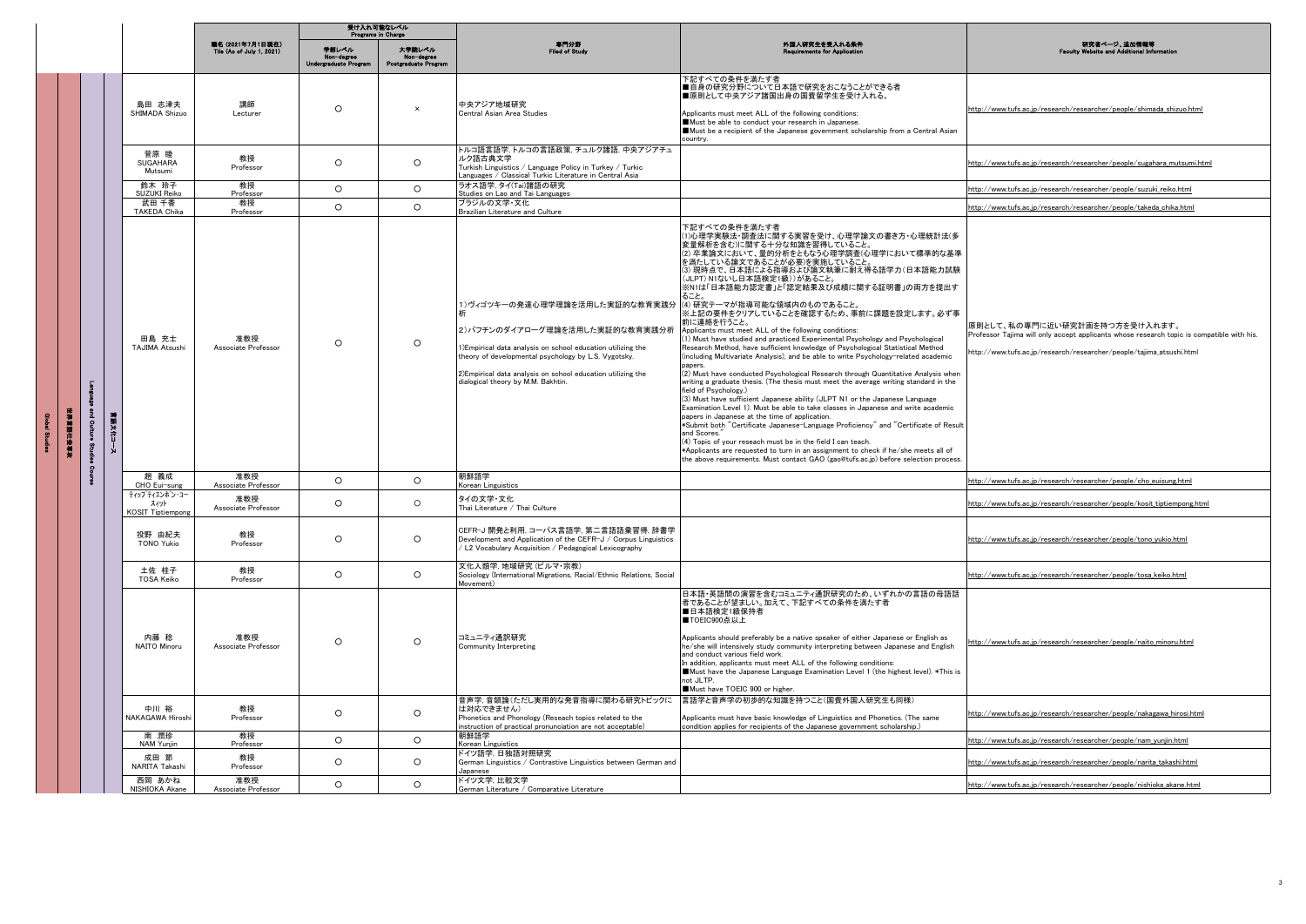|   |             |                                        |                                               | <b>Programs in Charge</b>                            | 受け入れ可能なレベル                                   |                                                                                                                                                                                                                                                                                                                            |                                                                                                                                                                                                                                                                                                                                                                                                                                                                                                                                                                                                                                                                                                                                                                                                                                                                                                                                                                                                                                                                                                                                                                                                                                                                                                                                                                                                                                                                          |                                                                                                                                                                                                    |
|---|-------------|----------------------------------------|-----------------------------------------------|------------------------------------------------------|----------------------------------------------|----------------------------------------------------------------------------------------------------------------------------------------------------------------------------------------------------------------------------------------------------------------------------------------------------------------------------|--------------------------------------------------------------------------------------------------------------------------------------------------------------------------------------------------------------------------------------------------------------------------------------------------------------------------------------------------------------------------------------------------------------------------------------------------------------------------------------------------------------------------------------------------------------------------------------------------------------------------------------------------------------------------------------------------------------------------------------------------------------------------------------------------------------------------------------------------------------------------------------------------------------------------------------------------------------------------------------------------------------------------------------------------------------------------------------------------------------------------------------------------------------------------------------------------------------------------------------------------------------------------------------------------------------------------------------------------------------------------------------------------------------------------------------------------------------------------|----------------------------------------------------------------------------------------------------------------------------------------------------------------------------------------------------|
|   |             |                                        | 職名 (2021年7月1日現在)<br>Tile (As of July 1, 2021) | 学部レベル<br>Non-degree<br>graduate Prog<br><b>Under</b> | 大学験レベル<br>Non-degree<br>Postgraduate Program | 専門分野<br>Filed of Study                                                                                                                                                                                                                                                                                                     | 外国人研究生を受入れる条件<br>nts for App                                                                                                                                                                                                                                                                                                                                                                                                                                                                                                                                                                                                                                                                                                                                                                                                                                                                                                                                                                                                                                                                                                                                                                                                                                                                                                                                                                                                                                             | 研究者ページ、追加情報等<br>bsite and Addit                                                                                                                                                                    |
|   |             | 島田 志津夫<br>SHIMADA Shizuo               | 講師<br>Lecturer                                | $\circ$                                              | $\times$                                     | 中央アジア地域研究<br>Central Asian Area Studies                                                                                                                                                                                                                                                                                    | 下記すべての条件を満たす者<br>■自身の研究分野について日本語で研究をおこなうことができる者<br>■原則として中央アジア諸国出身の国費留学生を受け入れる。<br>Applicants must meet ALL of the following conditions:<br>Must be able to conduct your research in Japanese.<br>Must be a recipient of the Japanese government scholarship from a Central Asian<br>country.                                                                                                                                                                                                                                                                                                                                                                                                                                                                                                                                                                                                                                                                                                                                                                                                                                                                                                                                                                                                                                                                                                                                                                            | http://www.tufs.ac.jp/research/researcher/people/shimada_shizuo.html                                                                                                                               |
|   |             | 菅原 睦<br><b>SUGAHARA</b><br>Mutsumi     | 教授<br>Professor                               | $\circ$                                              | $\circ$                                      | トルコ語言語学、トルコの言語政策、チュルク諸語、中央アジアチュ<br>ルク語古典文学<br>Turkish Linguistics / Language Policy in Turkey / Turkic<br>Languages / Classical Turkic Literature in Central Asia                                                                                                                                                          |                                                                                                                                                                                                                                                                                                                                                                                                                                                                                                                                                                                                                                                                                                                                                                                                                                                                                                                                                                                                                                                                                                                                                                                                                                                                                                                                                                                                                                                                          | http://www.tufs.ac.jp/research/researcher/people/sugahara_mutsumi.html                                                                                                                             |
|   |             | 鈴木 玲子<br>SUZUKI Reiko                  | 教授<br>Professor                               | $\circ$                                              | $\circ$                                      | ラオス語学, タイ(Tai)諸語の研究<br>Studies on Lao and Tai Languages                                                                                                                                                                                                                                                                    |                                                                                                                                                                                                                                                                                                                                                                                                                                                                                                                                                                                                                                                                                                                                                                                                                                                                                                                                                                                                                                                                                                                                                                                                                                                                                                                                                                                                                                                                          | http://www.tufs.ac.jp/research/researcher/people/suzuki_reiko.html                                                                                                                                 |
|   |             | 武田 千香<br><b>TAKEDA Chika</b>           | 教授<br>Professo                                | $\circ$                                              | $\circ$                                      | ブラジルの文学・文化<br>Brazilian Literature and Cultur                                                                                                                                                                                                                                                                              |                                                                                                                                                                                                                                                                                                                                                                                                                                                                                                                                                                                                                                                                                                                                                                                                                                                                                                                                                                                                                                                                                                                                                                                                                                                                                                                                                                                                                                                                          | http://www.tufs.ac.ip/research/researcher/people/takeda_chika.html                                                                                                                                 |
| ł | 中国科学学生<br>ā | 田島 充士<br><b>TAJIMA Atsushi</b>         | 准教授<br>Associate Professor                    | $\circ$                                              | $\circ$                                      | 1)ヴィゴツキーの発達心理学理論を活用した実証的な教育実践分 (4) 研究テーマが指導可能な領域内のものであること。<br>2) バフチンのダイアローグ理論を活用した実証的な教育実践分析<br>1)Empirical data analysis on school education utilizing the<br>theory of developmental psychology by L.S. Vygotsky.<br>2) Empirical data analysis on school education utilizing the<br>dialogical theory by M.M. Bakhtin. | 下記すべての条件を満たす者<br>(1)心理学実験法・調査法に関する実習を受け、心理学論文の書き方・心理統計法(多<br>変量解析を含む)に関する十分な知識を習得していること。<br>(2) 卒業論文において、量的分析をともなう心理学調査(心理学において標準的な基準<br>を満たしている論文であることが必要)を実施していること。<br>(3) 現時点で、日本語による指導および論文執筆に耐え得る語学力(日本語能力試験<br>(JLPT) N1ないし日本語検定1級))があること。<br>※N1は「日本語能力認定書」と「認定結果及び成績に関する証明書」の両方を提出す<br>ること。<br>※上記の要件をクリアしていることを確認するため、事前に課題を設定します。必ず事<br>前に連絡を行うこと。<br>Applicants must meet ALL of the following conditions:<br>1) Must have studied and practiced Experimental Psychology and Psychological<br>Research Method, have sufficient knowledge of Psychological Statistical Method<br>(including Multivariate Analysis), and be able to write Psychology-related academic<br>papers.<br>(2) Must have conducted Psychological Research through Quantitative Analysis when<br>writing a graduate thesis. (The thesis must meet the average writing standard in the<br>field of Psychology.)<br>(3) Must have sufficient Japanese ability (JLPT N1 or the Japanese Language<br>Examination Level 1). Must be able to take classes in Japanese and write academic<br>papers in Japanese at the time of application.<br>*Submit both "Certificate Japanese-Language Proficiency" and "Certificate of Result<br>and Scores."<br>(4) Topic of your reseach must be in the field I can teach.<br>*Applicants are requested to turn in an assignment to check if he/she meets all of<br>the above requirements. Must contact GAO (gao@tufs.ac.jp) before selection process. | 原則として、私の専門に近い研究計画を持つ方を受け入れます。<br>Professor Tajima will only accept applicants whose research topic is compatible with his.<br>http://www.tufs.ac.jp/research/researcher/people/tajima_atsushi.html |
|   |             | 趙 義成<br>CHO Eui-sung                   | 准教授<br>Associate Professo                     | $\circ$                                              | $\circ$                                      | 朝鮮語学<br>Korean Linguistics                                                                                                                                                                                                                                                                                                 |                                                                                                                                                                                                                                                                                                                                                                                                                                                                                                                                                                                                                                                                                                                                                                                                                                                                                                                                                                                                                                                                                                                                                                                                                                                                                                                                                                                                                                                                          | http://www.tufs.ac.jp/research/researcher/people/cho_euisung.html                                                                                                                                  |
|   |             | ティップティエンポン・コー<br>スィット<br>KOSIT Tiptiem | 准教授<br>Associate Professor                    | $\circ$                                              | $\circ$                                      | タイの文学・文化<br>Thai Literature / Thai Culture                                                                                                                                                                                                                                                                                 |                                                                                                                                                                                                                                                                                                                                                                                                                                                                                                                                                                                                                                                                                                                                                                                                                                                                                                                                                                                                                                                                                                                                                                                                                                                                                                                                                                                                                                                                          | http://www.tufs.ac.jp/research/researcher/people/kosit_tiptiempong.html                                                                                                                            |
|   |             | 投野 由紀夫<br><b>TONO Yukio</b>            | 教授<br>Professor                               | $\circ$                                              | $\circ$                                      | CEFR-J 開発と利用, コーパス言語学, 第二言語語彙習得, 辞書学<br>Development and Application of the CEFR-J / Corpus Linguistics<br>L2 Vocabulary Acquisition / Pedagogical Lexicography                                                                                                                                                             |                                                                                                                                                                                                                                                                                                                                                                                                                                                                                                                                                                                                                                                                                                                                                                                                                                                                                                                                                                                                                                                                                                                                                                                                                                                                                                                                                                                                                                                                          | http://www.tufs.ac.ip/research/researcher/people/tono_vukio.html                                                                                                                                   |
|   |             | 土佐 桂子<br><b>TOSA Keiko</b>             | 教授<br>Professor                               | $\circ$                                              | $\circ$                                      | 文化人類学, 地域研究 (ビルマ・宗教)<br>Sociology (International Migrations, Racial/Ethnic Relations, Social<br>Movement)                                                                                                                                                                                                                  |                                                                                                                                                                                                                                                                                                                                                                                                                                                                                                                                                                                                                                                                                                                                                                                                                                                                                                                                                                                                                                                                                                                                                                                                                                                                                                                                                                                                                                                                          | http://www.tufs.ac.jp/research/researcher/people/tosa_keiko.html                                                                                                                                   |
|   |             | 内藤 稔<br>NAITO Minoru                   | 准教授<br>Associate Professor                    | $\circ$                                              | $\circ$                                      | コミュニティ通訳研究<br>Community Interpreting                                                                                                                                                                                                                                                                                       | 日本語・英語間の演習を含むコミュニティ通訳研究のため、いずれかの言語の母語話<br>者であることが望ましい。加えて、下記すべての条件を満たす者<br>■日本語検定1級保持者<br>■TOEIC900点以上<br>Applicants should preferably be a native speaker of either Japanese or English as<br>he/she will intensively study community interpreting between Japanese and English<br>and conduct various field work.<br>In addition, applicants must meet ALL of the following conditions:<br>Must have the Japanese Language Examination Level 1 (the highest level). *This is<br>not JLTP.<br>Must have TOEIC 900 or higher.                                                                                                                                                                                                                                                                                                                                                                                                                                                                                                                                                                                                                                                                                                                                                                                                                                                                                                                                            | http://www.tufs.ac.jp/research/researcher/people/naito_minoru.html                                                                                                                                 |
|   |             | 中川 裕<br>NAKAGAWA Hiroshi               | 教授<br>Professor                               | $\circ$                                              | $\circ$                                      | 音声学,音韻論(ただし実用的な発音指導に関わる研究トピックに<br>は対応できません)<br>Phonetics and Phonology (Reseach topics related to the<br>nstruction of practical pronunciation are not acceptable)                                                                                                                                                         | 言語学と音声学の初歩的な知識を持つこと(国費外国人研究生も同様)<br>Applicants must have basic knowledge of Linguistics and Phonetics. (The same<br>condition applies for recipients of the Japanese government scholarship.)                                                                                                                                                                                                                                                                                                                                                                                                                                                                                                                                                                                                                                                                                                                                                                                                                                                                                                                                                                                                                                                                                                                                                                                                                                                                            | http://www.tufs.ac.jp/research/researcher/people/nakagawa_hirosi.html                                                                                                                              |
|   |             | 南 潤珍<br>NAM Yunjin                     | 教授<br>Professor                               | $\circ$                                              | $\circ$                                      | 朝鮮語学<br>Korean Linguistics                                                                                                                                                                                                                                                                                                 |                                                                                                                                                                                                                                                                                                                                                                                                                                                                                                                                                                                                                                                                                                                                                                                                                                                                                                                                                                                                                                                                                                                                                                                                                                                                                                                                                                                                                                                                          | http://www.tufs.ac.jp/research/researcher/people/nam_yunjin.html                                                                                                                                   |
|   |             | 成用 節<br>NARITA Takashi                 | 教授<br>Professor                               | $\circ$                                              | $\circ$                                      | ドイツ語学, 日独語対照研究<br>German Linguistics / Contrastive Linguistics between German and<br>Japanese                                                                                                                                                                                                                              |                                                                                                                                                                                                                                                                                                                                                                                                                                                                                                                                                                                                                                                                                                                                                                                                                                                                                                                                                                                                                                                                                                                                                                                                                                                                                                                                                                                                                                                                          | http://www.tufs.ac.jp/research/researcher/people/narita_takashi.html                                                                                                                               |
|   |             | 西岡 あかね<br>NISHIOKA Akane               | 准教授<br>Associate Professor                    | $\circ$                                              | $\circ$                                      | ドイツ文学. 比較文学<br>German Literature / Comparative Literature                                                                                                                                                                                                                                                                  |                                                                                                                                                                                                                                                                                                                                                                                                                                                                                                                                                                                                                                                                                                                                                                                                                                                                                                                                                                                                                                                                                                                                                                                                                                                                                                                                                                                                                                                                          | http://www.tufs.ac.jp/research/researcher/people/nishioka_akane.html                                                                                                                               |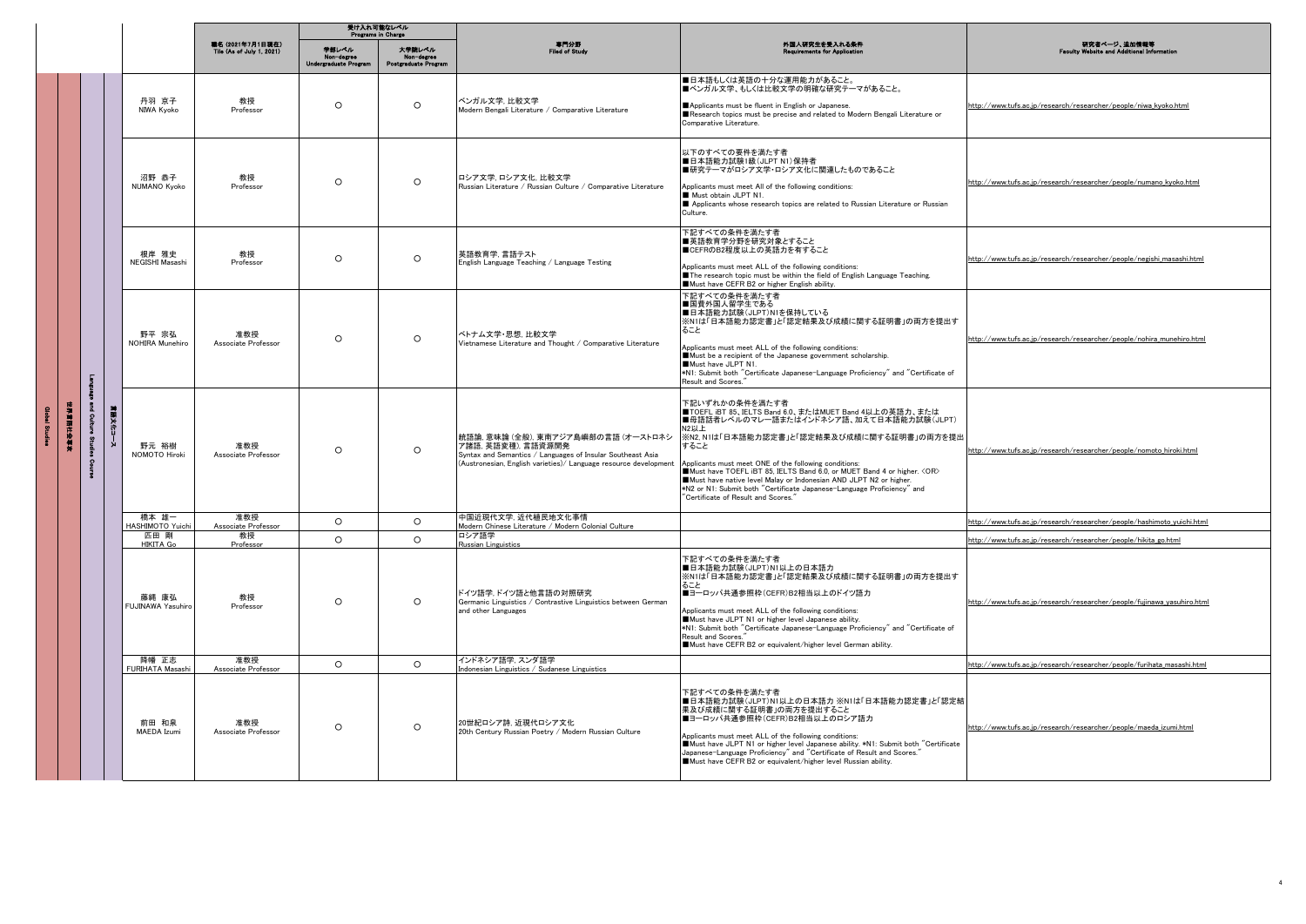|          |                         |                             |                                               | 受け入れ可能なレベル<br>Programs in Charge     |                                              |                                                                                                                                                                                             |                                                                                                                                                                                                                                                                                                                                                                                                                                                                                                             |                                                                         |
|----------|-------------------------|-----------------------------|-----------------------------------------------|--------------------------------------|----------------------------------------------|---------------------------------------------------------------------------------------------------------------------------------------------------------------------------------------------|-------------------------------------------------------------------------------------------------------------------------------------------------------------------------------------------------------------------------------------------------------------------------------------------------------------------------------------------------------------------------------------------------------------------------------------------------------------------------------------------------------------|-------------------------------------------------------------------------|
|          |                         |                             | 職名 (2021年7月1日現在)<br>Tile (As of July 1, 2021) | 学部レベル<br><b>Undergraduate Progra</b> | 大学院レベル<br>Non-degree<br>Postgraduate Program | 専門分野<br>Filed of Study                                                                                                                                                                      | 外国人研究生を受入れる条件<br><b>Requirements for Apr</b>                                                                                                                                                                                                                                                                                                                                                                                                                                                                | 研究者ページ、追加情報等<br>Website and Additional Info<br><b>Feoulo</b>            |
|          |                         | 丹羽 京子<br>NIWA Kvoko         | 教授<br>Professor                               | $\circ$                              | $\circ$                                      | ベンガル文学, 比較文学<br>Modern Bengali Literature / Comparative Literature                                                                                                                          | ■日本語もしくは英語の十分な運用能力があること。<br>■ベンガル文学、もしくは比較文学の明確な研究テーマがあること。<br>Applicants must be fluent in English or Japanese.<br>Research topics must be precise and related to Modern Bengali Literature or<br>Comparative Literature.                                                                                                                                                                                                                                                                                  | http://www.tufs.ac.jp/research/researcher/people/niwa_kyoko.html        |
|          |                         | 沼野 恭子<br>NUMANO Kyoko       | 教授<br>Professor                               | $\circ$                              | $\circ$                                      | ロシア文学. ロシア文化. 比較文学<br>Russian Literature / Russian Culture / Comparative Literature                                                                                                         | 以下のすべての要件を満たす者<br>■日本語能力試験1級(JLPT N1)保持者<br>■研究テーマがロシア文学·ロシア文化に関連したものであること<br>Applicants must meet All of the following conditions:<br>Must obtain JLPT N1.<br>Applicants whose research topics are related to Russian Literature or Russian<br>Culture.                                                                                                                                                                                                                                                    | http://www.tufs.ac.jp/research/researcher/people/numano_kyoko.html      |
|          |                         | 根岸 雅中<br>NEGISHI Masashi    | 教授<br>Professor                               | $\circ$                              | $\circ$                                      | 英語教育学, 言語テスト<br>English Language Teaching / Language Testing                                                                                                                                | 下記すべての条件を満たす者<br>■英語教育学分野を研究対象とすること<br>■CEFRのB2程度以上の英語力を有すること<br>Applicants must meet ALL of the following conditions:<br>The research topic must be within the field of English Language Teaching.<br>Must have CEFR B2 or higher English ability.                                                                                                                                                                                                                                                         | http://www.tufs.ac.jp/research/researcher/people/negishi_masashi.html   |
|          | Е                       | 野平 宗弘<br>NOHIRA Munehiro    | 准教授<br>Associate Professor                    | $\circ$                              | $\circ$                                      | ベトナム文学・思想、比較文学<br>Vietnamese Literature and Thought / Comparative Literature                                                                                                                | 下記すべての条件を満たす者<br>■国費外国人留学生である<br>■日本語能力試験(JLPT)N1を保持している<br>※N1は「日本語能力認定書」と「認定結果及び成績に関する証明書」の両方を提出す<br>ること<br>Applicants must meet ALL of the following conditions:<br>Must be a recipient of the Japanese government scholarship.<br>Must have JLPT N1.<br>*N1: Submit both "Certificate Japanese-Language Proficiency" and "Certificate of<br>Result and Scores."                                                                                                                                         | http://www.tufs.ac.jp/research/researcher/people/nohira_munehiro.html   |
| 计空间调节设备台 | ā.<br>言語文化二<br>ð,<br>-3 | 野元 裕樹<br>NOMOTO Hiroki      | 准教授<br>Associate Professor                    | $\circ$                              | $\circ$                                      | 統語論, 意味論 (全般), 東南アジア島嶼部の言語 (オーストロネシ<br>ア諸語, 英語変種), 言語資源開発<br>Syntax and Semantics / Languages of Insular Southeast Asia<br>(Austronesian, English varieties)/ Language resource development | 下記いずれかの条件を満たす者<br>■TOEFL iBT 85、IELTS Band 6.0、またはMUET Band 4以上の英語力、または<br>■母語話者レベルのマレー語またはインドネシア語、加えて日本語能力試験(JLPT)<br>N2L1<br>※N2, N1は「日本語能力認定書」と「認定結果及び成績に関する証明書」の両方を提出<br>すること<br>Applicants must meet ONE of the following conditions:<br>Must have TOEFL IBT 85, IELTS Band 6.0, or MUET Band 4 or higher. < OR><br>Must have native level Malay or Indonesian AND JLPT N2 or higher.<br>*N2 or N1: Submit both "Certificate Japanese-Language Proficiency" and<br>"Certificate of Result and Scores." | http://www.tufs.ac.jp/research/researcher/people/nomoto_hiroki.html     |
|          |                         | 橋本 雄一<br>HASHIMOTO Yuich    | 准教授<br>Associate Professo                     | $\circ$                              | $\circ$                                      | 中国近現代文学, 近代植民地文化事情<br>Modern Chinese Literature / Modern Colonial Culture                                                                                                                   |                                                                                                                                                                                                                                                                                                                                                                                                                                                                                                             | http://www.tufs.ac.jp/research/researcher/people/hashimoto_yuichi.html  |
|          |                         | 匹田 剛<br>HIKITA Go           | 教授<br>Professor                               | $\circ$                              | $\circ$                                      | ロシア語学<br>Russian Linguistics                                                                                                                                                                |                                                                                                                                                                                                                                                                                                                                                                                                                                                                                                             | http://www.tufs.ac.jp/research/researcher/people/hikita_go.html         |
|          |                         | 藤縄 康弘<br>FUJINAWA Yasuhir   | 教授<br>Professor                               | $\circ$                              | $\circ$                                      | ドイツ語学、ドイツ語と他言語の対照研究<br>Germanic Linguistics / Contrastive Linguistics between German<br>and other Languages                                                                                 | 下記すべての条件を満たす者<br>■日本語能力試験(JLPT)N1以上の日本語力<br>※N1は「日本語能力認定書」と「認定結果及び成績に関する証明書」の両方を提出す<br>ること<br>■ヨーロッパ共通参照枠(CEFR)B2相当以上のドイツ語力<br>Applicants must meet ALL of the following conditions:<br>Must have JLPT N1 or higher level Japanese ability.<br>*N1: Submit both "Certificate Japanese-Language Proficiency" and "Certificate of<br>Result and Scores."<br>Must have CEFR B2 or equivalent/higher level German ability.                                                                                      | http://www.tufs.ac.jp/research/researcher/people/fujinawa_yasuhiro.html |
|          |                         | 降幡 正志<br>FURIHATA Masashi   | 准教授<br>Associate Professor                    | $\circ$                              | $\circ$                                      | インドネシア語学、スンダ語学<br>Indonesian Linguistics / Sudanese Linguistics                                                                                                                             |                                                                                                                                                                                                                                                                                                                                                                                                                                                                                                             | http://www.tufs.ac.jp/research/researcher/people/furihata_masashi.html  |
|          |                         | 前田 和泉<br><b>MAEDA</b> Izumi | 准教授<br>Associate Professor                    | $\circ$                              | $\circ$                                      | 20世紀ロシア詩. 近現代ロシア文化<br>20th Century Russian Poetry / Modern Russian Culture                                                                                                                  | 下記すべての条件を満たす者<br>■日本語能力試験(JLPT)N1以上の日本語力 ※N1は「日本語能力認定書」と「認定結<br>果及び成績に関する証明書」の両方を提出すること<br>■ヨーロッパ共通参照枠(CEFR)B2相当以上のロシア語力<br>Applicants must meet ALL of the following conditions:<br>Must have JLPT N1 or higher level Japanese ability. *N1: Submit both "Certificate<br>Japanese-Language Proficiency" and "Certificate of Result and Scores."<br>Must have CEFR B2 or equivalent/higher level Russian ability.                                                                                           | http://www.tufs.ac.jp/research/researcher/people/maeda_izumi.html       |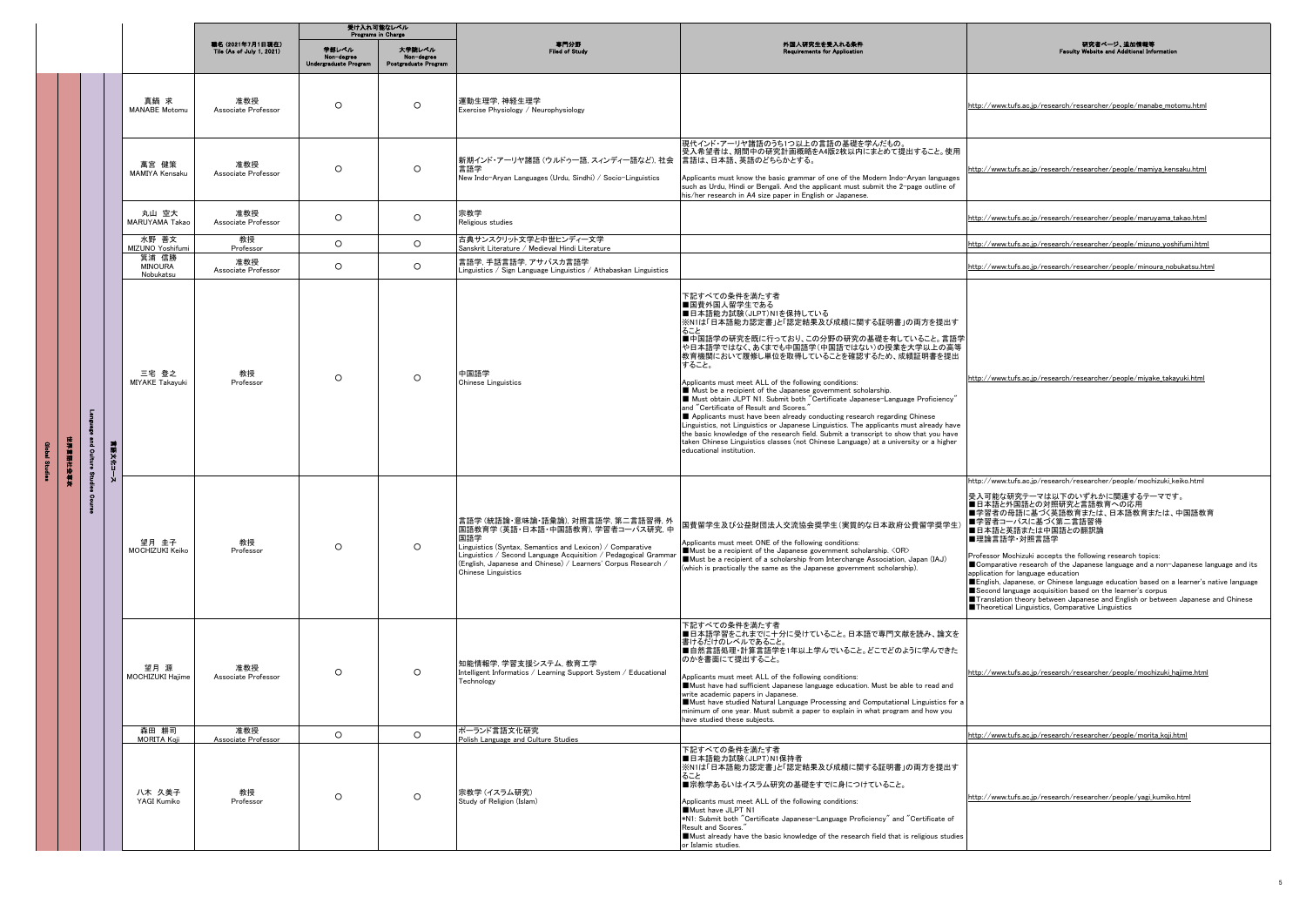|        |                      |                                      |                                               | 受け入れ可能なレベル<br>Programs in Charge             |                                              |                                                                                                                                                                                                                                                                                                         |                                                                                                                                                                                                                                                                                                                                                                                                                                                                                                                                                                                                                                                                                                                                                                                                                                                                                           |                                                                                                                                                                                                                                                                                                                                                                                                                                                                                                                                                                                                                                                                                                                            |
|--------|----------------------|--------------------------------------|-----------------------------------------------|----------------------------------------------|----------------------------------------------|---------------------------------------------------------------------------------------------------------------------------------------------------------------------------------------------------------------------------------------------------------------------------------------------------------|-------------------------------------------------------------------------------------------------------------------------------------------------------------------------------------------------------------------------------------------------------------------------------------------------------------------------------------------------------------------------------------------------------------------------------------------------------------------------------------------------------------------------------------------------------------------------------------------------------------------------------------------------------------------------------------------------------------------------------------------------------------------------------------------------------------------------------------------------------------------------------------------|----------------------------------------------------------------------------------------------------------------------------------------------------------------------------------------------------------------------------------------------------------------------------------------------------------------------------------------------------------------------------------------------------------------------------------------------------------------------------------------------------------------------------------------------------------------------------------------------------------------------------------------------------------------------------------------------------------------------------|
|        |                      |                                      | 職名 (2021年7月1日現在)<br>Tile (As of July 1, 2021) | 単部レベル<br>Non-degree<br>Undergraduate Program | 大学験レベル<br>Non-degree<br>Postgraduate Program | 専門分野<br>Filed of Study                                                                                                                                                                                                                                                                                  | 外国人研究生を受入れる条件<br><b>Requirements for Application</b>                                                                                                                                                                                                                                                                                                                                                                                                                                                                                                                                                                                                                                                                                                                                                                                                                                      | 研究者ページ、追加情報等<br><b>Faculty Website and Additional Information</b>                                                                                                                                                                                                                                                                                                                                                                                                                                                                                                                                                                                                                                                          |
|        |                      | 真鍋 求<br><b>MANABE Motomu</b>         | 准教授<br>Associate Professor                    | $\circ$                                      | $\circ$                                      | 運動生理学, 神経生理学<br>Exercise Physiology / Neurophysiology                                                                                                                                                                                                                                                   |                                                                                                                                                                                                                                                                                                                                                                                                                                                                                                                                                                                                                                                                                                                                                                                                                                                                                           | http://www.tufs.ac.jp/research/researcher/people/manabe_motomu.html                                                                                                                                                                                                                                                                                                                                                                                                                                                                                                                                                                                                                                                        |
|        |                      | 萬宮 健策<br>MAMIYA Kensaku              | 准教授<br>Associate Professor                    | $\Omega$                                     | $\circ$                                      | 新期インド・アーリヤ諸語 (ウルドゥー語, スィンディー語など), 社会<br>言語学<br>New Indo-Aryan Languages (Urdu, Sindhi) / Socio-Linguistics                                                                                                                                                                                              | 現代インド・アーリヤ諸語のうち1つ以上の言語の基礎を学んだもの。<br>受入希望者は、期間中の研究計画概略をA4版2枚以内にまとめて提出すること。使用<br>言語は、日本語、英語のどちらかとする。<br>Applicants must know the basic grammar of one of the Modern Indo-Aryan languages<br>such as Urdu, Hindi or Bengali. And the applicant must submit the 2-page outline of<br>his/her research in A4 size paper in English or Japanese.                                                                                                                                                                                                                                                                                                                                                                                                                                                                                                                                                | http://www.tufs.ac.jp/research/researcher/people/mamiya_kensaku.html                                                                                                                                                                                                                                                                                                                                                                                                                                                                                                                                                                                                                                                       |
|        |                      | 丸山 空大<br>MARUYAMA Takao              | 准教授<br>Associate Professor                    | $\circ$                                      | $\circ$                                      | 宗教学<br>Religious studies                                                                                                                                                                                                                                                                                |                                                                                                                                                                                                                                                                                                                                                                                                                                                                                                                                                                                                                                                                                                                                                                                                                                                                                           | http://www.tufs.ac.jp/research/researcher/people/maruyama_takao.html                                                                                                                                                                                                                                                                                                                                                                                                                                                                                                                                                                                                                                                       |
|        |                      | 水野 善文<br>MIZUNO Yoshifun             | 教授<br>Professor                               | $\circ$                                      | $\circ$                                      | 古典サンスクリット文学と中世ヒンディー文学<br>Sanskrit Literature / Medieval Hindi Literature                                                                                                                                                                                                                                |                                                                                                                                                                                                                                                                                                                                                                                                                                                                                                                                                                                                                                                                                                                                                                                                                                                                                           | http://www.tufs.ac.ip/research/researcher/people/mizuno_voshifumi.html                                                                                                                                                                                                                                                                                                                                                                                                                                                                                                                                                                                                                                                     |
|        |                      | 箕浦 信勝<br><b>MINOURA</b><br>Nobukatsu | 准教授<br>Associate Professor                    | $\circ$                                      | $\circ$                                      | 言語学, 手話言語学, アサバスカ言語学<br>Linguistics / Sign Language Linguistics / Athabaskan Linguistics                                                                                                                                                                                                                |                                                                                                                                                                                                                                                                                                                                                                                                                                                                                                                                                                                                                                                                                                                                                                                                                                                                                           | http://www.tufs.ac.jp/research/researcher/people/minoura_nobukatsu.html                                                                                                                                                                                                                                                                                                                                                                                                                                                                                                                                                                                                                                                    |
| 球細菌体液体 | Ę<br>and Ou<br>■東文化: | 三宅 登之<br><b>MIYAKE Takayuki</b>      | 教授<br>Professor                               | $\circ$                                      | $\circ$                                      | 中国語学<br>Chinese Linguistics                                                                                                                                                                                                                                                                             | 下記すべての条件を満たす者<br>■国費外国人留学生である<br>■日本語能力試験(JLPT)N1を保持している<br>※N1は「日本語能力認定書」と「認定結果及び成績に関する証明書」の両方を提出す<br>ること<br>■中国語学の研究を既に行っており、この分野の研究の基礎を有していること。言語学<br>や日本語学ではなく、あくまでも中国語学(中国語ではない)の授業を大学以上の高等<br>教育機関において履修し単位を取得していることを確認するため、成績証明書を提出<br>すること。<br>Applicants must meet ALL of the following conditions:<br>Must be a recipient of the Japanese government scholarship.<br>■ Must obtain JLPT N1. Submit both "Certificate Japanese-Language Proficiency"<br>and "Certificate of Result and Scores."<br>Applicants must have been already conducting research regarding Chinese<br>Linguistics, not Linguistics or Japanese Linguistics. The applicants must already have<br>the basic knowledge of the research field. Submit a transcript to show that you have<br>taken Chinese Linguistics classes (not Chinese Language) at a university or a higher<br>educational institution. | http://www.tufs.ac.ip/research/researcher/people/mivake takavuki.html                                                                                                                                                                                                                                                                                                                                                                                                                                                                                                                                                                                                                                                      |
|        |                      | 望月 圭子<br>MOCHIZUKI Keiko             | 教授<br>Professor                               | $\circ$                                      | $\circ$                                      | 言語学 (統語論・意味論・語彙論), 対照言語学, 第二言語習得, 外<br>国語教育学 (英語・日本語・中国語教育). 学習者コーパス研究. 中<br>国語学<br>Linguistics (Syntax, Semantics and Lexicon) / Comparative<br>Linguistics / Second Language Acquisition / Pedagogical Gramma<br>(English, Japanese and Chinese) / Learners' Corpus Research /<br>Chinese Linguistics | 国費留学生及び公益財団法人交流協会奨学生(実質的な日本政府公費留学奨学生)<br>Applicants must meet ONE of the following conditions:<br>Must be a recipient of the Japanese government scholarship. < OR><br>Must be a recipient of a scholarship from Interchange Association, Japan (IAJ)<br>(which is practically the same as the Japanese government scholarship).                                                                                                                                                                                                                                                                                                                                                                                                                                                                                                                                                          | http://www.tufs.ac.jp/research/researcher/people/mochizuki_keiko.html<br>受入可能な研究テーマは以下のいずれかに関連するテーマです。<br>■日本語と外国語との対照研究と言語教育への応用<br>■学習者の母語に基づく英語教育または、日本語教育または、中国語教育<br>■学習者コーパスに基づく第二言語習得<br>■日本語と英語または中国語との翻訳論<br>■理論言語学·対照言語学<br>Professor Mochizuki accepts the following research topics:<br>■ Comparative research of the Japanese language and a non-Japanese language and its<br>application for language education<br>English, Japanese, or Chinese language education based on a learner's native language<br>Second language acquisition based on the learner's corpus<br>Translation theory between Japanese and English or between Japanese and Chinese<br>Theoretical Linguistics, Comparative Linguistics |
|        |                      | 望月 源<br>MOCHIZUKI Hajime             | 准教授<br>Associate Professor                    | $\circ$                                      | $\circ$                                      | 知能情報学, 学習支援システム, 教育工学<br>Intelligent Informatics / Learning Support System / Educational<br>Technology                                                                                                                                                                                                  | 下記すべての条件を満たす者<br>■日本語学習をこれまでに十分に受けていること。日本語で専門文献を読み、論文を<br>書けるだけのレベルであること。<br>■自然言語処理・計算言語学を1年以上学んでいること。どこでどのように学んできた<br>のかを書面にて提出すること。<br>Applicants must meet ALL of the following conditions:<br>Must have had sufficient Japanese language education. Must be able to read and<br>write academic papers in Japanese.<br>Must have studied Natural Language Processing and Computational Linguistics for a<br>minimum of one year. Must submit a paper to explain in what program and how you<br>have studied these subjects                                                                                                                                                                                                                                                                                                                                                           | http://www.tufs.ac.jp/research/researcher/people/mochizuki_hajime.html                                                                                                                                                                                                                                                                                                                                                                                                                                                                                                                                                                                                                                                     |
|        |                      | 森田 耕司<br>MORITA Koji                 | 准教授<br>Associate Professor                    | $\circ$                                      | $\circ$                                      | ポーランド言語文化研究<br>Polish Language and Culture Studies                                                                                                                                                                                                                                                      |                                                                                                                                                                                                                                                                                                                                                                                                                                                                                                                                                                                                                                                                                                                                                                                                                                                                                           | http://www.tufs.ac.jp/research/researcher/people/morita_koji.html                                                                                                                                                                                                                                                                                                                                                                                                                                                                                                                                                                                                                                                          |
|        |                      | 八木 久美子<br>YAGI Kumiko                | 教授<br>Professor                               | $\circ$                                      | $\circ$                                      | 宗教学 (イスラム研究)<br>Study of Religion (Islam)                                                                                                                                                                                                                                                               | 下記すべての条件を満たす者<br>■日本語能力試験(JLPT)N1保持者<br>※N1は「日本語能力認定書」と「認定結果及び成績に関する証明書」の両方を提出す<br>ること<br>■宗教学あるいはイスラム研究の基礎をすでに身につけていること。<br>Applicants must meet ALL of the following conditions:<br>Must have JLPT N1<br>*N1: Submit both "Certificate Japanese-Language Proficiency" and "Certificate of<br>Result and Scores.<br>Must already have the basic knowledge of the research field that is religious studies<br>or Islamic studies.                                                                                                                                                                                                                                                                                                                                                                                                                                                         | http://www.tufs.ac.jp/research/researcher/people/yagi_kumiko.html                                                                                                                                                                                                                                                                                                                                                                                                                                                                                                                                                                                                                                                          |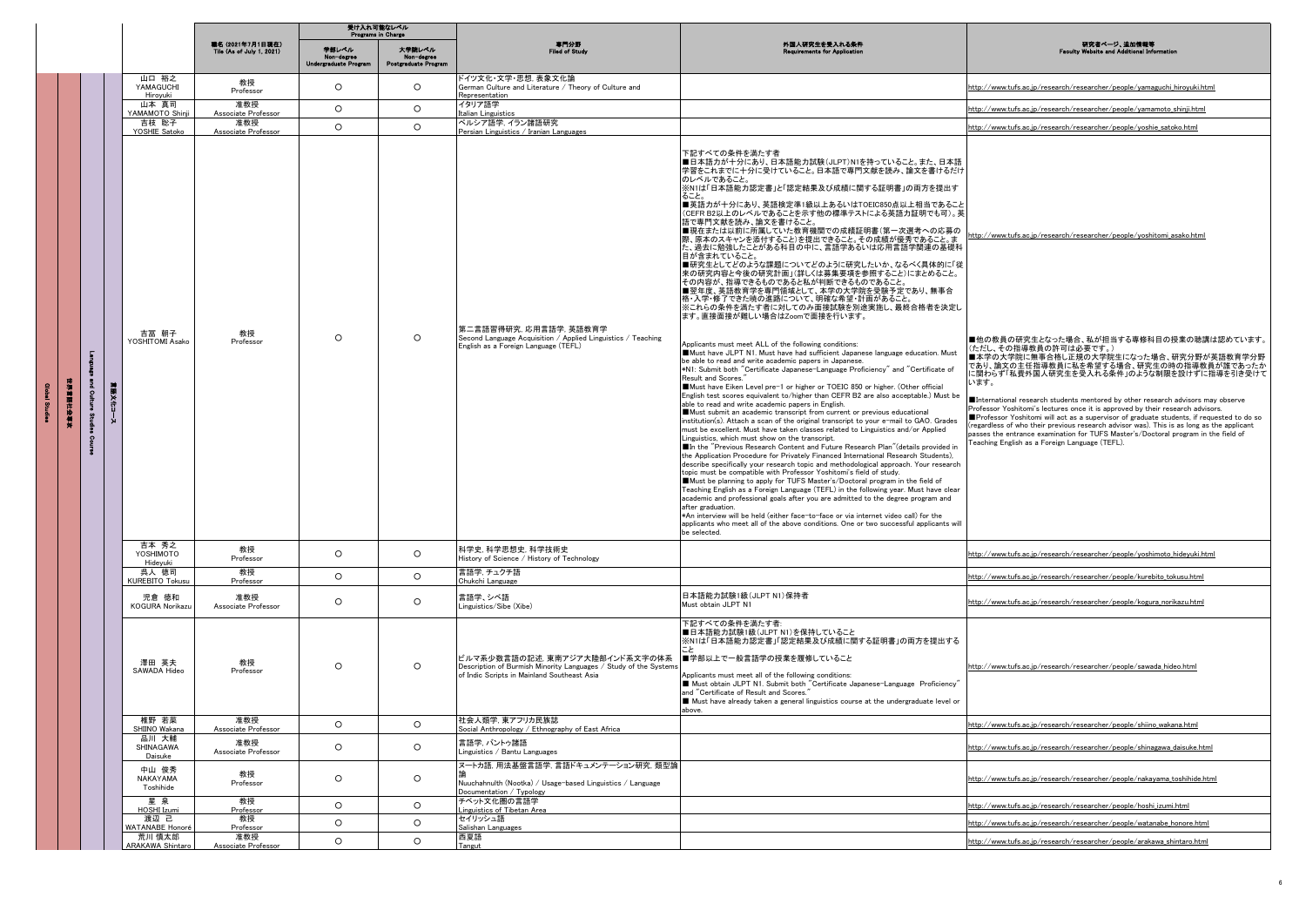|                           |           |                                                |                                               | 受け入れ可能なレベル<br>Programs in Charge |                                              |                                                                                                                                                                             |                                                                                                                                                                                                                                                                                                                                                                                                                                                                                                                                                                                                                                                                                                                                                                                                                                                                                                                                                                                                                                                                                                                                                                                                                                                                                                                                                                                                                                                                                                                                                                                                                                                                                                                                                                                                                                                                                                                                                                                                                                                                                                                                                                                                                                                                                                                                                                                                                  |                                                                                                                                                                                                                                                                                                                                                                                                                                                                                                                                                                                                                                                                                                                                                                                              |
|---------------------------|-----------|------------------------------------------------|-----------------------------------------------|----------------------------------|----------------------------------------------|-----------------------------------------------------------------------------------------------------------------------------------------------------------------------------|------------------------------------------------------------------------------------------------------------------------------------------------------------------------------------------------------------------------------------------------------------------------------------------------------------------------------------------------------------------------------------------------------------------------------------------------------------------------------------------------------------------------------------------------------------------------------------------------------------------------------------------------------------------------------------------------------------------------------------------------------------------------------------------------------------------------------------------------------------------------------------------------------------------------------------------------------------------------------------------------------------------------------------------------------------------------------------------------------------------------------------------------------------------------------------------------------------------------------------------------------------------------------------------------------------------------------------------------------------------------------------------------------------------------------------------------------------------------------------------------------------------------------------------------------------------------------------------------------------------------------------------------------------------------------------------------------------------------------------------------------------------------------------------------------------------------------------------------------------------------------------------------------------------------------------------------------------------------------------------------------------------------------------------------------------------------------------------------------------------------------------------------------------------------------------------------------------------------------------------------------------------------------------------------------------------------------------------------------------------------------------------------------------------|----------------------------------------------------------------------------------------------------------------------------------------------------------------------------------------------------------------------------------------------------------------------------------------------------------------------------------------------------------------------------------------------------------------------------------------------------------------------------------------------------------------------------------------------------------------------------------------------------------------------------------------------------------------------------------------------------------------------------------------------------------------------------------------------|
|                           |           |                                                | 職名 (2021年7月1日現在)<br>Tile (As of July 1, 2021) | 学部レベル<br>Undergraduate Program   | 大学院レベル<br>Non-degree<br>Postgraduate Program | 専門分野<br><b>Filed of Study</b>                                                                                                                                               | 外国人研究生を受入れる条件<br><b>Requirements for Appl</b>                                                                                                                                                                                                                                                                                                                                                                                                                                                                                                                                                                                                                                                                                                                                                                                                                                                                                                                                                                                                                                                                                                                                                                                                                                                                                                                                                                                                                                                                                                                                                                                                                                                                                                                                                                                                                                                                                                                                                                                                                                                                                                                                                                                                                                                                                                                                                                    | 研究者ページ、追加情報等<br><b>Nebsite and Additional Info</b><br>Feoulty                                                                                                                                                                                                                                                                                                                                                                                                                                                                                                                                                                                                                                                                                                                                |
|                           |           | 山口 裕之<br>YAMAGUCHI<br>Hiroyuki                 | 教授<br>Professor                               | $\circ$                          | $\circ$                                      | ドイツ文化・文学・思想, 表象文化論<br>German Culture and Literature / Theory of Culture and<br>Representation                                                                               |                                                                                                                                                                                                                                                                                                                                                                                                                                                                                                                                                                                                                                                                                                                                                                                                                                                                                                                                                                                                                                                                                                                                                                                                                                                                                                                                                                                                                                                                                                                                                                                                                                                                                                                                                                                                                                                                                                                                                                                                                                                                                                                                                                                                                                                                                                                                                                                                                  | http://www.tufs.ac.jp/research/researcher/people/yamaguchi_hiroyuki.html                                                                                                                                                                                                                                                                                                                                                                                                                                                                                                                                                                                                                                                                                                                     |
|                           |           | 山本 真司<br>YAMAMOTO Shinji                       | 准教授<br>Associate Professor                    | $\circ$                          | $\circ$                                      | イタリア語学<br>Italian Linguistics                                                                                                                                               |                                                                                                                                                                                                                                                                                                                                                                                                                                                                                                                                                                                                                                                                                                                                                                                                                                                                                                                                                                                                                                                                                                                                                                                                                                                                                                                                                                                                                                                                                                                                                                                                                                                                                                                                                                                                                                                                                                                                                                                                                                                                                                                                                                                                                                                                                                                                                                                                                  | http://www.tufs.ac.jp/research/researcher/people/yamamoto_shinji.html                                                                                                                                                                                                                                                                                                                                                                                                                                                                                                                                                                                                                                                                                                                        |
|                           |           | 吉枝 聡子<br>YOSHIE Satoko                         | 准教授<br>Associate Professor                    | $\circ$                          | $\circ$                                      | ペルシア語学, イラン諸語研究<br>Persian Linguistics / Iranian Languages                                                                                                                  |                                                                                                                                                                                                                                                                                                                                                                                                                                                                                                                                                                                                                                                                                                                                                                                                                                                                                                                                                                                                                                                                                                                                                                                                                                                                                                                                                                                                                                                                                                                                                                                                                                                                                                                                                                                                                                                                                                                                                                                                                                                                                                                                                                                                                                                                                                                                                                                                                  | http://www.tufs.ac.jp/research/researcher/people/yoshie_satoko.html                                                                                                                                                                                                                                                                                                                                                                                                                                                                                                                                                                                                                                                                                                                          |
| г<br>医第三指数<br>튒<br>5<br>2 | ■東文化<br>Į | 吉冨 朝子<br>YOSHITOMI Asako<br>吉本 秀之              | 教授<br>Professor                               | $\circ$                          | $\circ$                                      | 第二言語習得研究, 応用言語学, 英語教育学<br>Second Language Acquisition / Applied Linguistics / Teaching<br>English as a Foreign Language (TEFL)                                              | 下記すべての条件を満たす者<br>■日本語力が十分にあり、日本語能力試験(JLPT)N1を持っていること。また、日本語<br> 学習をこれまでに十分に受けていること。日本語で専門文献を読み、論文を書けるだけ<br>のレベルであること。<br>※N1は「日本語能力認定書」と「認定結果及び成績に関する証明書」の両方を提出す<br>ること。<br>■英語力が十分にあり、英語検定準1級以上あるいはTOEIC850点以上相当であること<br>(CEFR B2以上のレベルであることを示す他の標準テストによる英語力証明でも可)。英<br>語で専門文献を読み、論文を書けること。<br>■現在または以前に所属していた教育機関での成績証明書(第一次選考への応募の<br>際、原本のスキャンを添付すること)を提出できること。その成績が優秀であること。ま<br>た、過去に勉強したことがある科目の中に、言語学あるいは応用言語学関連の基礎科<br>目が含まれていること。<br>■研究生としてどのような課題についてどのように研究したいか、なるべく具体的に「従<br>来の研究内容と今後の研究計画」(詳しくは募集要項を参照すること)にまとめること。<br>その内容が、指導できるものであると私が判断できるものであること。<br>■翌年度、英語教育学を専門領域として、本学の大学院を受験予定であり、無事合<br>格・入学・修了できた暁の進路について、明確な希望・計画があること。<br>※これらの条件を満たす者に対してのみ面接試験を別途実施し、最終合格者を決定し<br>ます。直接面接が難しい場合はZoomで面接を行います。<br>Applicants must meet ALL of the following conditions:<br>Must have JLPT N1. Must have had sufficient Japanese language education. Must<br>be able to read and write academic papers in Japanese.<br>*N1: Submit both "Certificate Japanese-Language Proficiency" and "Certificate of<br>Result and Scores.<br>Must have Eiken Level pre-1 or higher or TOEIC 850 or higher. (Other official<br>English test scores equivalent to/higher than CEFR B2 are also acceptable.) Must be<br>able to read and write academic papers in English.<br>Must submit an academic transcript from current or previous educational<br>institution(s). Attach a scan of the original transcript to your e-mail to GAO. Grades<br>must be excellent. Must have taken classes related to Linguistics and/or Applied<br>Linguistics, which must show on the transcript.<br>■In the "Previous Research Content and Future Research Plan"(details provided in<br>the Application Procedure for Privately Financed International Research Students).<br>describe specifically your research topic and methodological approach. Your research<br>topic must be compatible with Professor Yoshitomi's field of study.<br>Must be planning to apply for TUFS Master's/Doctoral program in the field of<br>Teaching English as a Foreign Language (TEFL) in the following year. Must have clear<br>academic and professional goals after you are admitted to the degree program and<br>after graduation.<br>*An interview will be held (either face-to-face or via internet video call) for the<br>applicants who meet all of the above conditions. One or two successful applicants will<br>be selected. | http://www.tufs.ac.jp/research/researcher/people/yoshitomi_asako.html<br>■他の教員の研究生となった場合、私が担当する専修科目の授業の聴講は認めています。<br>(ただし、その指導教員の許可は必要です。)<br>■本学の大学院に無事合格し正規の大学院生になった場合、研究分野が英語教育学分野<br>であり、論文の主任指導教員に私を希望する場合、研究生の時の指導教員が誰であったか<br>に関わらず「私費外国人研究生を受入れる条件」のような制限を設けずに指導を引き受けて<br>います。<br>International research students mentored by other research advisors may observe<br>Professor Yoshitomi's lectures once it is approved by their research advisors.<br>Professor Yoshitomi will act as a supervisor of graduate students, if requested to do so<br>(regardless of who their previous research advisor was). This is as long as the applicant<br>passes the entrance examination for TUFS Master's/Doctoral program in the field of<br>Feaching English as a Foreign Language (TEFL). |
|                           |           | YOSHIMOTO<br>Hideyuki                          | 教授<br>Professor                               | $\circ$                          | $\circ$                                      | 科学史, 科学思想史, 科学技術史<br>History of Science / History of Technology                                                                                                             |                                                                                                                                                                                                                                                                                                                                                                                                                                                                                                                                                                                                                                                                                                                                                                                                                                                                                                                                                                                                                                                                                                                                                                                                                                                                                                                                                                                                                                                                                                                                                                                                                                                                                                                                                                                                                                                                                                                                                                                                                                                                                                                                                                                                                                                                                                                                                                                                                  | http://www.tufs.ac.jp/research/researcher/people/yoshimoto_hideyuki.html                                                                                                                                                                                                                                                                                                                                                                                                                                                                                                                                                                                                                                                                                                                     |
|                           |           | 呉人 徳司<br>KUREBITO Tokus                        | 教授<br>Professor                               | $\circ$                          | $\circ$                                      | 言語学. チュクチ語<br>Chukchi Language                                                                                                                                              |                                                                                                                                                                                                                                                                                                                                                                                                                                                                                                                                                                                                                                                                                                                                                                                                                                                                                                                                                                                                                                                                                                                                                                                                                                                                                                                                                                                                                                                                                                                                                                                                                                                                                                                                                                                                                                                                                                                                                                                                                                                                                                                                                                                                                                                                                                                                                                                                                  | http://www.tufs.ac.jp/research/researcher/people/kurebito_tokusu.html                                                                                                                                                                                                                                                                                                                                                                                                                                                                                                                                                                                                                                                                                                                        |
|                           |           | 児倉 徳和<br>KOGURA Norikazu                       | 准教授<br>Associate Professor                    | $\circ$                          | $\circ$                                      | 言語学、シベ語<br>Linguistics/Sibe (Xibe)                                                                                                                                          | 日本語能力試験1級(JLPT N1)保持者<br>Must obtain JLPT N1                                                                                                                                                                                                                                                                                                                                                                                                                                                                                                                                                                                                                                                                                                                                                                                                                                                                                                                                                                                                                                                                                                                                                                                                                                                                                                                                                                                                                                                                                                                                                                                                                                                                                                                                                                                                                                                                                                                                                                                                                                                                                                                                                                                                                                                                                                                                                                     | http://www.tufs.ac.jp/research/researcher/people/kogura_norikazu.html                                                                                                                                                                                                                                                                                                                                                                                                                                                                                                                                                                                                                                                                                                                        |
|                           |           | 澤田 英夫<br>SAWADA Hideo                          | 教授<br>Professor                               | $\circ$                          | $\circ$                                      | ビルマ系少数言語の記述, 東南アジア大陸部インド系文字の体系   ■学部以上で一般言語学の授業を履修していること<br>Description of Burmish Minority Languages / Study of the Systems<br>of Indic Scripts in Mainland Southeast Asia | 下記すべての条件を満たす者:<br>■日本語能力試験1級(JLPT N1)を保持していること<br>※N1は「日本語能力認定書」「認定結果及び成績に関する証明書」の両方を提出する<br>Applicants must meet all of the following conditions:<br>Must obtain JLPT N1. Submit both "Certificate Japanese-Language Proficiency"<br>and "Certificate of Result and Scores."<br>Must have already taken a general linguistics course at the undergraduate level or<br>above.                                                                                                                                                                                                                                                                                                                                                                                                                                                                                                                                                                                                                                                                                                                                                                                                                                                                                                                                                                                                                                                                                                                                                                                                                                                                                                                                                                                                                                                                                                                                                                                                                                                                                                                                                                                                                                                                                                                                                                                                                                    | http://www.tufs.ac.jp/research/researcher/people/sawada_hideo.html                                                                                                                                                                                                                                                                                                                                                                                                                                                                                                                                                                                                                                                                                                                           |
|                           |           | 椎野 若菜                                          | 准教授<br>Associate Professor                    | $\circ$                          | $\circ$                                      | 社会人類学, 東アフリカ民族誌                                                                                                                                                             |                                                                                                                                                                                                                                                                                                                                                                                                                                                                                                                                                                                                                                                                                                                                                                                                                                                                                                                                                                                                                                                                                                                                                                                                                                                                                                                                                                                                                                                                                                                                                                                                                                                                                                                                                                                                                                                                                                                                                                                                                                                                                                                                                                                                                                                                                                                                                                                                                  | http://www.tufs.ac.jp/research/researcher/people/shiino_wakana.html                                                                                                                                                                                                                                                                                                                                                                                                                                                                                                                                                                                                                                                                                                                          |
|                           |           | SHIINO Wakana<br>品川 大輔<br>SHINAGAWA<br>Daisuke | 准教授<br>Associate Professor                    | $\circ$                          | $\circ$                                      | Social Anthropology / Ethnography of East Africa<br>言語学. バントゥ諸語<br>Linguistics / Bantu Languages                                                                            |                                                                                                                                                                                                                                                                                                                                                                                                                                                                                                                                                                                                                                                                                                                                                                                                                                                                                                                                                                                                                                                                                                                                                                                                                                                                                                                                                                                                                                                                                                                                                                                                                                                                                                                                                                                                                                                                                                                                                                                                                                                                                                                                                                                                                                                                                                                                                                                                                  | http://www.tufs.ac.ip/research/researcher/people/shinagawa_daisuke.html                                                                                                                                                                                                                                                                                                                                                                                                                                                                                                                                                                                                                                                                                                                      |
|                           |           | 中山 俊秀<br>NAKAYAMA<br>Toshihide                 | 教授<br>Professor                               | $\circ$                          | $\circ$                                      | ヌートカ語, 用法基盤言語学, 言語ドキュメンテーション研究, 類型論<br>Nuuchahnulth (Nootka) / Usage-based Linguistics / Language<br>Documentation / Typology                                               |                                                                                                                                                                                                                                                                                                                                                                                                                                                                                                                                                                                                                                                                                                                                                                                                                                                                                                                                                                                                                                                                                                                                                                                                                                                                                                                                                                                                                                                                                                                                                                                                                                                                                                                                                                                                                                                                                                                                                                                                                                                                                                                                                                                                                                                                                                                                                                                                                  | http://www.tufs.ac.jp/research/researcher/people/nakayama_toshihide.html                                                                                                                                                                                                                                                                                                                                                                                                                                                                                                                                                                                                                                                                                                                     |
|                           |           | 星泉<br>HOSHI Izumi                              | 教授<br>Professor                               | $\circ$                          | $\circ$                                      | チベット文化圏の言語学<br>Linguistics of Tibetan Area                                                                                                                                  |                                                                                                                                                                                                                                                                                                                                                                                                                                                                                                                                                                                                                                                                                                                                                                                                                                                                                                                                                                                                                                                                                                                                                                                                                                                                                                                                                                                                                                                                                                                                                                                                                                                                                                                                                                                                                                                                                                                                                                                                                                                                                                                                                                                                                                                                                                                                                                                                                  | http://www.tufs.ac.ip/research/researcher/people/hoshi izumi.html                                                                                                                                                                                                                                                                                                                                                                                                                                                                                                                                                                                                                                                                                                                            |
|                           |           | 渡辺 己<br>WATANABE Honoré                        | 教授<br>Professor                               | $\circ$                          | $\circ$                                      | セイリッシュ語<br>Salishan Languages                                                                                                                                               |                                                                                                                                                                                                                                                                                                                                                                                                                                                                                                                                                                                                                                                                                                                                                                                                                                                                                                                                                                                                                                                                                                                                                                                                                                                                                                                                                                                                                                                                                                                                                                                                                                                                                                                                                                                                                                                                                                                                                                                                                                                                                                                                                                                                                                                                                                                                                                                                                  | http://www.tufs.ac.jp/research/researcher/people/watanabe_honore.html                                                                                                                                                                                                                                                                                                                                                                                                                                                                                                                                                                                                                                                                                                                        |
|                           |           | 荒川 慎太郎<br><b>ARAKAWA Shintaro</b>              | 准教授<br>Associate Professor                    | $\circ$                          | $\circ$                                      | 西夏語<br>Tangut                                                                                                                                                               |                                                                                                                                                                                                                                                                                                                                                                                                                                                                                                                                                                                                                                                                                                                                                                                                                                                                                                                                                                                                                                                                                                                                                                                                                                                                                                                                                                                                                                                                                                                                                                                                                                                                                                                                                                                                                                                                                                                                                                                                                                                                                                                                                                                                                                                                                                                                                                                                                  | http://www.tufs.ac.jp/research/researcher/people/arakawa_shintaro.html                                                                                                                                                                                                                                                                                                                                                                                                                                                                                                                                                                                                                                                                                                                       |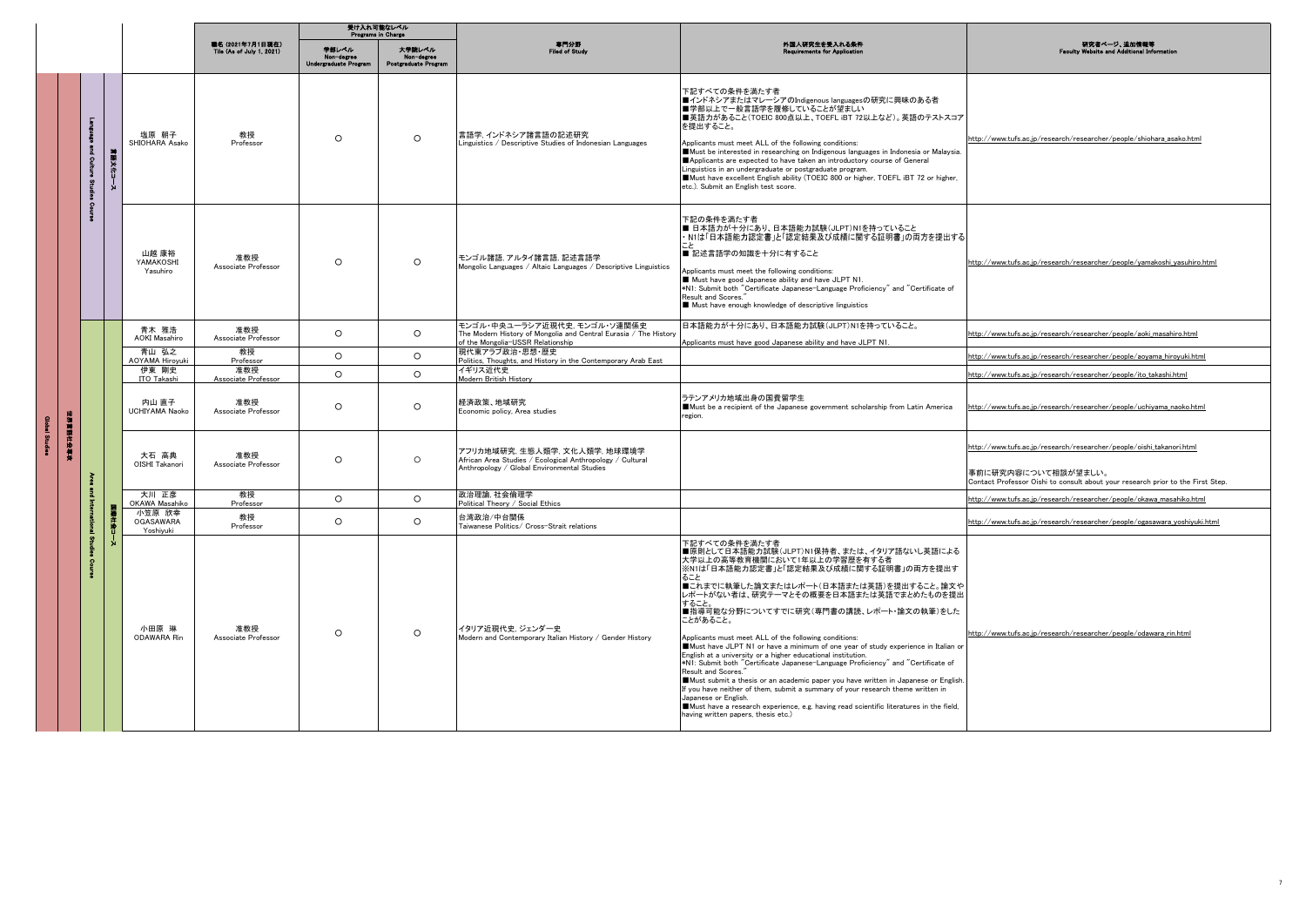|                                |                              |         |                                                    |                                                      | 受け入れ可能なレベル<br>Programs in Charge             |                                              |                                                                                                                                        |                                                                                                                                                                                                                                                                                                                                                                                                                                                                                                                                                                                                                                                                                                                                                                                                                                                                                                                                                                 |                                                                                                                                                                                |
|--------------------------------|------------------------------|---------|----------------------------------------------------|------------------------------------------------------|----------------------------------------------|----------------------------------------------|----------------------------------------------------------------------------------------------------------------------------------------|-----------------------------------------------------------------------------------------------------------------------------------------------------------------------------------------------------------------------------------------------------------------------------------------------------------------------------------------------------------------------------------------------------------------------------------------------------------------------------------------------------------------------------------------------------------------------------------------------------------------------------------------------------------------------------------------------------------------------------------------------------------------------------------------------------------------------------------------------------------------------------------------------------------------------------------------------------------------|--------------------------------------------------------------------------------------------------------------------------------------------------------------------------------|
|                                |                              |         |                                                    | 職名 (2021年7月1日現在)<br><b>Tile (As of July 1, 2021)</b> | 学部レベル<br>Non-degree<br>Undergraduate Program | 大学院レベル<br>Non-degree<br>Postgraduate Program | 専門分野<br>Filed of Study                                                                                                                 | 外国人研究生を受入れる条件<br>nte for Appl                                                                                                                                                                                                                                                                                                                                                                                                                                                                                                                                                                                                                                                                                                                                                                                                                                                                                                                                   | 研究者ページ、追加情報等<br><b>Faculty Website and Additional In</b>                                                                                                                       |
|                                | п<br>÷<br>å.<br>ၟႄ<br>ā<br>g | 言語文化コース | 塩原 朝子<br>SHIOHARA Asako                            | 教授<br>Professor                                      | $\circ$                                      | $\circ$                                      | 言語学, インドネシア諸言語の記述研究<br>Linguistics / Descriptive Studies of Indonesian Languages                                                       | 下記すべての条件を満たす者<br>■インドネシアまたはマレーシアのIndigenous languagesの研究に興味のある者<br>■学部以上で一般言語学を履修していることが望ましい<br>■英語力があること(TOEIC 800点以上、TOEFL iBT 72以上など)。英語のテストスコア<br>を提出すること。<br>Applicants must meet ALL of the following conditions:<br>Must be interested in researching on Indigenous languages in Indonesia or Malaysia.<br>Applicants are expected to have taken an introductory course of General<br>Linguistics in an undergraduate or postgraduate program.<br>Must have excellent English ability (TOEIC 800 or higher, TOEFL iBT 72 or higher,<br>etc.). Submit an English test score.                                                                                                                                                                                                                                                                                                                                                                              | http://www.tufs.ac.jp/research/researcher/people/shiohara_asako.html                                                                                                           |
|                                | $\Omega$                     |         | 山越 康裕<br>YAMAKOSHI<br>Yasuhiro                     | 准教授<br>Associate Professor                           | $\circ$                                      | $\Omega$                                     | モンゴル諸語、アルタイ諸言語、記述言語学<br>Mongolic Languages / Altaic Languages / Descriptive Linguistics                                                | 下記の条件を満たす者<br>■ 日本語力が十分にあり、日本語能力試験(JLPT)N1を持っていること<br>· N1は「日本語能力認定書」と「認定結果及び成績に関する証明書」の両方を提出する<br>■ 記述言語学の知識を十分に有すること<br>Applicants must meet the following conditions:<br>Must have good Japanese ability and have JLPT N1.<br>*N1: Submit both "Certificate Japanese-Language Proficiency" and "Certificate of<br>Result and Scores."<br>Must have enough knowledge of descriptive linguistics                                                                                                                                                                                                                                                                                                                                                                                                                                                                                                                                                               | http://www.tufs.ac.jp/research/researcher/people/vamakoshi vasuhiro.html                                                                                                       |
|                                |                              |         | 青木 雅浩<br><b>AOKI</b> Masahiro                      | 准教授<br>Associate Professor                           | $\Omega$                                     | $\Omega$                                     | モンゴル・中央ユーラシア近現代史、モンゴル・ソ連関係史<br>The Modern History of Mongolia and Central Eurasia / The History<br>of the Mongolia-USSR Relationship   | 日本語能力が十分にあり、日本語能力試験(JLPT)N1を持っていること。<br>Applicants must have good Japanese ability and have JLPT N1.                                                                                                                                                                                                                                                                                                                                                                                                                                                                                                                                                                                                                                                                                                                                                                                                                                                            | http://www.tufs.ac.jp/research/researcher/people/aoki_masahiro.html                                                                                                            |
|                                |                              |         | 青山 弘之<br><b>AOYAMA Hiroyuki</b>                    | 教授<br>Professor                                      | $\circ$                                      | $\circ$                                      | 現代東アラブ政治・思想・歴史<br>Politics, Thoughts, and History in the Contemporary Arab East                                                        |                                                                                                                                                                                                                                                                                                                                                                                                                                                                                                                                                                                                                                                                                                                                                                                                                                                                                                                                                                 | http://www.tufs.ac.jp/research/researcher/people/aoyama_hiroyuki.html                                                                                                          |
|                                |                              |         | 伊東 剛史<br>ITO Takashi                               | 准教授<br>Associate Professor                           | $\circ$                                      | $\circ$                                      | イギリス近代史<br>Modern British History                                                                                                      |                                                                                                                                                                                                                                                                                                                                                                                                                                                                                                                                                                                                                                                                                                                                                                                                                                                                                                                                                                 | http://www.tufs.ac.jp/research/researcher/people/ito_takashi.html                                                                                                              |
|                                |                              |         | 内山 直子<br>UCHIYAMA Naoko                            | 准教授<br>Associate Professor                           | $\circ$                                      | $\circ$                                      | 経済政策 地域研究<br>Economic policy, Area studies                                                                                             | ラテンアメリカ地域出身の国費留学生<br>Must be a recipient of the Japanese government scholarship from Latin America<br>region.                                                                                                                                                                                                                                                                                                                                                                                                                                                                                                                                                                                                                                                                                                                                                                                                                                                   | http://www.tufs.ac.ip/research/researcher/people/uchivama naoko.html                                                                                                           |
| 中国  朝鮮  中国  <br>Global Studies |                              |         | 大石 高典<br>OISHI Takanori                            | 准教授<br>Associate Professor                           | $\circ$                                      | $\circ$                                      | アフリカ地域研究,生態人類学,文化人類学,地球環境学<br>African Area Studies / Ecological Anthropology / Cultural<br>Anthropology / Global Environmental Studies |                                                                                                                                                                                                                                                                                                                                                                                                                                                                                                                                                                                                                                                                                                                                                                                                                                                                                                                                                                 | http://www.tufs.ac.jp/research/researcher/people/oishi_takanori.html<br>事前に研究内容について相談が望ましい。<br>Contact Professor Oishi to consult about your research prior to the First Step. |
|                                |                              |         | 大川 正彦                                              | 教授                                                   | $\circ$                                      | $\circ$                                      | 政治理論. 社会倫理学                                                                                                                            |                                                                                                                                                                                                                                                                                                                                                                                                                                                                                                                                                                                                                                                                                                                                                                                                                                                                                                                                                                 | http://www.tufs.ac.ip/research/researcher/people/okawa masahiko.html                                                                                                           |
|                                |                              | В       | OKAWA Masahiko<br>小笠原 欣幸<br>OGASAWARA<br>Yoshivuki | Professor<br>教授<br>Professor                         | $\circ$                                      | $\circ$                                      | Political Theory / Social Ethics<br>台湾政治/中台関係<br>Taiwanese Politics/ Cross-Strait relations                                            |                                                                                                                                                                                                                                                                                                                                                                                                                                                                                                                                                                                                                                                                                                                                                                                                                                                                                                                                                                 | http://www.tufs.ac.jp/research/researcher/people/ogasawara_yoshiyuki.html                                                                                                      |
|                                |                              |         | 小田原 琳<br>ODAWARA Rin                               | 准教授<br>Associate Professor                           | $\circ$                                      | $\circ$                                      | イタリア近現代史、ジェンダー史<br>Modern and Contemporary Italian History / Gender History                                                            | 下記すべての条件を満たす者<br>■原則として日本語能力試験(JLPT)N1保持者、または、イタリア語ないし英語による<br>大学以上の高等教育機関において1年以上の学習歴を有する者<br>※N1は「日本語能力認定書」と「認定結果及び成績に関する証明書」の両方を提出す<br>ること<br>■これまでに執筆した論文またはレポート(日本語または英語)を提出すること。論文や<br>レポートがない者は、研究テーマとその概要を日本語または英語でまとめたものを提出<br>すること。<br>■指導可能な分野についてすでに研究(専門書の講読、レポート・論文の執筆)をした<br>ことがあること。<br>Applicants must meet ALL of the following conditions:<br>Must have JLPT N1 or have a minimum of one year of study experience in Italian or<br>English at a university or a higher educational institution.<br>*N1: Submit both "Certificate Japanese-Language Proficiency" and "Certificate of<br>Result and Scores."<br>Must submit a thesis or an academic paper you have written in Japanese or English.<br>If you have neither of them, submit a summary of your research theme written in<br>Japanese or English.<br>Must have a research experience, e.g. having read scientific literatures in the field,<br>having written papers, thesis etc.) | http://www.tufs.ac.ip/research/researcher/people/odawara_rin.html                                                                                                              |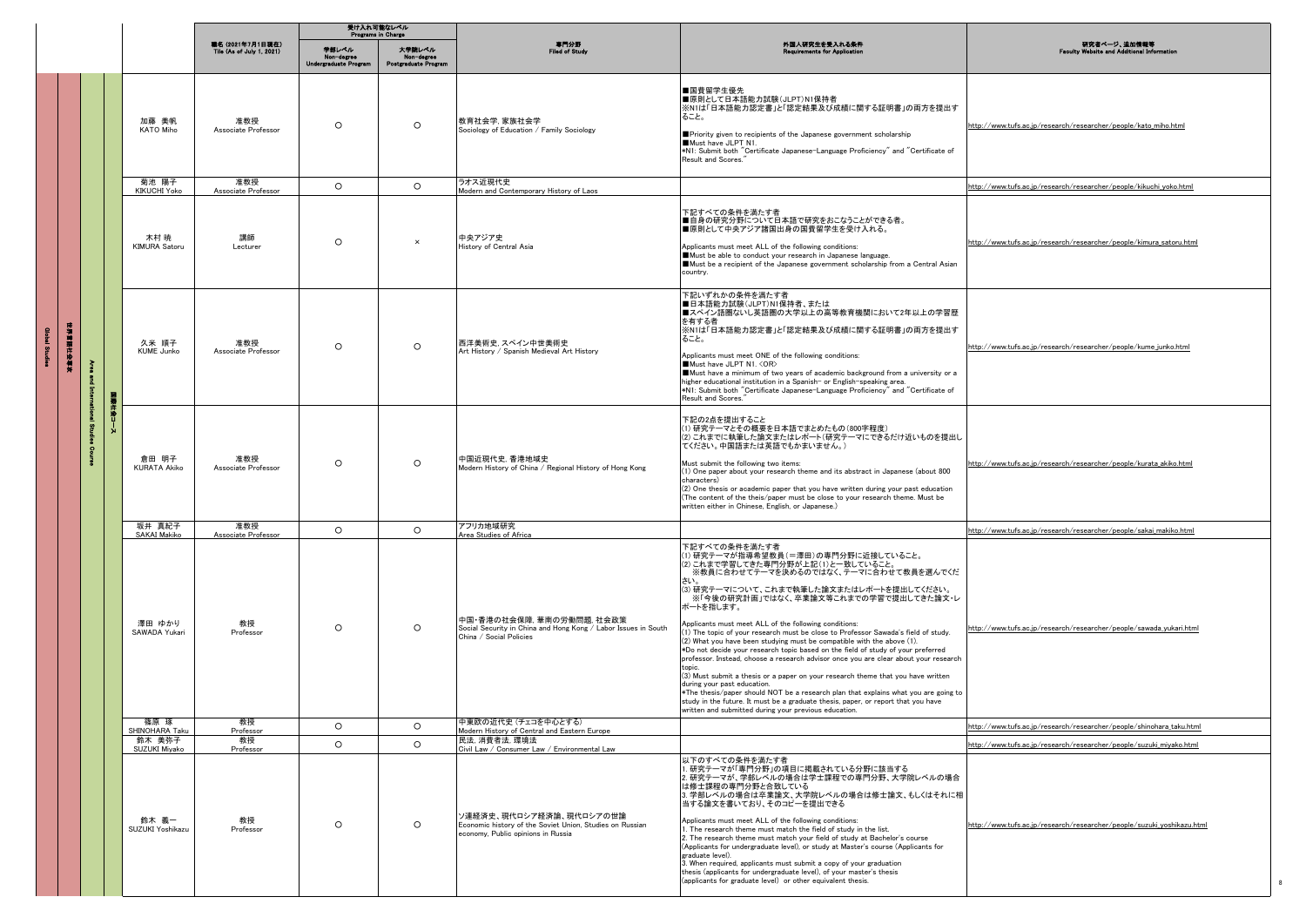|                 |               |                              | 受け入れ可能なレベル<br><b>Programs in Charge</b>       |                                              |                                              |                                                                                                                           |                                                                                                                                                                                                                                                                                                                                                                                                                                                                                                                                                                                                                                                                                                                                                                                                                                                                                                                                                                                                                       |                                                                        |
|-----------------|---------------|------------------------------|-----------------------------------------------|----------------------------------------------|----------------------------------------------|---------------------------------------------------------------------------------------------------------------------------|-----------------------------------------------------------------------------------------------------------------------------------------------------------------------------------------------------------------------------------------------------------------------------------------------------------------------------------------------------------------------------------------------------------------------------------------------------------------------------------------------------------------------------------------------------------------------------------------------------------------------------------------------------------------------------------------------------------------------------------------------------------------------------------------------------------------------------------------------------------------------------------------------------------------------------------------------------------------------------------------------------------------------|------------------------------------------------------------------------|
|                 |               |                              | 職名 (2021年7月1日現在)<br>Tile (As of July 1, 2021) | 単部レベル<br>Non-degree<br>Undergraduate Program | 大学験レベル<br>Non-degree<br>Postgraduate Program | 専門分野<br>Filed of Study                                                                                                    | 外国人研究生を受入れる条件<br>quirements for Applica                                                                                                                                                                                                                                                                                                                                                                                                                                                                                                                                                                                                                                                                                                                                                                                                                                                                                                                                                                               | 研究者ページ、追加情報等<br><b>Faculty Website and Additional Informa</b>          |
|                 |               | 加藤 美帆<br><b>KATO Miho</b>    | 准教授<br>Associate Professor                    | $\circ$                                      | $\circ$                                      | 教育社会学, 家族社会学<br>Sociology of Education / Family Sociology                                                                 | ■国費留学生優先<br>■原則として日本語能力試験(JLPT)N1保持者<br>※N1は「日本語能力認定書」と「認定結果及び成績に関する証明書」の両方を提出す<br>ること。<br>Priority given to recipients of the Japanese government scholarship<br>Must have JLPT N1.<br>*N1: Submit both "Certificate Japanese-Language Proficiency" and "Certificate of<br>Result and Scores."                                                                                                                                                                                                                                                                                                                                                                                                                                                                                                                                                                                                                                                                                                                       | http://www.tufs.ac.jp/research/researcher/people/kato_miho.html        |
|                 |               | 菊池 陽子<br><b>KIKUCHI Yoko</b> | 准教授<br>Associate Professor                    | $\circ$                                      | $\circ$                                      | ラオス近現代史<br>Modern and Contemporary History of Laos                                                                        |                                                                                                                                                                                                                                                                                                                                                                                                                                                                                                                                                                                                                                                                                                                                                                                                                                                                                                                                                                                                                       | http://www.tufs.ac.jp/research/researcher/people/kikuchi_yoko.html     |
|                 |               | 木村 暁<br>KIMURA Satoru        | 講師<br>Lecturer                                | $\circ$                                      | $\times$                                     | 中央アジア史<br>History of Central Asia                                                                                         | 下記すべての条件を満たす者<br>■自身の研究分野について日本語で研究をおこなうことができる者。<br>■原則として中央アジア諸国出身の国費留学生を受け入れる。<br>Applicants must meet ALL of the following conditions:<br>Must be able to conduct your research in Japanese language.<br>Must be a recipient of the Japanese government scholarship from a Central Asian<br>country.                                                                                                                                                                                                                                                                                                                                                                                                                                                                                                                                                                                                                                                                                                               | http://www.tufs.ac.jp/research/researcher/people/kimura_satoru.html    |
| <b>東東国際大学会会</b> | <b>ERRICE</b> | 久米 順子<br><b>KUME Junko</b>   | 准教授<br>Associate Professor                    | $\circ$                                      | $\circ$                                      | 西洋美術史. スペイン中世美術史<br>Art History / Spanish Medieval Art History                                                            | 下記いずれかの条件を満たす者<br>■日本語能力試験(JLPT)N1保持者、または<br>■スペイン語圏ないし英語圏の大学以上の高等教育機関において2年以上の学習歴<br>を有する者<br>※N1は「日本語能力認定書」と「認定結果及び成績に関する証明書」の両方を提出す<br>ること。<br>Applicants must meet ONE of the following conditions:<br>Must have JLPT N1. < OR><br>Must have a minimum of two years of academic background from a university or a<br>higher educational institution in a Spanish- or English-speaking area.<br>*N1: Submit both "Certificate Japanese-Language Proficiency" and "Certificate of<br>Result and Scores."                                                                                                                                                                                                                                                                                                                                                                                                                                                                                                            | http://www.tufs.ac.jp/research/researcher/people/kume_junko.html       |
|                 |               | 倉田 明子<br><b>KURATA Akiko</b> | 准教授<br>Associate Professor                    | $\circ$                                      | $\circ$                                      | 中国近現代史, 香港地域史<br>Modern History of China / Regional History of Hong Kong                                                  | 下記の2点を提出すること<br>(1) 研究テーマとその概要を日本語でまとめたもの(800字程度)<br>(2) これまでに執筆した論文またはレポート(研究テーマにできるだけ近いものを提出し<br>てください。中国語または英語でもかまいません。)<br>Must submit the following two items:<br>(1) One paper about your research theme and its abstract in Japanese (about 800<br>characters)<br>(2) One thesis or academic paper that you have written during your past education<br>(The content of the theis/paper must be close to your research theme. Must be<br>written either in Chinese, English, or Japanese.)                                                                                                                                                                                                                                                                                                                                                                                                                                                                                                                      | http://www.tufs.ac.jp/research/researcher/people/kurata_akiko.html     |
|                 |               | 坂井 真紀子<br>SAKAI Makiko       | 准教授<br>Associate Professor                    | $\circ$                                      | $\circ$                                      | アフリカ地域研究<br>Area Studies of Africa                                                                                        |                                                                                                                                                                                                                                                                                                                                                                                                                                                                                                                                                                                                                                                                                                                                                                                                                                                                                                                                                                                                                       | http://www.tufs.ac.jp/research/researcher/people/sakai_makiko.html     |
|                 |               | 澤田 ゆかり<br>SAWADA Yukari      | 教授<br>Professor                               | $\circ$                                      | $\circ$                                      | 中国・香港の社会保障、華南の労働問題、社会政策<br>Social Security in China and Hong Kong / Labor Issues in South<br>China / Social Policies      | 下記すべての条件を満たす者<br>(1) 研究テーマが指導希望教員(=澤田)の専門分野に近接していること。<br>(2) これまで学習してきた専門分野が上記(1)と一致していること。<br>※教員に合わせてテーマを決めるのではなく、テーマに合わせて教員を選んでくだ<br>さい。<br>(3) 研究テーマについて、これまで執筆した論文またはレポートを提出してください。<br>※「今後の研究計画」ではなく、卒業論文等これまでの学習で提出してきた論文・レ<br>ポートを指します。<br>Applicants must meet ALL of the following conditions:<br>(1) The topic of your research must be close to Professor Sawada's field of study.<br>(2) What you have been studying must be compatible with the above (1).<br>*Do not decide your research topic based on the field of study of your preferred<br>professor. Instead, choose a research advisor once you are clear about your research<br>topic<br>(3) Must submit a thesis or a paper on your research theme that you have written<br>during your past education.<br>*The thesis/paper should NOT be a research plan that explains what you are going to<br>study in the future. It must be a graduate thesis, paper, or report that you have<br>written and submitted during your previous education. | http://www.tufs.ac.jp/research/researcher/people/sawada_yukari.html    |
|                 |               | 篠原 琢<br>SHINOHARA Taku       | 教授<br>Professor                               | $\circ$                                      | $\circ$                                      | 中東欧の近代史 (チェコを中心とする)<br>Modern History of Central and Eastern Europe                                                       |                                                                                                                                                                                                                                                                                                                                                                                                                                                                                                                                                                                                                                                                                                                                                                                                                                                                                                                                                                                                                       | http://www.tufs.ac.jp/research/researcher/people/shinohara_taku.html   |
|                 |               | 鈴木 美弥子<br>SUZUKI Miyako      | 教授<br>Professor                               | $\circ$                                      | $\circ$                                      | 民法, 消費者法, 環境法<br>Civil Law / Consumer Law / Environmental Law                                                             |                                                                                                                                                                                                                                                                                                                                                                                                                                                                                                                                                                                                                                                                                                                                                                                                                                                                                                                                                                                                                       | http://www.tufs.ac.jp/research/researcher/people/suzuki_miyako.html    |
|                 |               | 鈴木 義一<br>SUZUKI Yoshikazu    | 教授<br>Professor                               | $\circ$                                      | $\circ$                                      | ソ連経済史、現代ロシア経済論、現代ロシアの世論<br>Economic history of the Soviet Union, Studies on Russian<br>economy, Public opinions in Russia | 以下のすべての条件を満たす者<br>. 研究テーマが「専門分野」の項目に掲載されている分野に該当する<br>2. 研究テーマが、学部レベルの場合は学士課程での専門分野、大学院レベルの場合<br>は修士課程の専門分野と合致している<br>3. 学部レベルの場合は卒業論文、大学院レベルの場合は修士論文、もしくはそれに相<br>当する論文を書いており、そのコピーを提出できる<br>Applicants must meet ALL of the following conditions:<br>1. The research theme must match the field of study in the list.<br>2. The research theme must match your field of study at Bachelor's course<br>(Applicants for undergraduate level), or study at Master's course (Applicants for<br>graduate level).<br>$\bar{3}$ . When required, applicants must submit a copy of your graduation<br>thesis (applicants for undergraduate level), of your master's thesis<br>(applicants for graduate level) or other equivalent thesis.                                                                                                                                                                                                                                                                                    | http://www.tufs.ac.jp/research/researcher/people/suzuki_yoshikazu.html |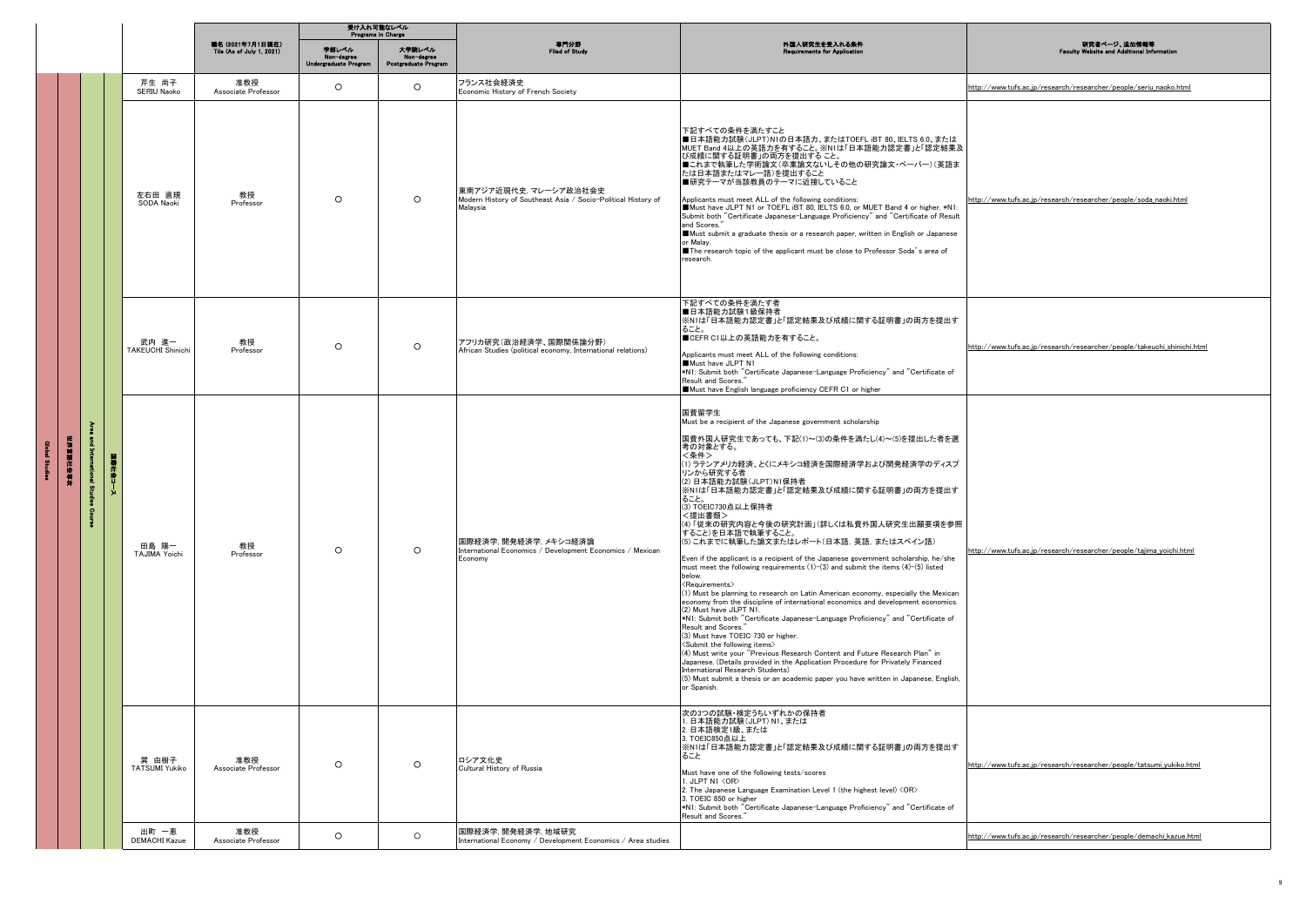|                |                      |                               |                                               | 受け入れ可能なレベル<br><b>Programs in Charge</b>      |                                              |                                                                                                   |                                                                                                                                                                                                                                                                                                                                                                                                                                                                                                                                                                                                                                                                                                                                                                                                                                                                                                                                                                                                                                                                                                                                                                                                                                                                                                                                                                                    |                                                                         |
|----------------|----------------------|-------------------------------|-----------------------------------------------|----------------------------------------------|----------------------------------------------|---------------------------------------------------------------------------------------------------|------------------------------------------------------------------------------------------------------------------------------------------------------------------------------------------------------------------------------------------------------------------------------------------------------------------------------------------------------------------------------------------------------------------------------------------------------------------------------------------------------------------------------------------------------------------------------------------------------------------------------------------------------------------------------------------------------------------------------------------------------------------------------------------------------------------------------------------------------------------------------------------------------------------------------------------------------------------------------------------------------------------------------------------------------------------------------------------------------------------------------------------------------------------------------------------------------------------------------------------------------------------------------------------------------------------------------------------------------------------------------------|-------------------------------------------------------------------------|
|                |                      |                               | 職名 (2021年7月1日現在)<br>Tile (As of July 1, 2021) | 学部レベル<br>Non-degree<br>Undergraduate Program | 大学院レベル<br>Non-degree<br>Postgraduate Program | 専門分野<br>Filed of Study                                                                            | 外国人研究生を受入れる条件<br>Requirements for Application                                                                                                                                                                                                                                                                                                                                                                                                                                                                                                                                                                                                                                                                                                                                                                                                                                                                                                                                                                                                                                                                                                                                                                                                                                                                                                                                      | 研究者ページ、追加情報等<br><b>Faculty Website and Additional</b>                   |
|                |                      | 芹生 尚子<br>SERIU Naoko          | 准教授<br>Associate Professor                    | $\circ$                                      | $\circ$                                      | フランス社会経済史<br>Economic History of French Society                                                   |                                                                                                                                                                                                                                                                                                                                                                                                                                                                                                                                                                                                                                                                                                                                                                                                                                                                                                                                                                                                                                                                                                                                                                                                                                                                                                                                                                                    | http://www.tufs.ac.jp/research/researcher/people/seriu_naoko.html       |
|                |                      | 左右田 直規<br>SODA Naoki          | 教授<br>Professor                               | $\circ$                                      | $\circ$                                      | 東南アジア近現代史、マレーシア政治社会史<br>Modern History of Southeast Asia / Socio-Political History of<br>Malaysia | 下記すべての条件を満たすこと<br>■日本語能力試験(JLPT)N1の日本語力、またはTOEFL iBT 80、IELTS 6.0、または<br>MUET Band 4以上の英語力を有すること。※N1は「日本語能力認定書」と「認定結果及<br>び成績に関する証明書」の両方を提出すること。<br>■これまで執筆した学術論文(卒業論文ないしその他の研究論文・ペーパー)(英語ま<br>たは日本語またはマレー語)を提出すること<br>■研究テーマが当該教員のテーマに近接していること<br>Applicants must meet ALL of the following conditions:<br>Must have JLPT N1 or TOEFL iBT 80, IELTS 6.0, or MUET Band 4 or higher. *N1:<br>Submit both "Certificate Japanese-Language Proficiency" and "Certificate of Result<br>and Scores."<br>Must submit a graduate thesis or a research paper, written in English or Japanese<br>or Malay.<br>The research topic of the applicant must be close to Professor Soda's area of<br>research.                                                                                                                                                                                                                                                                                                                                                                                                                                                                                                                                                                                                                                                                                     | http://www.tufs.ac.jp/research/researcher/people/soda_naoki.html        |
|                |                      | 武内 進一<br>TAKEUCHI Shinichi    | 教授<br>Professor                               | $\circ$                                      | $\circ$                                      | アフリカ研究(政治経済学、国際関係論分野)<br>African Studies (political economy, International relations)             | 下記すべての条件を満たす者<br>■日本語能力試験1級保持者<br>※N1は「日本語能力認定書」と「認定結果及び成績に関する証明書」の両方を提出す<br>ること。<br>■CEFR C1以上の英語能力を有すること。<br>Applicants must meet ALL of the following conditions:<br>Must have JLPT N1<br>*N1: Submit both "Certificate Japanese-Language Proficiency" and "Certificate of<br>Result and Scores.<br>Must have English language proficiency CEFR C1 or higher                                                                                                                                                                                                                                                                                                                                                                                                                                                                                                                                                                                                                                                                                                                                                                                                                                                                                                                                                                                                                    | http://www.tufs.ac.jp/research/researcher/people/takeuchi_shinichi.html |
| 1年3月11日 10月12日 | š<br>튒<br>社会コース<br>킽 | 田島 陽一<br>TAJIMA Yoichi        | 教授<br>Professor                               | $\circ$                                      | $\circ$                                      | 国際経済学,開発経済学,メキシコ経済論<br>International Economics / Development Economics / Mexican<br>Economy       | 国費留学生<br>Must be a recipient of the Japanese government scholarship<br>国費外国人研究生であっても、下記(1)~(3)の条件を満たし(4)~(5)を提出した者を選<br>考の対象とする。<br><条件><br>(1) ラテンアメリカ経済、とくにメキシコ経済を国際経済学および開発経済学のディスプ<br>リンから研究する者<br>(2) 日本語能力試験(JLPT)N1保持者<br>※N1は「日本語能力認定書」と「認定結果及び成績に関する証明書」の両方を提出す<br>ること。<br>(3) TOEIC730点以上保持者<br><提出書類><br>(4)「従来の研究内容と今後の研究計画」(詳しくは私費外国人研究生出願要項を参照<br>すること)を日本語で執筆すること。<br>(5) これまでに執筆した論文またはレポート(日本語,英語,またはスペイン語)<br>Even if the applicant is a recipient of the Japanese government scholarship, he/she<br>must meet the following requirements (1)-(3) and submit the items (4)-(5) listed<br>below.<br><requirements><br/>(1) Must be planning to research on Latin American economy, especially the Mexican<br/>economy from the discipline of international economics and development economics.<br/>(2) Must have JLPT N1.<br/>*N1: Submit both "Certificate Japanese-Language Proficiency" and "Certificate of<br/>Result and Scores.<br/>(3) Must have TOEIC 730 or higher.<br/><submit following="" items="" the=""><br/>(4) Must write your "Previous Research Content and Future Research Plan" in<br/>Japanese, (Details provided in the Application Procedure for Privately Financed<br/>International Research Students)<br/>(5) Must submit a thesis or an academic paper you have written in Japanese, English,<br/>or Spanish.</submit></requirements> | http://www.tufs.ac.jp/research/researcher/people/tajima_yoichi.html     |
|                |                      | 巽 由樹子<br>TATSUMI Yukiko       | 准教授<br>Associate Professor                    | $\circ$                                      | $\circ$                                      | ロシア文化史<br>Cultural History of Russia                                                              | 次の3つの試験・検定うちいずれかの保持者<br>日本語能力試験(JLPT) N1、または<br>2. 日本語検定1級、または<br>3. TOEIC850点以上<br>※N1は「日本語能力認定書」と「認定結果及び成績に関する証明書」の両方を提出す<br>ること<br>Must have one of the following tests/scores<br>1. JLPT N1 <or><br/>2. The Japanese Language Examination Level 1 (the highest level) <or><br/>3. TOEIC 850 or higher<br/>*N1: Submit both "Certificate Japanese-Language Proficiency" and "Certificate of<br/>Result and Scores."</or></or>                                                                                                                                                                                                                                                                                                                                                                                                                                                                                                                                                                                                                                                                                                                                                                                                                                                                                                                                                   | http://www.tufs.ac.jp/research/researcher/people/tatsumi_yukiko.html    |
|                |                      | 出町 一恵<br><b>DEMACHI Kazue</b> | 准教授<br>Associate Professor                    | $\circ$                                      | $\circ$                                      | 国際経済学, 開発経済学, 地域研究<br>International Economy / Development Economics / Area studies                |                                                                                                                                                                                                                                                                                                                                                                                                                                                                                                                                                                                                                                                                                                                                                                                                                                                                                                                                                                                                                                                                                                                                                                                                                                                                                                                                                                                    | http://www.tufs.ac.jp/research/researcher/people/demachi_kazue.html     |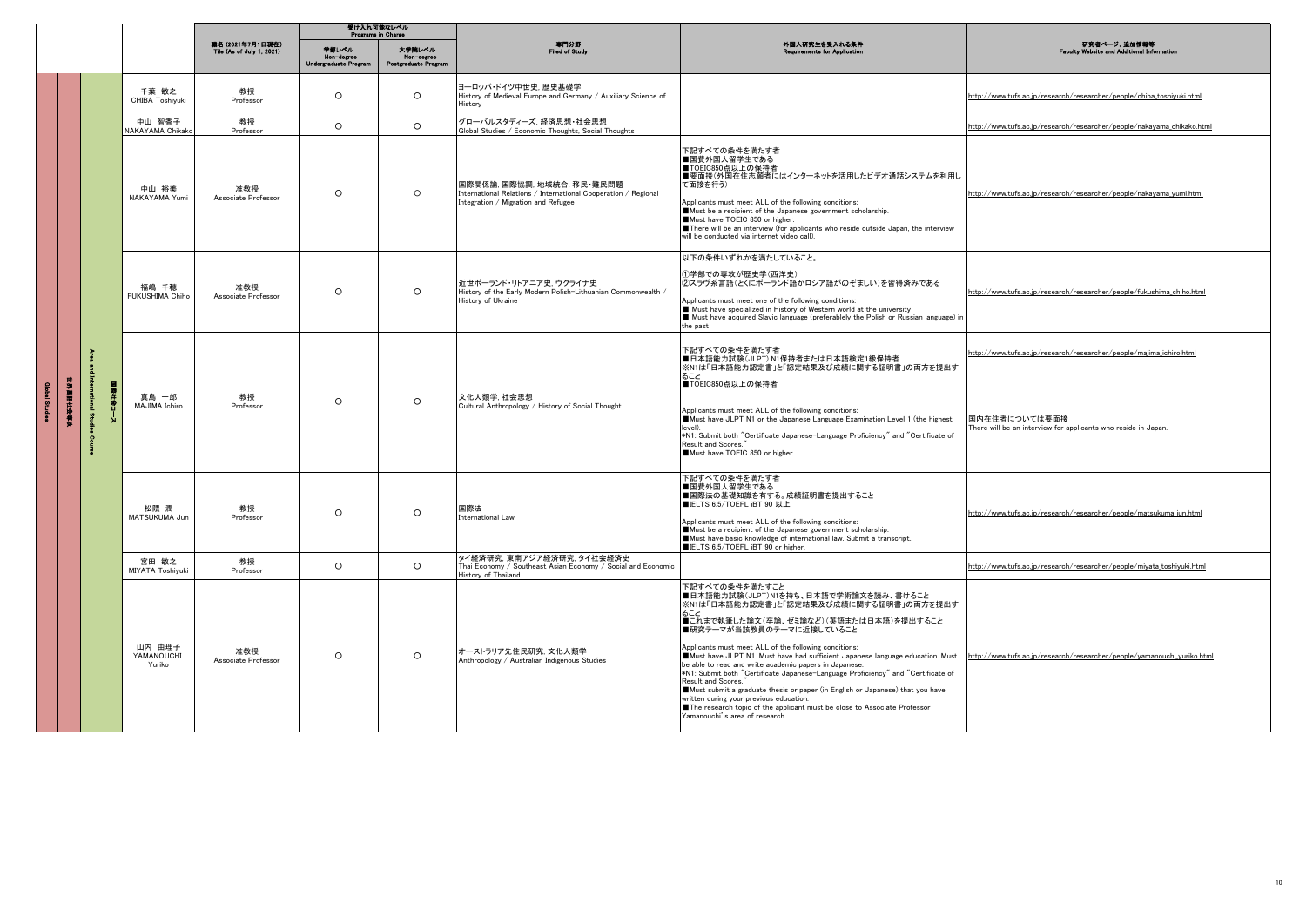|              |                                  | 受け入れ可能なレベル<br><b>Programs</b> in Charge              |                                       |                                              |                                                                                                                                     |                                                                                                                                                                                                                                                                                                                                                                                                                                                                                                                                                                                                                                                                                                                                          |                                                                                                                                                        |
|--------------|----------------------------------|------------------------------------------------------|---------------------------------------|----------------------------------------------|-------------------------------------------------------------------------------------------------------------------------------------|------------------------------------------------------------------------------------------------------------------------------------------------------------------------------------------------------------------------------------------------------------------------------------------------------------------------------------------------------------------------------------------------------------------------------------------------------------------------------------------------------------------------------------------------------------------------------------------------------------------------------------------------------------------------------------------------------------------------------------------|--------------------------------------------------------------------------------------------------------------------------------------------------------|
|              |                                  | <b>重名 (2021年7月1日現在)</b><br>Tile (As of July 1, 2021) | 単純レベル<br><b>Undergraduate Program</b> | 大学院レベル<br>Non-degree<br>Postgraduate Program | 専門分野<br>Filed of Study                                                                                                              | 外国人研究生を受入れる条件<br><b>Requirements for Application</b>                                                                                                                                                                                                                                                                                                                                                                                                                                                                                                                                                                                                                                                                                     | 研究者ページ、追加情報等<br>Faculty Website and Additional Infor                                                                                                   |
|              | 千葉 敏之<br>CHIBA Toshiyuki         | 教授<br>Professor                                      | $\circ$                               | $\circ$                                      | ヨーロッパ・ドイツ中世史.歴史基礎学<br>History of Medieval Europe and Germany / Auxiliary Science of<br>History                                      |                                                                                                                                                                                                                                                                                                                                                                                                                                                                                                                                                                                                                                                                                                                                          | http://www.tufs.ac.jp/research/researcher/people/chiba_toshiyuki.html                                                                                  |
|              | 中山 智香子<br>NAKAYAMA Chikako       | 教授<br>Professor                                      | $\circ$                               | $\circ$                                      | グローバルスタディーズ 経済思想・社会思想<br>Global Studies / Economic Thoughts, Social Thoughts                                                        |                                                                                                                                                                                                                                                                                                                                                                                                                                                                                                                                                                                                                                                                                                                                          | http://www.tufs.ac.jp/research/researcher/people/nakayama_chikako.html                                                                                 |
|              | 中山 裕美<br>NAKAYAMA Yumi           | 准教授<br>Associate Professor                           | $\Omega$                              | $\circ$                                      | 国際関係論, 国際協調, 地域統合, 移民·難民問題<br>International Relations / International Cooperation / Regional<br>Integration / Migration and Refugee | 下記すべての条件を満たす者<br>■国費外国人留学生である<br>■TOEIC850点以上の保持者<br>■要面接(外国在住志願者にはインターネットを活用したビデオ通話システムを利用し<br>て面接を行う)<br>Applicants must meet ALL of the following conditions:<br>Must be a recipient of the Japanese government scholarship.<br>Must have TOEIC 850 or higher.<br>There will be an interview (for applicants who reside outside Japan, the interview<br>will be conducted via internet video call).                                                                                                                                                                                                                                                                                                                                   | http://www.tufs.ac.jp/research/researcher/people/nakayama_yumi.html                                                                                    |
|              | 福嶋 千穂<br>FUKUSHIMA Chiho         | 准教授<br>Associate Professor                           | $\circ$                               | $\circ$                                      | 近世ポーランド・リトアニア史、ウクライナ史<br>History of the Early Modern Polish-Lithuanian Commonwealth /<br>History of Ukraine                         | 以下の条件いずれかを満たしていること。<br>①学部での専攻が歴史学(西洋史)<br>②スラヴ系言語(とくにポーランド語かロシア語がのぞましい)を習得済みである<br>Applicants must meet one of the following conditions:<br>Must have specialized in History of Western world at the university<br>Must have acquired Slavic language (preferablely the Polish or Russian language) in<br>the past                                                                                                                                                                                                                                                                                                                                                                                                                      | http://www.tufs.ac.jp/research/researcher/people/fukushima chiho.html                                                                                  |
| š<br>在海军和张力的 | 真島 一郎<br>MAJIMA Ichiro           | 教授<br>Professor                                      | $\Omega$                              | $\Omega$                                     | 文化人類学, 社会思想<br>Cultural Anthropology / History of Social Thought                                                                    | 下記すべての条件を満たす者<br>■日本語能力試験(JLPT) N1保持者または日本語検定1級保持者<br>※N1は「日本語能力認定書」と「認定結果及び成績に関する証明書」の両方を提出す<br>ること<br>■TOEIC850点以上の保持者<br>Applicants must meet ALL of the following conditions:<br>Must have JLPT N1 or the Japanese Language Examination Level 1 (the highest<br>level).<br>*N1: Submit both "Certificate Japanese-Language Proficiency" and "Certificate of<br>Result and Scores."<br>Must have TOEIC 850 or higher.                                                                                                                                                                                                                                                                                                                 | http://www.tufs.ac.jp/research/researcher/people/majima_ichiro.html<br>国内在住者については要面接<br>There will be an interview for applicants who reside in Japan. |
|              | 松隈 潤<br>MATSUKUMA Jun            | 教授<br>Professor                                      | $\Omega$                              | $\circ$                                      | 国際法<br>International Law                                                                                                            | 下記すべての条件を満たす者<br>■国費外国人留学生である<br>■国際法の基礎知識を有する。成績証明書を提出すること<br>■IELTS 6.5/TOEFL iBT 90 以上<br>Applicants must meet ALL of the following conditions:<br>Must be a recipient of the Japanese government scholarship.<br>Must have basic knowledge of international law. Submit a transcript.<br>ELTS 6.5/TOEFL iBT 90 or higher.                                                                                                                                                                                                                                                                                                                                                                                                            | http://www.tufs.ac.jp/research/researcher/people/matsukuma_jun.html                                                                                    |
|              | 宮田 敏之<br><b>MIYATA Toshivuki</b> | 教授<br>Professor                                      | $\circ$                               | $\circ$                                      | タイ経済研究. 東南アジア経済研究. タイ社会経済史<br>Thai Economy / Southeast Asian Economy / Social and Economic<br>History of Thailand                   |                                                                                                                                                                                                                                                                                                                                                                                                                                                                                                                                                                                                                                                                                                                                          | http://www.tufs.ac.jp/research/researcher/people/miyata_toshiyuki.html                                                                                 |
|              | 山内 中理子<br>YAMANOUCHI<br>Yuriko   | 准教授<br>Associate Professor                           | $\circ$                               | $\circ$                                      | オーストラリア先住民研究、文化人類学<br>Anthropology / Australian Indigenous Studies                                                                  | 下記すべての条件を満たすこと<br>■日本語能力試験(JLPT)N1を持ち、日本語で学術論文を読み、書けること<br>※N1は「日本語能力認定書」と「認定結果及び成績に関する証明書」の両方を提出す<br>ること<br>■これまで執筆した論文(卒論、ゼミ論など)(英語または日本語)を提出すること<br>■研究テーマが当該教員のテーマに近接していること<br>Applicants must meet ALL of the following conditions:<br>Must have JLPT N1. Must have had sufficient Japanese language education. Must<br>be able to read and write academic papers in Japanese.<br>*N1: Submit both "Certificate Japanese-Language Proficiency" and "Certificate of<br>Result and Scores."<br>Must submit a graduate thesis or paper (in English or Japanese) that you have<br>written during your previous education.<br>The research topic of the applicant must be close to Associate Professor<br>Yamanouchi's area of research. | http://www.tufs.ac.jp/research/researcher/people/yamanouchi_yuriko.html                                                                                |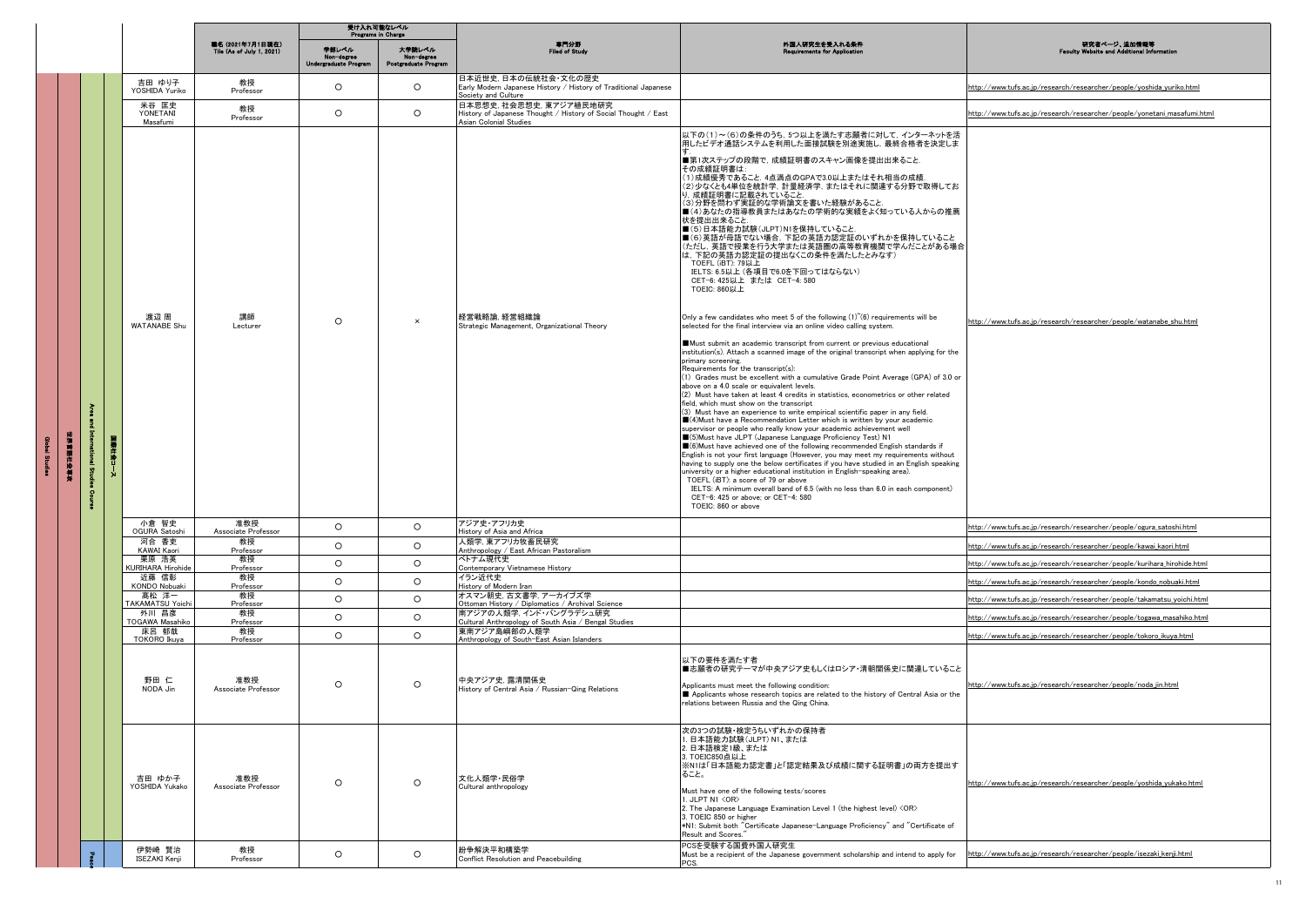|            |   |                                   | 職名 (2021年7月1日現在)<br>Tile (As of July 1, 2021) | 学部レベル<br>Non-degree<br>Undergraduate Progra | 大学院レベル<br>Non-degree<br>Postgraduate Program | 専門分野<br>Filed of Study                                                                                            | 外国人研究生を受入れる条件<br>ents for Application                                                                                                                                                                                                                                                                                                                                                                                                                                                                                                                                                                                                                                                                                                                                                                                                                                                                                                                                                                                                                                                                                                                                                                                                                                                                                                                                                                                                                                                                                                                                                                                                                                                                                                                                                                                                                                                                                                                                                                                                                                                                                                                  | 研究者ページ、追加情報等<br><b>Faculty Website and Additional In</b>                |
|------------|---|-----------------------------------|-----------------------------------------------|---------------------------------------------|----------------------------------------------|-------------------------------------------------------------------------------------------------------------------|--------------------------------------------------------------------------------------------------------------------------------------------------------------------------------------------------------------------------------------------------------------------------------------------------------------------------------------------------------------------------------------------------------------------------------------------------------------------------------------------------------------------------------------------------------------------------------------------------------------------------------------------------------------------------------------------------------------------------------------------------------------------------------------------------------------------------------------------------------------------------------------------------------------------------------------------------------------------------------------------------------------------------------------------------------------------------------------------------------------------------------------------------------------------------------------------------------------------------------------------------------------------------------------------------------------------------------------------------------------------------------------------------------------------------------------------------------------------------------------------------------------------------------------------------------------------------------------------------------------------------------------------------------------------------------------------------------------------------------------------------------------------------------------------------------------------------------------------------------------------------------------------------------------------------------------------------------------------------------------------------------------------------------------------------------------------------------------------------------------------------------------------------------|-------------------------------------------------------------------------|
|            |   |                                   |                                               |                                             |                                              |                                                                                                                   |                                                                                                                                                                                                                                                                                                                                                                                                                                                                                                                                                                                                                                                                                                                                                                                                                                                                                                                                                                                                                                                                                                                                                                                                                                                                                                                                                                                                                                                                                                                                                                                                                                                                                                                                                                                                                                                                                                                                                                                                                                                                                                                                                        |                                                                         |
|            |   | 吉田 ゆり子<br>YOSHIDA Yuriko          | 教授<br>Professor                               | $\circ$                                     | $\circ$                                      | 日本近世史, 日本の伝統社会·文化の歴史<br>Early Modern Japanese History / History of Traditional Japanese<br>Society and Culture    |                                                                                                                                                                                                                                                                                                                                                                                                                                                                                                                                                                                                                                                                                                                                                                                                                                                                                                                                                                                                                                                                                                                                                                                                                                                                                                                                                                                                                                                                                                                                                                                                                                                                                                                                                                                                                                                                                                                                                                                                                                                                                                                                                        | http://www.tufs.ac.jp/research/researcher/people/yoshida_yuriko.html    |
|            |   | 米谷 匡史<br>YONETANI<br>Masafumi     | 教授<br>Professor                               | $\circ$                                     | $\circ$                                      | 日本思想史,社会思想史,東アジア植民地研究<br>History of Japanese Thought / History of Social Thought / East<br>Asian Colonial Studies |                                                                                                                                                                                                                                                                                                                                                                                                                                                                                                                                                                                                                                                                                                                                                                                                                                                                                                                                                                                                                                                                                                                                                                                                                                                                                                                                                                                                                                                                                                                                                                                                                                                                                                                                                                                                                                                                                                                                                                                                                                                                                                                                                        | http://www.tufs.ac.jp/research/researcher/people/yonetani_masafumi.html |
| 和谐 解释性 地名科 | Ě | 渡辺 周<br><b>WATANABE Shu</b>       | 講師<br>Lecturer                                | $\circ$                                     | $\times$                                     | 経営戦略論, 経営組織論<br>Strategic Management, Organizational Theory                                                       | 以下の(1)~(6)の条件のうち, 5つ以上を満たす志願者に対して, インターネットを活<br>用したビデオ通話システムを利用した面接試験を別途実施し、最終合格者を決定しま<br>■第1次ステップの段階で、成績証明書のスキャン画像を提出出来ること.<br>その成績証明書は:<br>(1)成績優秀であること. 4点満点のGPAで3.0以上またはそれ相当の成績.<br>(2)少なくとも4単位を統計学、計量経済学、またはそれに関連する分野で取得してお<br>り、成績証明書に記載されていること.<br>(3)分野を問わず実証的な学術論文を書いた経験があること.<br>■(4)あなたの指導教員またはあなたの学術的な実績をよく知っている人からの推薦<br> 状を提出出来ること.<br>■(5)日本語能力試験(JLPT)N1を保持していること.<br>■(6)英語が母語でない場合、下記の英語力認定証のいずれかを保持していること<br>(ただし、 英語で授業を行う大学または英語圏の高等教育機関で学んだことがある場合<br>は、下記の英語力認定証の提出なくこの条件を満たしたとみなす)<br>TOEFL (iBT): 79以上<br>IELTS: 6.5以上 (各項目で6.0を下回ってはならない)<br>CET-6: 425以上 または CET-4: 580<br>TOEIC: 860以上<br>Only a few candidates who meet 5 of the following $(1)$ <sup><math>(6)</math></sup> requirements will be<br>selected for the final interview via an online video calling system.<br>Must submit an academic transcript from current or previous educational<br>institution(s). Attach a scanned image of the original transcript when applying for the<br>primary screening.<br>Requirements for the transcript(s):<br>(1) Grades must be excellent with a cumulative Grade Point Average (GPA) of 3.0 or<br>above on a 4.0 scale or equivalent levels.<br>(2) Must have taken at least 4 credits in statistics, econometrics or other related<br>field, which must show on the transcript<br>(3) Must have an experience to write empirical scientific paper in any field.<br>■(4) Must have a Recommendation Letter which is written by your academic<br>supervisor or people who really know your academic achievement well<br>■(5)Must have JLPT (Japanese Language Proficiency Test) N1<br>■ (6) Must have achieved one of the following recommended English standards if<br>English is not your first language (However, you may meet my requirements without<br>having to supply one the below certificates if you have studied in an English speaking<br>university or a higher educational institution in English-speaking area).<br>TOEFL (iBT): a score of 79 or above<br>IELTS: A minimum overall band of 6.5 (with no less than 6.0 in each component)<br>CET-6: 425 or above; or CET-4: 580<br>TOEIC: 860 or above | http://www.tufs.ac.jp/research/researcher/people/watanabe_shu.html      |
|            |   | 小倉 智史<br>OGURA Satoshi            | 准教授<br>Associate Professor                    | $\circ$                                     | $\circ$                                      | アジア史・アフリカ史<br>History of Asia and Africa                                                                          |                                                                                                                                                                                                                                                                                                                                                                                                                                                                                                                                                                                                                                                                                                                                                                                                                                                                                                                                                                                                                                                                                                                                                                                                                                                                                                                                                                                                                                                                                                                                                                                                                                                                                                                                                                                                                                                                                                                                                                                                                                                                                                                                                        | http://www.tufs.ac.jp/research/researcher/people/ogura_satoshi.html     |
|            |   | 河合 香吏<br>KAWAI Kaori              | 教授<br>Professor                               | $\circ$                                     | $\circ$                                      | 人類学, 東アフリカ牧畜民研究<br>Anthropology / East African Pastoralism                                                        |                                                                                                                                                                                                                                                                                                                                                                                                                                                                                                                                                                                                                                                                                                                                                                                                                                                                                                                                                                                                                                                                                                                                                                                                                                                                                                                                                                                                                                                                                                                                                                                                                                                                                                                                                                                                                                                                                                                                                                                                                                                                                                                                                        | http://www.tufs.ac.jp/research/researcher/people/kawai_kaori.html       |
|            |   | 栗原 浩英<br><b>KURIHARA Hirohide</b> | 教授<br>Professor                               | $\circ$                                     | $\circ$                                      | ベトナム現代史<br>Contemporary Vietnamese History                                                                        |                                                                                                                                                                                                                                                                                                                                                                                                                                                                                                                                                                                                                                                                                                                                                                                                                                                                                                                                                                                                                                                                                                                                                                                                                                                                                                                                                                                                                                                                                                                                                                                                                                                                                                                                                                                                                                                                                                                                                                                                                                                                                                                                                        | http://www.tufs.ac.jp/research/researcher/people/kurihara_hirohide.html |
|            |   | 近藤 信彰<br><b>KONDO Nobuaki</b>     | 教授<br>Professor                               | $\circ$                                     | $\circ$                                      | イラン近代史<br>History of Modern Iran                                                                                  |                                                                                                                                                                                                                                                                                                                                                                                                                                                                                                                                                                                                                                                                                                                                                                                                                                                                                                                                                                                                                                                                                                                                                                                                                                                                                                                                                                                                                                                                                                                                                                                                                                                                                                                                                                                                                                                                                                                                                                                                                                                                                                                                                        | http://www.tufs.ac.jp/research/researcher/people/kondo_nobuaki.html     |
|            |   | 髙松 洋一<br><b>TAKAMATSU Yoichi</b>  | 教授<br>Professor                               | $\circ$                                     | $\circ$                                      | オスマン朝史,古文書学,アーカイブズ学<br>Ottoman History / Diplomatics / Archival Science                                           |                                                                                                                                                                                                                                                                                                                                                                                                                                                                                                                                                                                                                                                                                                                                                                                                                                                                                                                                                                                                                                                                                                                                                                                                                                                                                                                                                                                                                                                                                                                                                                                                                                                                                                                                                                                                                                                                                                                                                                                                                                                                                                                                                        | http://www.tufs.ac.jp/research/researcher/people/takamatsu_yoichi.html  |
|            |   | 外川 昌彦<br>TOGAWA Masahiko          | 教授<br>Professor                               | $\circ$                                     | $\circ$                                      | 南アジアの人類学,インド・バングラデシュ研究<br>Cultural Anthropology of South Asia / Bengal Studies                                    |                                                                                                                                                                                                                                                                                                                                                                                                                                                                                                                                                                                                                                                                                                                                                                                                                                                                                                                                                                                                                                                                                                                                                                                                                                                                                                                                                                                                                                                                                                                                                                                                                                                                                                                                                                                                                                                                                                                                                                                                                                                                                                                                                        | http://www.tufs.ac.jp/research/researcher/people/togawa_masahiko.html   |
|            |   | 床呂 郁哉<br>TOKORO Ikuya             | 教授<br>Professor                               | $\circ$                                     | $\circ$                                      | 東南アジア島嶼部の人類学<br>Anthropology of South-East Asian Islanders                                                        |                                                                                                                                                                                                                                                                                                                                                                                                                                                                                                                                                                                                                                                                                                                                                                                                                                                                                                                                                                                                                                                                                                                                                                                                                                                                                                                                                                                                                                                                                                                                                                                                                                                                                                                                                                                                                                                                                                                                                                                                                                                                                                                                                        | http://www.tufs.ac.jp/research/researcher/people/tokoro_ikuya.html      |
|            |   | 野田 仁<br>NODA Jin                  | 准教授<br>Associate Professor                    | $\circ$                                     | $\circ$                                      | 中央アジア史. 露清関係史<br>History of Central Asia / Russian-Qing Relations                                                 | 以下の要件を満たす者<br>■志願者の研究テーマが中央アジア史もしくはロシア・清朝関係史に関連していること<br>Applicants must meet the following condition:<br>Applicants whose research topics are related to the history of Central Asia or the<br>relations between Russia and the Qing China.                                                                                                                                                                                                                                                                                                                                                                                                                                                                                                                                                                                                                                                                                                                                                                                                                                                                                                                                                                                                                                                                                                                                                                                                                                                                                                                                                                                                                                                                                                                                                                                                                                                                                                                                                                                                                                                                                                           | http://www.tufs.ac.jp/research/researcher/people/noda_jin.html          |
|            |   | 吉田 ゆか子<br>YOSHIDA Yukako          | 准教授<br>Associate Professor                    | $\circ$                                     | $\circ$                                      | 文化人類学 民俗学<br>Cultural anthropology                                                                                | 次の3つの試験・検定うちいずれかの保持者<br>. 日本語能力試験(JLPT) N1、または<br>2. 日本語検定1級、または<br>3. TOEIC850点以上<br>※N1は「日本語能力認定書」と「認定結果及び成績に関する証明書」の両方を提出す<br>ること。<br>Must have one of the following tests/scores<br>1. JLPT N1 <or><br/>2. The Japanese Language Examination Level 1 (the highest level) <or><br/>3. TOEIC 850 or higher<br/>*N1: Submit both "Certificate Japanese-Language Proficiency" and "Certificate of<br/>Result and Scores."</or></or>                                                                                                                                                                                                                                                                                                                                                                                                                                                                                                                                                                                                                                                                                                                                                                                                                                                                                                                                                                                                                                                                                                                                                                                                                                                                                                                                                                                                                                                                                                                                                                                                                                                                                                                    | http://www.tufs.ac.jp/research/researcher/people/yoshida_yukako.html    |
|            |   | 伊勢崎 賢治<br>ISEZAKI Kenji           | 教授<br>Professor                               | $\circ$                                     | $\circ$                                      | 紛争解決平和構築学<br>Conflict Resolution and Peacebuilding                                                                | PCSを受験する国費外国人研究生<br>Must be a recipient of the Japanese government scholarship and intend to apply for<br>PCS.                                                                                                                                                                                                                                                                                                                                                                                                                                                                                                                                                                                                                                                                                                                                                                                                                                                                                                                                                                                                                                                                                                                                                                                                                                                                                                                                                                                                                                                                                                                                                                                                                                                                                                                                                                                                                                                                                                                                                                                                                                         | http://www.tufs.ac.jp/research/researcher/people/isezaki_kenji.html     |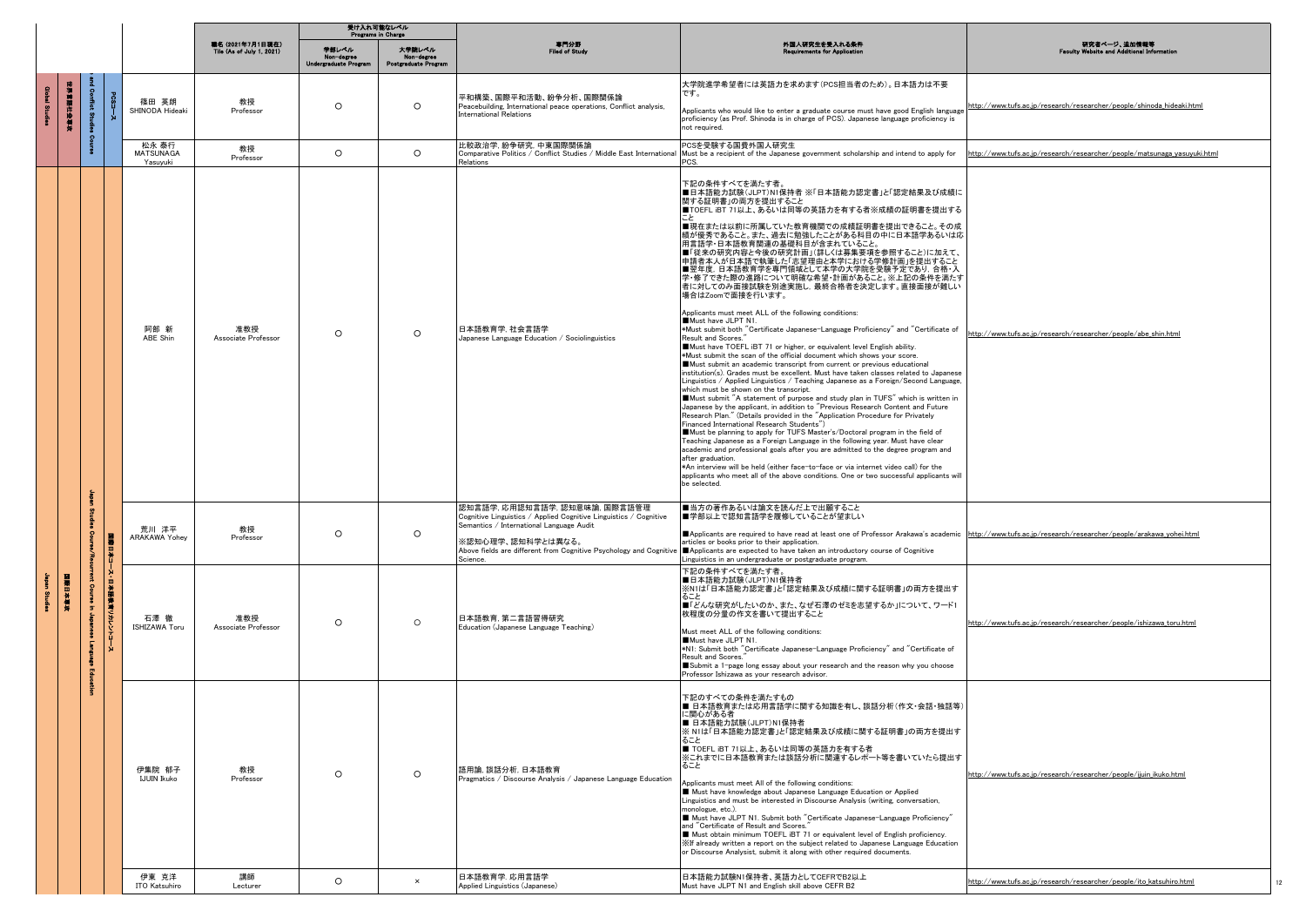|                |        |                                   |                     |                                       | 受け入れ可能なレベル<br>Programs in Charge              |                                              |                                              |                                                                                                                                                                                 |                                                                                                                                                                                                                                                                                                                                                                                                                                                                                                                                                                                                                                                                                                                                                                                                                                                                                                                                                                                                                                                                                                                                                                                                                                                                                                                                                                                                                                                                                                                                                                                                                                                                                                                                                                                                                                                                                                                                    |                                                                          |
|----------------|--------|-----------------------------------|---------------------|---------------------------------------|-----------------------------------------------|----------------------------------------------|----------------------------------------------|---------------------------------------------------------------------------------------------------------------------------------------------------------------------------------|------------------------------------------------------------------------------------------------------------------------------------------------------------------------------------------------------------------------------------------------------------------------------------------------------------------------------------------------------------------------------------------------------------------------------------------------------------------------------------------------------------------------------------------------------------------------------------------------------------------------------------------------------------------------------------------------------------------------------------------------------------------------------------------------------------------------------------------------------------------------------------------------------------------------------------------------------------------------------------------------------------------------------------------------------------------------------------------------------------------------------------------------------------------------------------------------------------------------------------------------------------------------------------------------------------------------------------------------------------------------------------------------------------------------------------------------------------------------------------------------------------------------------------------------------------------------------------------------------------------------------------------------------------------------------------------------------------------------------------------------------------------------------------------------------------------------------------------------------------------------------------------------------------------------------------|--------------------------------------------------------------------------|
|                |        |                                   |                     |                                       | 職名 (2021年7月1日現在)<br>Tile (As of July 1, 2021) | 学部レベル<br>Non-degree<br>Undergraduate Program | 大学院レベル<br>Non-degree<br>Postgraduate Program | 専門分野<br><b>Filed of Study</b>                                                                                                                                                   | 外国人研究生を受入れる条件<br>Requirements for App                                                                                                                                                                                                                                                                                                                                                                                                                                                                                                                                                                                                                                                                                                                                                                                                                                                                                                                                                                                                                                                                                                                                                                                                                                                                                                                                                                                                                                                                                                                                                                                                                                                                                                                                                                                                                                                                                              | 研究者ページ、追加情報等<br><b>Faculty Website and Additional Infor</b>              |
| bed Studion    |        |                                   |                     | 篠田 英朗<br>SHINODA Hideaki              | 教授<br>Professor                               | $\circ$                                      | $\circ$                                      | 平和構築、国際平和活動、紛争分析、国際関係論<br>Peacebuilding, International peace operations, Conflict analysis,<br><b>International Relations</b>                                                   | 大学院進学希望者には英語力を求めます(PCS担当者のため)。日本語力は不要<br>です。<br>Applicants who would like to enter a graduate course must have good English language<br>proficiency (as Prof. Shinoda is in charge of PCS). Japanese language proficiency is<br>not required.                                                                                                                                                                                                                                                                                                                                                                                                                                                                                                                                                                                                                                                                                                                                                                                                                                                                                                                                                                                                                                                                                                                                                                                                                                                                                                                                                                                                                                                                                                                                                                                                                                                                                      | http://www.tufs.ac.jp/research/researcher/people/shinoda_hideaki.html    |
|                |        |                                   |                     | 松永 泰行<br><b>MATSUNAGA</b><br>Yasuyuki | 教授<br>Professor                               | $\circ$                                      | $\circ$                                      | 比較政治学, 紛争研究, 中東国際関係論<br>Comparative Politics / Conflict Studies / Middle East International<br>Relations                                                                        | PCSを受験する国費外国人研究生<br>Must be a recipient of the Japanese government scholarship and intend to apply for<br>PCS.                                                                                                                                                                                                                                                                                                                                                                                                                                                                                                                                                                                                                                                                                                                                                                                                                                                                                                                                                                                                                                                                                                                                                                                                                                                                                                                                                                                                                                                                                                                                                                                                                                                                                                                                                                                                                     | http://www.tufs.ac.jp/research/researcher/people/matsunaga_yasuyuki.html |
|                |        |                                   |                     | 阿部 新<br>ABE Shin                      | 准教授<br>Associate Professor                    | $\circ$                                      | $\circ$                                      | 日本語教育学 社会言語学<br>Japanese Language Education / Sociolinguistics                                                                                                                  | 下記の条件すべてを満たす者。<br>■日本語能力試験(JLPT)N1保持者 ※「日本語能力認定書」と「認定結果及び成績に<br>関する証明書」の両方を提出すること<br>■TOEFL iBT 71以上、あるいは同等の英語力を有する者※成績の証明書を提出する<br>■現在または以前に所属していた教育機関での成績証明書を提出できること。その成<br>績が優秀であること。また、過去に勉強したことがある科目の中に日本語学あるいは応<br>用言語学・日本語教育関連の基礎科目が含まれていること。<br>■「従来の研究内容と今後の研究計画」(詳しくは募集要項を参照すること)に加えて、<br>申請者本人が日本語で執筆した「志望理由と本学における学修計画」を提出すること<br>■翌年度、日本語教育学を専門領域として本学の大学院を受験予定であり、合格・入<br> 学・修了できた際の進路について明確な希望・計画があること。※上記の条件を満たす<br>者に対してのみ面接試験を別途実施し、最終合格者を決定します。直接面接が難しい<br>場合はZoomで面接を行います。<br>Applicants must meet ALL of the following conditions:<br>Must have JLPT N1.<br>*Must submit both "Certificate Japanese-Language Proficiency" and "Certificate of<br>Result and Scores.<br>Must have TOEFL iBT 71 or higher, or equivalent level English ability.<br>*Must submit the scan of the official document which shows your score.<br>Must submit an academic transcript from current or previous educational<br>institution(s). Grades must be excellent. Must have taken classes related to Japanese<br>Linguistics / Applied Linguistics / Teaching Japanese as a Foreign/Second Language,<br>which must be shown on the transcript.<br>Must submit "A statement of purpose and study plan in TUFS" which is written in<br>Japanese by the applicant, in addition to "Previous Research Content and Future<br>Research Plan." (Details provided in the "Application Procedure for Privately<br>Financed International Research Students")<br>Must be planning to apply for TUFS Master's/Doctoral program in the field of<br>Teaching Japanese as a Foreign Language in the following year. Must have clear<br>academic and professional goals after you are admitted to the degree program and<br>after graduation.<br>*An interview will be held (either face-to-face or via internet video call) for the<br>applicants who meet all of the above conditions. One or two successful applicants will<br>be selected. | http://www.tufs.ac.jp/research/researcher/people/abe_shin.html           |
|                |        |                                   |                     | 荒川 洋平<br>ARAKAWA Yohey                | 教授<br>Professor                               | $\circ$                                      | $\circ$                                      | 認知言語学, 応用認知言語学, 認知意味論, 国際言語管理<br>Cognitive Linguistics / Applied Cognitive Linguistics / Cognitive<br>Semantics / International Language Audit<br>※認知心理学、認知科学とは異なる。<br>Science. | ■当方の著作あるいは論文を読んだ上で出願すること<br>■学部以上で認知言語学を履修していることが望ましい<br>Applicants are required to have read at least one of Professor Arakawa's academic http://www.tufs.ac.jp/research/researcher/people/arakawa_yohei.html<br>articles or books prior to their application.<br>Above fields are different from Cognitive Psychology and Cognitive   Applicants are expected to have taken an introductory course of Cognitive<br>Linguistics in an undergraduate or postgraduate program.                                                                                                                                                                                                                                                                                                                                                                                                                                                                                                                                                                                                                                                                                                                                                                                                                                                                                                                                                                                                                                                                                                                                                                                                                                                                                                                                                                                                                                                      |                                                                          |
| <b>Studies</b> | 国家日本草本 | int Co<br>$\overline{\mathbf{5}}$ | 日本コース・日本語参考リカレントコース | 石澤 徹<br>ISHIZAWA Toru                 | 准教授<br>Associate Professor                    | $\circ$                                      | $\circ$                                      | 日本語教育, 第二言語習得研究<br>Education (Japanese Language Teaching)                                                                                                                       | 下記の条件すべてを満たす者。<br>■日本語能力試験(JLPT)N1保持者<br>※N1は「日本語能力認定書」と「認定結果及び成績に関する証明書」の両方を提出す<br>ること<br>■「どんな研究がしたいのか、また、なぜ石澤のゼミを志望するか」について、ワード1<br>枚程度の分量の作文を書いて提出すること<br>Must meet ALL of the following conditions:<br>Must have JLPT N1.<br>*N1: Submit both "Certificate Japanese-Language Proficiency" and "Certificate of<br>Result and Scores.<br>Submit a 1-page long essay about your research and the reason why you choose<br>Professor Ishizawa as your research advisor.                                                                                                                                                                                                                                                                                                                                                                                                                                                                                                                                                                                                                                                                                                                                                                                                                                                                                                                                                                                                                                                                                                                                                                                                                                                                                                                                                                                                                                                           | http://www.tufs.ac.jp/research/researcher/people/ishizawa_toru.html      |
|                |        |                                   |                     | 伊集院 郁子<br><b>IJUIN Ikuko</b>          | 教授<br>Professor                               | $\circ$                                      | $\circ$                                      | 語用論,談話分析,日本語教育<br>Pragmatics / Discourse Analysis / Japanese Language Education                                                                                                 | 下記のすべての条件を満たすもの<br>■ 日本語教育または応用言語学に関する知識を有し、談話分析(作文・会話・独話等)<br>に関心がある者<br>■ 日本語能力試験(JLPT)N1保持者<br>※ N1は「日本語能力認定書」と「認定結果及び成績に関する証明書」の両方を提出す<br>ること<br>■ TOEFL iBT 71以上、あるいは同等の英語力を有する者<br>※これまでに日本語教育または談話分析に関連するレポート等を書いていたら提出す<br>ること<br>Applicants must meet All of the following conditions:<br>Must have knowledge about Japanese Language Education or Applied<br>Linguistics and must be interested in Discourse Analysis (writing, conversation,<br>monologue, etc.).<br>■ Must have JLPT N1. Submit both "Certificate Japanese-Language Proficiency"<br>and "Certificate of Result and Scores."<br>Must obtain minimum TOEFL iBT 71 or equivalent level of English proficiency.<br>※If already written a report on the subject related to Japanese Language Education<br>or Discourse Analysist, submit it along with other required documents.                                                                                                                                                                                                                                                                                                                                                                                                                                                                                                                                                                                                                                                                                                                                                                                                                                                                                                                                                                                                                                                                            | http://www.tufs.ac.jp/research/researcher/people/ijuin_ikuko.html        |
|                |        |                                   |                     | 伊東 克洋<br>ITO Katsuhiro                | 講師<br>Lecturer                                | $\circ$                                      | $\times$                                     | 日本語教育学. 応用言語学<br>Applied Linguistics (Japanese)                                                                                                                                 | 日本語能力試験N1保持者、英語力としてCEFRでB2以上<br>Must have JLPT N1 and English skill above CEFR B2                                                                                                                                                                                                                                                                                                                                                                                                                                                                                                                                                                                                                                                                                                                                                                                                                                                                                                                                                                                                                                                                                                                                                                                                                                                                                                                                                                                                                                                                                                                                                                                                                                                                                                                                                                                                                                                  | http://www.tufs.ac.jp/research/researcher/people/ito_katsuhiro.html      |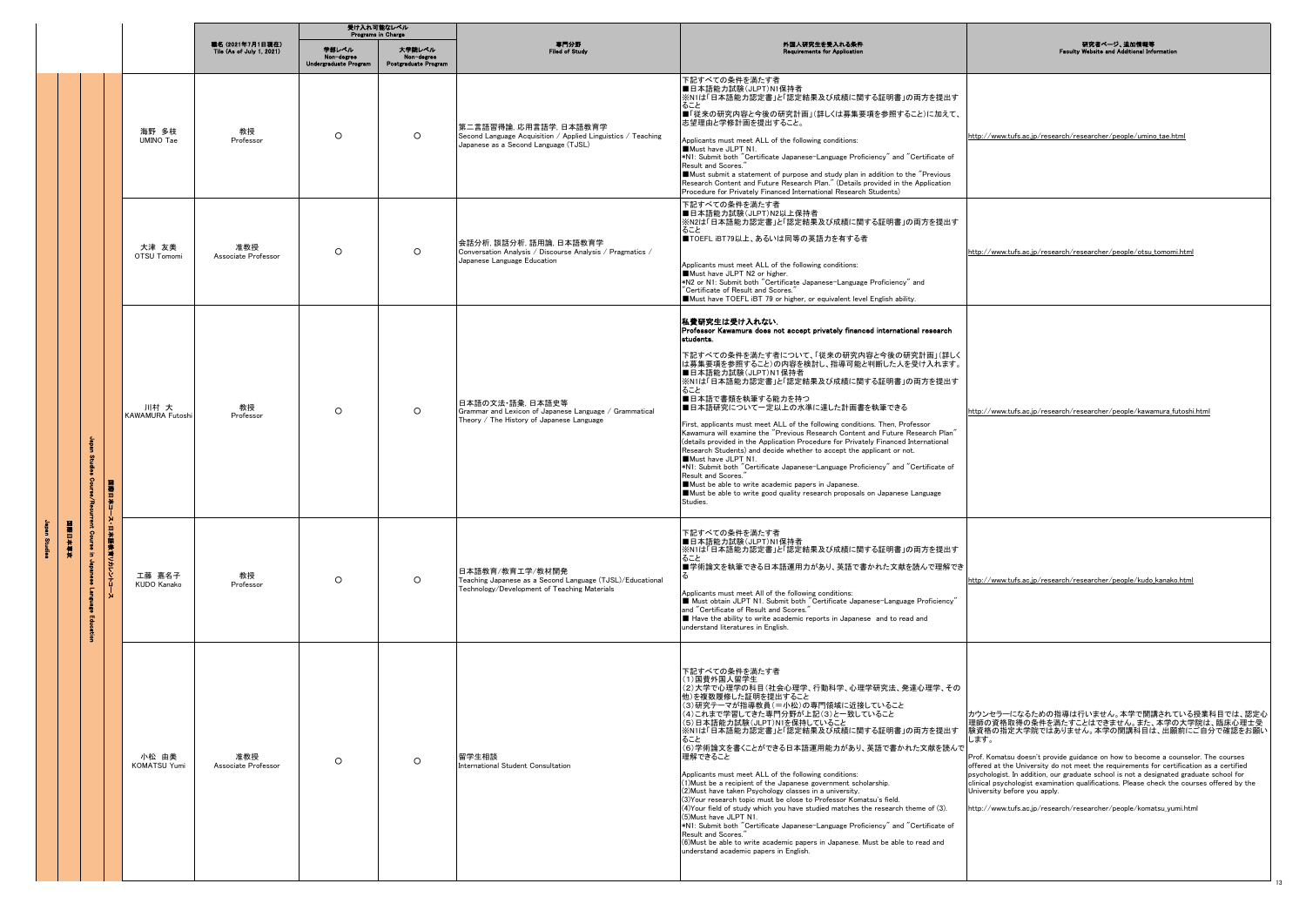|  |        | 受け入れ可能なレベル<br><b>Programs in Charge</b> |                                |                                               |                                              |                                              |                                                                                                                                |                                                                                                                                                                                                                                                                                                                                                                                                                                                                                                                                                                                                                                                                                                                                                                                                                                                                                                                                                    |                                                                                                                                                                                                                                                                                                                                                                                                                                                                                                                                                                                                                        |
|--|--------|-----------------------------------------|--------------------------------|-----------------------------------------------|----------------------------------------------|----------------------------------------------|--------------------------------------------------------------------------------------------------------------------------------|----------------------------------------------------------------------------------------------------------------------------------------------------------------------------------------------------------------------------------------------------------------------------------------------------------------------------------------------------------------------------------------------------------------------------------------------------------------------------------------------------------------------------------------------------------------------------------------------------------------------------------------------------------------------------------------------------------------------------------------------------------------------------------------------------------------------------------------------------------------------------------------------------------------------------------------------------|------------------------------------------------------------------------------------------------------------------------------------------------------------------------------------------------------------------------------------------------------------------------------------------------------------------------------------------------------------------------------------------------------------------------------------------------------------------------------------------------------------------------------------------------------------------------------------------------------------------------|
|  |        |                                         |                                | 職名 (2021年7月1日現在)<br>Tile (As of July 1, 2021) | 学部レベル<br>Non-degree<br>Undergraduate Program | 大学院レベル<br>Non-degree<br>Postgraduate Program | 専門分野<br>Filed of Study                                                                                                         | 外国人研究生を受入れる条件<br><b>Requirements for Applicatio</b>                                                                                                                                                                                                                                                                                                                                                                                                                                                                                                                                                                                                                                                                                                                                                                                                                                                                                                | 研究者ページ、追加情報等<br><b>Faculty Website and Additional Info</b>                                                                                                                                                                                                                                                                                                                                                                                                                                                                                                                                                             |
|  |        |                                         | 海野 多枝<br><b>UMINO Tae</b>      | 教授<br>Professor                               | $\circ$                                      | $\circ$                                      | 第二言語習得論, 応用言語学, 日本語教育学<br>Second Language Acquisition / Applied Linguistics / Teaching<br>Japanese as a Second Language (TJSL) | 下記すべての条件を満たす者<br> ■日本語能力試験(JLPT)N1保持者<br>※N1は「日本語能力認定書」と「認定結果及び成績に関する証明書」の両方を提出す<br>ること<br>■「従来の研究内容と今後の研究計画」(詳しくは募集要項を参照すること)に加えて、<br>志望理由と学修計画を提出すること。<br>Applicants must meet ALL of the following conditions:<br>Must have JLPT N1.<br>*N1: Submit both "Certificate Japanese-Language Proficiency" and "Certificate of<br>Result and Scores.<br>Must submit a statement of purpose and study plan in addition to the "Previous"<br>Research Content and Future Research Plan." (Details provided in the Application<br>Procedure for Privately Financed International Research Students)                                                                                                                                                                                                                                                                                                                                                      | http://www.tufs.ac.jp/research/researcher/people/umino tae.html                                                                                                                                                                                                                                                                                                                                                                                                                                                                                                                                                        |
|  | 在全半日避国 |                                         | 大津 友美<br>OTSU Tomomi           | 准教授<br>Associate Professor                    | $\circ$                                      | $\circ$                                      | 会話分析, 談話分析, 語用論, 日本語教育学<br>Conversation Analysis / Discourse Analysis / Pragmatics /<br>Japanese Language Education            | 下記すべての条件を満たす者<br>■日本語能力試験(JLPT)N2以上保持者<br> ※N2は「日本語能力認定書」と「認定結果及び成績に関する証明書」の両方を提出す<br>ること<br>■TOEFL iBT79以上、あるいは同等の英語力を有する者<br>Applicants must meet ALL of the following conditions:<br>Must have JLPT N2 or higher.<br>*N2 or N1: Submit both "Certificate Japanese-Language Proficiency" and<br>"Certificate of Result and Scores."<br>Must have TOEFL iBT 79 or higher, or equivalent level English ability.                                                                                                                                                                                                                                                                                                                                                                                                                                                                                                                                    | http://www.tufs.ac.jp/research/researcher/people/otsu_tomomi.html                                                                                                                                                                                                                                                                                                                                                                                                                                                                                                                                                      |
|  |        | 三十日割                                    | 川村大<br><b>KAWAMURA Futoshi</b> | 教授<br>Professor                               | $\circ$                                      | $\circ$                                      | 日本語の文法・語彙. 日本語史等<br>Grammar and Lexicon of Japanese Language / Grammatical<br>Theory / The History of Japanese Language        | 私費研究生は受け入れない.<br>Professor Kawamura does not accept privately financed international research<br>students.<br>下記すべての条件を満たす者について、「従来の研究内容と今後の研究計画」(詳しく<br>は募集要項を参照すること)の内容を検討し、指導可能と判断した人を受け入れます。<br>■日本語能力試験(JLPT)N1保持者<br>※N1は「日本語能力認定書」と「認定結果及び成績に関する証明書」の両方を提出す<br>ること<br>■日本語で書類を執筆する能力を持つ<br>■日本語研究について一定以上の水準に達した計画書を執筆できる<br>First, applicants must meet ALL of the following conditions. Then, Professor<br>Kawamura will examine the "Previous Research Content and Future Research Plan"<br>(details provided in the Application Procedure for Privately Financed International<br>Research Students) and decide whether to accept the applicant or not.<br>Must have JLPT N1.<br>*N1: Submit both "Certificate Japanese-Language Proficiency" and "Certificate of<br>Result and Scores.<br>Must be able to write academic papers in Japanese.<br>Must be able to write good quality research proposals on Japanese Language<br>Studies. | http://www.tufs.ac.jp/research/researcher/people/kawamura_futoshi.html                                                                                                                                                                                                                                                                                                                                                                                                                                                                                                                                                 |
|  |        | ス・ロキ語像者 リカレントニ<br>工                     | 工藤 嘉名子<br>KUDO Kanako          | 教授<br>Professor                               | $\circ$                                      | $\circ$                                      | 日本語教育/教育工学/教材開発<br>Teaching Japanese as a Second Language (TJSL)/Educational<br>Technology/Development of Teaching Materials   | 下記すべての条件を満たす者<br>■日本語能力試験(JLPT)N1保持者<br> ※N1は「日本語能力認定書」と「認定結果及び成績に関する証明書」の両方を提出す<br>ること<br>■学術論文を執筆できる日本語運用力があり、英語で書かれた文献を読んで理解でき<br>Applicants must meet All of the following conditions:<br>Must obtain JLPT N1. Submit both "Certificate Japanese-Language Proficiency"<br>and "Certificate of Result and Scores."<br>Have the ability to write academic reports in Japanese and to read and<br>understand literatures in English.                                                                                                                                                                                                                                                                                                                                                                                                                                                                                                              | http://www.tufs.ac.jp/research/researcher/people/kudo_kanako.html                                                                                                                                                                                                                                                                                                                                                                                                                                                                                                                                                      |
|  |        |                                         | 小松 由美<br>KOMATSU Yumi          | 准教授<br>Associate Professor                    | $\circ$                                      | $\circ$                                      | 留学生相談<br>International Student Consultation                                                                                    | 下記すべての条件を満たす者<br>1) 国費外国人留学生<br>(2)大学で心理学の科目(社会心理学、行動科学、心理学研究法、発達心理学、その<br>他)を複数履修した証明を提出すること<br>(3)研究テーマが指導教員(=小松)の専門領域に近接していること<br>(4)これまで学習してきた専門分野が上記(3)と一致していること<br>(5)日本語能力試験(JLPT)N1を保持していること<br>※N1は「日本語能力認定書」と「認定結果及び成績に関する証明書」の両方を提出す<br>ること<br>(6)学術論文を書くことができる日本語運用能力があり、英語で書かれた文献を読んで<br>理解できること<br>Applicants must meet ALL of the following conditions:<br>(1) Must be a recipient of the Japanese government scholarship.<br>(2) Must have taken Psychology classes in a university,<br>(3) Your research topic must be close to Professor Komatsu's field.<br>(4) Your field of study which you have studied matches the research theme of (3).<br>(5) Must have JLPT N1.<br>*N1: Submit both "Certificate Japanese-Language Proficiency" and "Certificate of<br>Result and Scores."<br>(6) Must be able to write academic papers in Japanese. Must be able to read and<br>understand academic papers in English.                 | カウンセラーになるための指導は行いません。本学で開講されている授業科目では、認定心<br>理師の資格取得の条件を満たすことはできません。また、本学の大学院は、臨床心理士受<br> 験資格の指定大学院ではありません。本学の開講科目は、出願前にご自分で確認をお願い<br>します。<br>Prof. Komatsu doesn't provide guidance on how to become a counselor. The courses<br>offered at the University do not meet the requirements for certification as a certified<br>psychologist. In addition, our graduate school is not a designated graduate school for<br>clinical psychologist examination qualifications. Please check the courses offered by the<br>University before you apply.<br>http://www.tufs.ac.jp/research/researcher/people/komatsu_yumi.html |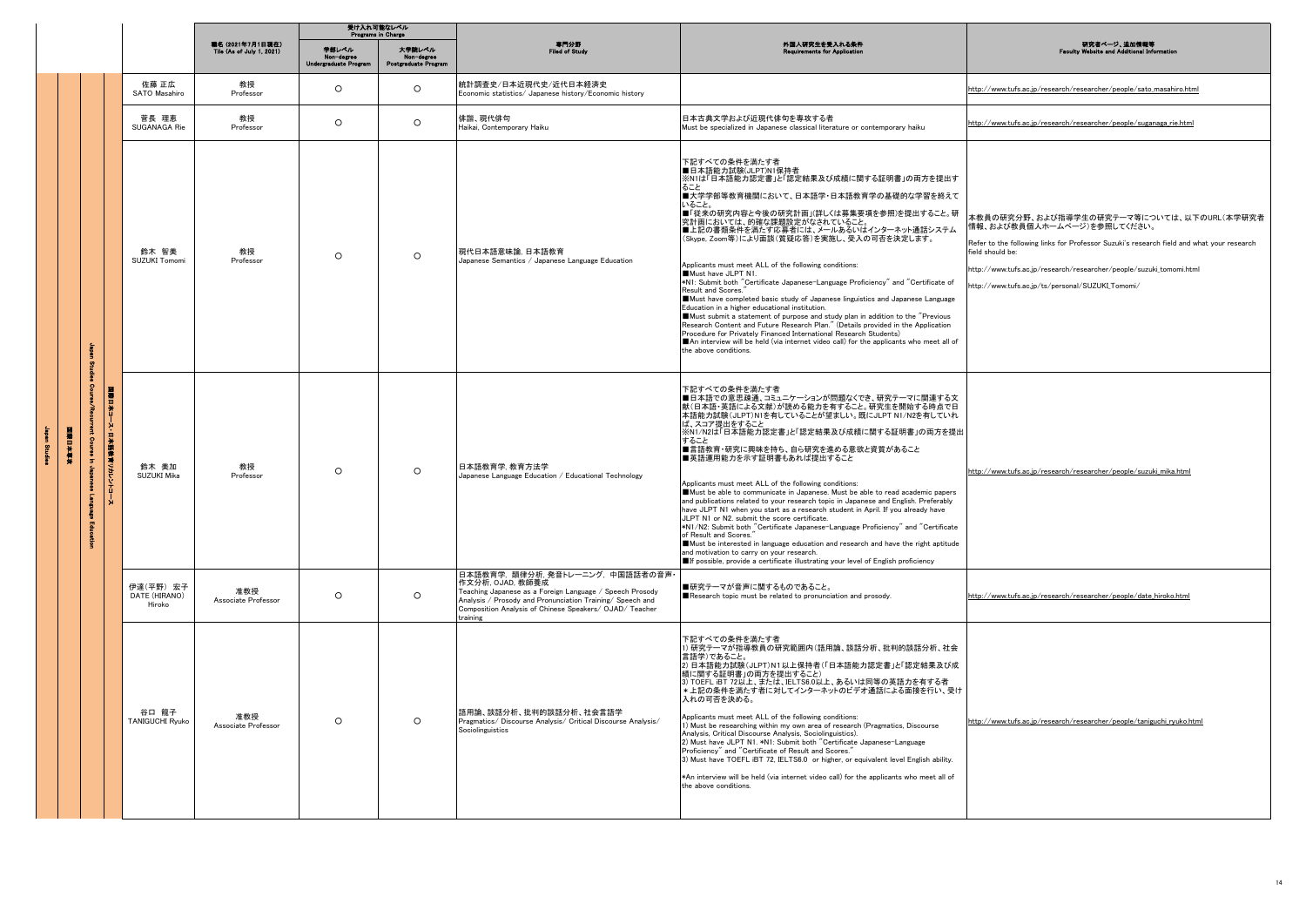|  |                |                            | 受け入れ可能なレベル<br>Programs in Charge     |                                               |                                             |                                              |                                                                                                                                                                                                                                                      |                                                                                                                                                                                                                                                                                                                                                                                                                                                                                                                                                                                                                                                                                                                                                                                                                                                                                                                                                                                                        |                                                                                                                                                                                                                                                                                                                      |
|--|----------------|----------------------------|--------------------------------------|-----------------------------------------------|---------------------------------------------|----------------------------------------------|------------------------------------------------------------------------------------------------------------------------------------------------------------------------------------------------------------------------------------------------------|--------------------------------------------------------------------------------------------------------------------------------------------------------------------------------------------------------------------------------------------------------------------------------------------------------------------------------------------------------------------------------------------------------------------------------------------------------------------------------------------------------------------------------------------------------------------------------------------------------------------------------------------------------------------------------------------------------------------------------------------------------------------------------------------------------------------------------------------------------------------------------------------------------------------------------------------------------------------------------------------------------|----------------------------------------------------------------------------------------------------------------------------------------------------------------------------------------------------------------------------------------------------------------------------------------------------------------------|
|  |                |                            |                                      | 職名 (2021年7月1日現在)<br>Tile (As of July 1, 2021) | 学部レベル<br>Non-degree<br>Undergraduate Progra | 大学院レベル<br>Non-degree<br>Postgraduate Program | 専門分野<br>Filed of Study                                                                                                                                                                                                                               | 外国人研究生を受入れる条件                                                                                                                                                                                                                                                                                                                                                                                                                                                                                                                                                                                                                                                                                                                                                                                                                                                                                                                                                                                          | 研究者ページ、追加情報等<br>site and A                                                                                                                                                                                                                                                                                           |
|  |                |                            | 佐藤 正広<br>SATO Masahiro               | 教授<br>Professor                               | $\circ$                                     | $\circ$                                      | 統計調査史/日本近現代史/近代日本経済史<br>Economic statistics/ Japanese history/Economic history                                                                                                                                                                       |                                                                                                                                                                                                                                                                                                                                                                                                                                                                                                                                                                                                                                                                                                                                                                                                                                                                                                                                                                                                        | http://www.tufs.ac.jp/research/researcher/people/sato_masahiro.html                                                                                                                                                                                                                                                  |
|  |                |                            | 菅長 理恵<br>SHGANAGA Rie                | 教授<br>Professor                               | $\circ$                                     | $\circ$                                      | 俳諧、現代俳句<br>Haikai, Contemporary Haiku                                                                                                                                                                                                                | 日本古典文学および近現代俳句を専攻する者<br>Must be specialized in Japanese classical literature or contemporary haiku                                                                                                                                                                                                                                                                                                                                                                                                                                                                                                                                                                                                                                                                                                                                                                                                                                                                                                     | http://www.tufs.ac.jp/research/researcher/people/suganaga_rie.html                                                                                                                                                                                                                                                   |
|  | <b>NATALIA</b> |                            | 鈴木 智美<br>SUZUKI Tomomi               | 教授<br>Professor                               | $\circ$                                     | $\circ$                                      | 現代日本語意味論,日本語教育<br>Japanese Semantics / Japanese Language Education                                                                                                                                                                                   | 下記すべての条件を満たす者<br>■日本語能力試験(JLPT)N1保持者<br>※N1は「日本語能力認定書」と「認定結果及び成績に関する証明書」の両方を提出す<br>ること<br>■大学学部等教育機関において、日本語学・日本語教育学の基礎的な学習を終えて<br>いること。<br>■「従来の研究内容と今後の研究計画」(詳しくは募集要項を参照)を提出すること。研<br>究計画においては、的確な課題設定がなされていること。<br>■上記の書類条件を満たす応募者には、メールあるいはインターネット通話システム<br>(Skype, Zoom等)により面談(質疑応答)を実施し、受入の可否を決定します。<br>Applicants must meet ALL of the following conditions:<br>Must have JLPT N1.<br>*N1: Submit both "Certificate Japanese-Language Proficiency" and "Certificate of<br>Result and Scores."<br>Must have completed basic study of Japanese linguistics and Japanese Language<br>Education in a higher educational institution.<br>Must submit a statement of purpose and study plan in addition to the "Previous"<br>Research Content and Future Research Plan." (Details provided in the Application<br>Procedure for Privately Financed International Research Students)<br>An interview will be held (via internet video call) for the applicants who meet all of<br>the above conditions. | 本教員の研究分野、および指導学生の研究テーマ等については、以下のURL(本学研究者<br>情報、および教員個人ホームページ)を参照してください。<br>Refer to the following links for Professor Suzuki's research field and what your research<br>field should be:<br>http://www.tufs.ac.jp/research/researcher/people/suzuki_tomomi.html<br>http://www.tufs.ac.jp/ts/personal/SUZUKI_Tomomi/ |
|  |                | 国家日本<br>2→日本語<br>(愛喜リカレントニ | 鈴木 美加<br>SUZUKI Mika                 | 教授<br>Professor                               | $\circ$                                     | $\circ$                                      | 日本語教育学, 教育方法学<br>Japanese Language Education / Educational Technology                                                                                                                                                                                | 下記すべての条件を満たす者<br>■日本語での意思疎通、コミュニケーションが問題なくでき、研究テーマに関連する文<br>献(日本語・英語による文献)が読める能力を有すること。研究生を開始する時点で日<br>本語能力試験(JLPT)N1を有していることが望ましい。既にJLPT N1/N2を有していれ<br>ば、スコア提出をすること<br>※N1/N2は「日本語能力認定書」と「認定結果及び成績に関する証明書」の両方を提出<br>すること<br>■言語教育・研究に興味を持ち、自ら研究を進める意欲と資質があること<br>■英語運用能力を示す証明書もあれば提出すること<br>Applicants must meet ALL of the following conditions:<br>Must be able to communicate in Japanese. Must be able to read academic papers<br>and publications related to your research topic in Japanese and English. Preferably<br>have JLPT N1 when you start as a research student in April. If you already have<br>JLPT N1 or N2, submit the score certificate.<br>*N1/N2: Submit both "Certificate Japanese-Language Proficiency" and "Certificate<br>of Result and Scores.<br>Must be interested in language education and research and have the right aptitude<br>and motivation to carry on your research.<br>If possible, provide a certificate illustrating your level of English proficiency     | http://www.tufs.ac.jp/research/researcher/people/suzuki_mika.html                                                                                                                                                                                                                                                    |
|  |                |                            | 伊達(平野) 宏子<br>DATE (HIRANO)<br>Hiroko | 准教授<br>Associate Professor                    | $\circ$                                     | $\circ$                                      | 日本語教育学. 韻律分析. 発音トレーニング. 中国語話者の音声<br>作文分析, OJAD, 教師養成<br>Teaching Japanese as a Foreign Language / Speech Prosody<br>Analysis / Prosody and Pronunciation Training/ Speech and<br>Composition Analysis of Chinese Speakers/ OJAD/ Teacher<br>training | ■研究テーマが音声に関するものであること。<br>Research topic must be related to pronunciation and prosody.                                                                                                                                                                                                                                                                                                                                                                                                                                                                                                                                                                                                                                                                                                                                                                                                                                                                                                                  | http://www.tufs.ac.jp/research/researcher/people/date_hiroko.html                                                                                                                                                                                                                                                    |
|  |                |                            | 谷口 龍子<br>TANIGUCHI Ryuko             | 准教授<br>Associate Professor                    | $\circ$                                     | $\circ$                                      | 語用論、談話分析、批判的談話分析、社会言語学<br>Pragmatics/ Discourse Analysis/ Critical Discourse Analysis/<br>Sociolinguistics                                                                                                                                           | 下記すべての条件を満たす者<br>1) 研究テーマが指導教員の研究範囲内(語用論、談話分析、批判的談話分析、社会<br>言語学)であること。<br>2) 日本語能力試験(JLPT)N1以上保持者(「日本語能力認定書」と「認定結果及び成<br>績に関する証明書」の両方を提出すること)<br>3) TOEFL iBT 72以上、または、IELTS6.0以上、あるいは同等の英語力を有する者<br>* 上記の条件を満たす者に対してインターネットのビデオ通話による面接を行い、受け<br>入れの可否を決める。<br>Applicants must meet ALL of the following conditions:<br>1) Must be researching within my own area of research (Pragmatics, Discourse<br>Analysis, Critical Discourse Analysis, Sociolinguistics).<br>2) Must have JLPT N1. *N1: Submit both "Certificate Japanese-Language<br>Proficiency" and "Certificate of Result and Scores."<br>3) Must have TOEFL iBT 72, IELTS6.0 or higher, or equivalent level English ability.<br>*An interview will be held (via internet video call) for the applicants who meet all of<br>the above conditions.                                                                                                                                                                                          | http://www.tufs.ac.jp/research/researcher/people/taniguchi_ryuko.html                                                                                                                                                                                                                                                |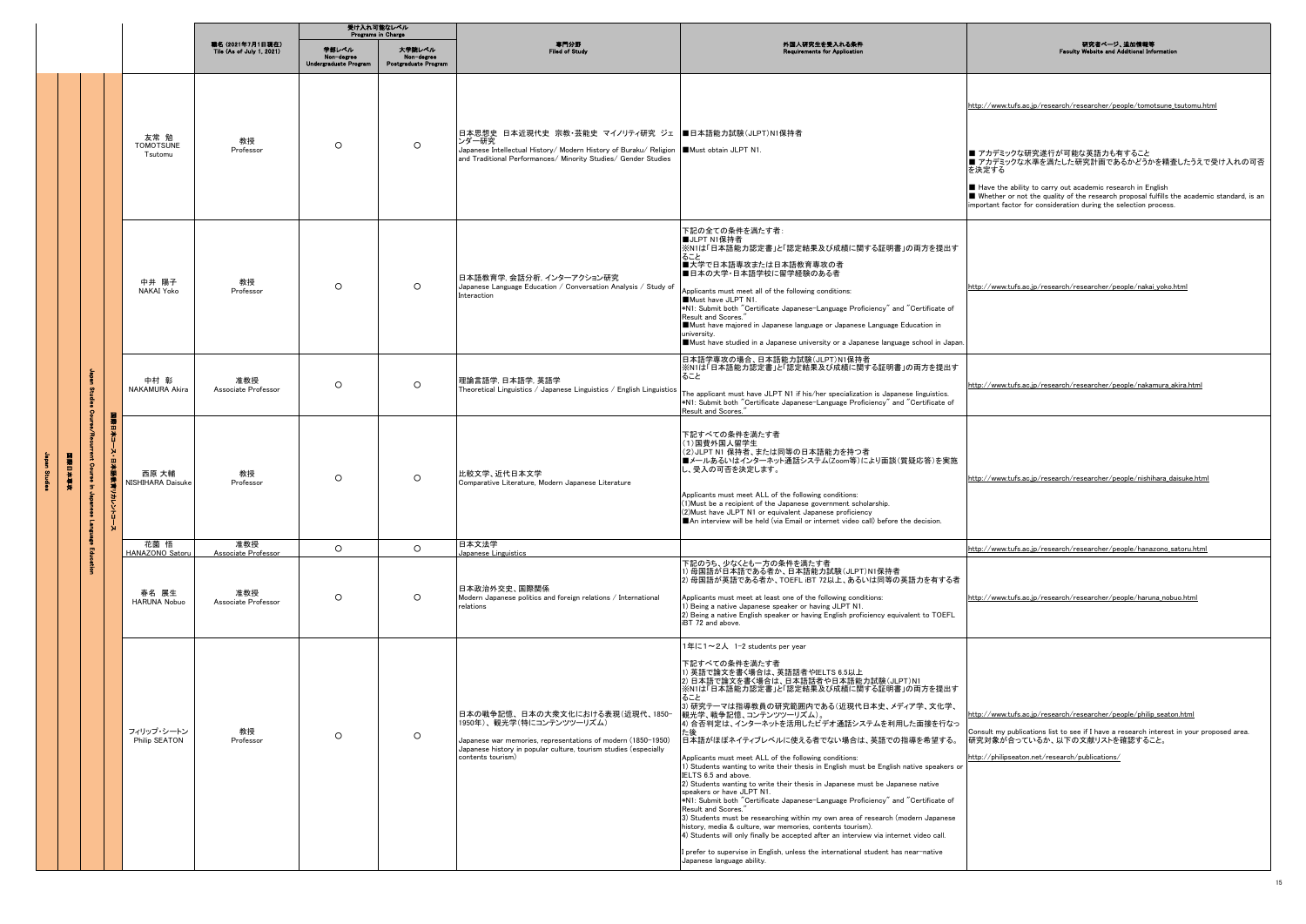|  |  |  | 受け入れ可能なレベル<br>Programs in Charge                      |                                               |                                              |                                              |                                                                                                                                                                                                                            |                                                                                                                                                                                                                                                                                                                                                                                                                                                                                                                                                                                                                                                                                                                                                                                                                                                                                                                                                                                                                                                                                                             |                                                                                                                                                                                                                                                                                                                                                                                             |
|--|--|--|-------------------------------------------------------|-----------------------------------------------|----------------------------------------------|----------------------------------------------|----------------------------------------------------------------------------------------------------------------------------------------------------------------------------------------------------------------------------|-------------------------------------------------------------------------------------------------------------------------------------------------------------------------------------------------------------------------------------------------------------------------------------------------------------------------------------------------------------------------------------------------------------------------------------------------------------------------------------------------------------------------------------------------------------------------------------------------------------------------------------------------------------------------------------------------------------------------------------------------------------------------------------------------------------------------------------------------------------------------------------------------------------------------------------------------------------------------------------------------------------------------------------------------------------------------------------------------------------|---------------------------------------------------------------------------------------------------------------------------------------------------------------------------------------------------------------------------------------------------------------------------------------------------------------------------------------------------------------------------------------------|
|  |  |  |                                                       | 職名 (2021年7月1日現在)<br>Tile (As of July 1, 2021) | 学部レベル<br>Non-degree<br>Undergraduate Program | 大学院レベル<br>Non-degree<br>Postgraduate Program | 専門分野<br>Filed of Study                                                                                                                                                                                                     | 外国人研究生を受入れる条件<br><b>Requirements for Applicatio</b>                                                                                                                                                                                                                                                                                                                                                                                                                                                                                                                                                                                                                                                                                                                                                                                                                                                                                                                                                                                                                                                         | 研究者ページ、追加情報等<br>ebsite and Additional In<br>Faculty                                                                                                                                                                                                                                                                                                                                         |
|  |  |  | 友常 勉<br><b>TOMOTSUNE</b><br>Tsutomu                   | 教授<br>Professor                               | $\circ$                                      | $\circ$                                      | 日本思想史 日本近現代史 宗教・芸能史 マイノリティ研究 ジェ ■日本語能力試験(JLPT)N1保持者<br>ンダー研究<br>Japanese Intellectual History/ Modern History of Buraku/ Religion   Must obtain JLPT N1.<br>and Traditional Performances/ Minority Studies/ Gender Studies |                                                                                                                                                                                                                                                                                                                                                                                                                                                                                                                                                                                                                                                                                                                                                                                                                                                                                                                                                                                                                                                                                                             | http://www.tufs.ac.jp/research/researcher/people/tomotsune_tsutomu.html<br>■ アカデミックな研究遂行が可能な英語力も有すること<br>■ アカデミックな水準を満たした研究計画であるかどうかを精査したうえで受け入れの可否<br>を決定する<br>Have the ability to carry out academic research in English<br>Whether or not the quality of the research proposal fulfills the academic standard, is an<br>important factor for consideration during the selection process. |
|  |  |  | 中井 陽子<br>NAKAI Yoko                                   | 教授<br>Professor                               | $\circ$                                      | $\circ$                                      | 日本語教育学. 会話分析. インターアクション研究<br>Japanese Language Education / Conversation Analysis / Study of<br>Interaction                                                                                                                 | 下記の全ての条件を満たす者:<br>■JLPT N1保持者<br>※N1は「日本語能力認定書」と「認定結果及び成績に関する証明書」の両方を提出す<br>ること<br>■大学で日本語専攻または日本語教育専攻の者<br>■日本の大学·日本語学校に留学経験のある者<br>Applicants must meet all of the following conditions:<br>Must have JLPT N1.<br>*N1: Submit both "Certificate Japanese-Language Proficiency" and "Certificate of<br>Result and Scores.<br>Must have majored in Japanese language or Japanese Language Education in<br>university.<br>Must have studied in a Japanese university or a Japanese language school in Japan.                                                                                                                                                                                                                                                                                                                                                                                                                                                                                                                                                                                                 | http://www.tufs.ac.jp/research/researcher/people/nakai_yoko.html                                                                                                                                                                                                                                                                                                                            |
|  |  |  | 中村 彰<br><b>NAKAMURA Akira</b>                         | 准教授<br>Associate Professor                    | $\circ$                                      | $\circ$                                      | 理論言語学, 日本語学, 英語学<br>Theoretical Linguistics / Japanese Linguistics / English Linguistics                                                                                                                                   | 日本語学専攻の場合、日本語能力試験(JLPT)N1保持者<br>※N1は「日本語能力認定書」と「認定結果及び成績に関する証明書」の両方を提出す<br>ること<br>The applicant must have JLPT N1 if his/her specialization is Japanese linguistics.<br>*N1: Submit both "Certificate Japanese-Language Proficiency" and "Certificate of<br>Result and Scores."                                                                                                                                                                                                                                                                                                                                                                                                                                                                                                                                                                                                                                                                                                                                                                                                                             | http://www.tufs.ac.jp/research/researcher/people/nakamura_akira.html                                                                                                                                                                                                                                                                                                                        |
|  |  |  | Ï<br>٠.<br>B<br>西原 大輔<br>NISHIHARA Daisuke<br>ほうどうシェル | 教授<br>Professor                               | $\circ$                                      | $\circ$                                      | 比較文学、近代日本文学<br>Comparative Literature, Modern Japanese Literature                                                                                                                                                          | 下記すべての条件を満たす者<br>(1)国費外国人留学生<br>(2)JLPT N1 保持者、または同等の日本語能力を持つ者<br>■メールあるいはインターネット通話システム(Zoom等)により面談(質疑応答)を実施<br>し、受入の可否を決定します。<br>Applicants must meet ALL of the following conditions:<br>(1) Must be a recipient of the Japanese government scholarship.<br>(2) Must have JLPT N1 or equivalent Japanese proficiency<br>An interview will be held (via Email or internet video call) before the decision.                                                                                                                                                                                                                                                                                                                                                                                                                                                                                                                                                                                                                                                                                                 | http://www.tufs.ac.jp/research/researcher/people/nishihara_daisuke.html                                                                                                                                                                                                                                                                                                                     |
|  |  |  | 花薗 悟<br>HANAZONO Satoru                               | 准教授<br>Associate Professor                    | $\circ$                                      | $\circ$                                      | 日本文法学<br>Japanese Linguistics                                                                                                                                                                                              |                                                                                                                                                                                                                                                                                                                                                                                                                                                                                                                                                                                                                                                                                                                                                                                                                                                                                                                                                                                                                                                                                                             | http://www.tufs.ac.jp/research/researcher/people/hanazono_satoru.html                                                                                                                                                                                                                                                                                                                       |
|  |  |  | 春名 展生<br><b>HARUNA Nobuo</b>                          | 准教授<br>Associate Professor                    | $\circ$                                      | $\circ$                                      | 日本政治外交史、国際関係<br>Modern Japanese politics and foreign relations / International<br>relations                                                                                                                                | 下記のうち、少なくとも一方の条件を満たす者<br>) 母国語が日本語である者か、日本語能力試験(JLPT)N1保持者<br>2) 母国語が英語である者か、TOEFL iBT 72以上、あるいは同等の英語力を有する者<br>Applicants must meet at least one of the following conditions:<br>1) Being a native Japanese speaker or having JLPT N1.<br>2) Being a native English speaker or having English proficiency equivalent to TOEFL<br>iBT 72 and above                                                                                                                                                                                                                                                                                                                                                                                                                                                                                                                                                                                                                                                                                                                                                           | http://www.tufs.ac.jp/research/researcher/people/haruna_nobuo.html                                                                                                                                                                                                                                                                                                                          |
|  |  |  | フィリップ・シートン<br>Philip SEATON                           | 教授<br>Professor                               | $\circ$                                      | $\circ$                                      | 日本の戦争記憶、日本の大衆文化における表現(近現代、1850-<br>1950年)、観光学(特にコンテンツツーリズム)<br>Japanese war memories, representations of modern (1850-1950)<br>Japanese history in popular culture, tourism studies (especially<br>contents tourism)       | 1年に1~2人 1-2 students per year<br>下記すべての条件を満たす者<br>1) 英語で論文を書く場合は、英語話者やIELTS 6.5以上<br>2) 日本語で論文を書く場合は、日本語話者や日本語能力試験(JLPT)N1<br>※N1は「日本語能力認定書」と「認定結果及び成績に関する証明書」の両方を提出す<br>ること<br>3) 研究テーマは指導教員の研究範囲内である(近現代日本史、メディア学、文化学、<br>観光学、戦争記憶、コンテンツツーリズム)。<br>4) 合否判定は、インターネットを活用したビデオ通話システムを利用した面接を行なっ<br>日本語がほぼネイティブレベルに使える者でない場合は、英語での指導を希望する。<br>Applicants must meet ALL of the following conditions:<br>1) Students wanting to write their thesis in English must be English native speakers or<br>IELTS 6.5 and above.<br>2) Students wanting to write their thesis in Japanese must be Japanese native<br>speakers or have JLPT N1.<br>*N1: Submit both "Certificate Japanese-Language Proficiency" and "Certificate of<br>Result and Scores."<br>3) Students must be researching within my own area of research (modern Japanese<br>history, media & culture, war memories, contents tourism).<br>4) Students will only finally be accepted after an interview via internet video call.<br>I prefer to supervise in English, unless the international student has near-native<br>Japanese language ability. | http://www.tufs.ac.ip/research/researcher/people/philip seaton.html<br>Consult my publications list to see if I have a research interest in your proposed area.<br>研究対象が合っているか、以下の文献リストを確認すること。<br>http://philipseaton.net/research/publications/                                                                                                                                           |